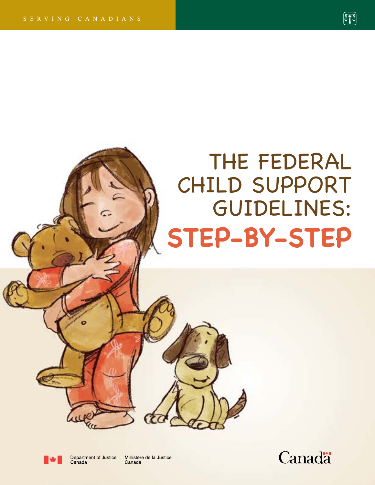

# The federal child support guidelines: **step-by-step**



**Department of Justice** Canada

Ministère de la Justice Canada

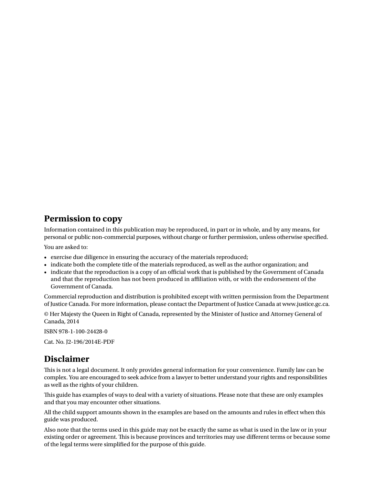## **Permission to copy**

Information contained in this publication may be reproduced, in part or in whole, and by any means, for personal or public non-commercial purposes, without charge or further permission, unless otherwise specified.

You are asked to:

- exercise due diligence in ensuring the accuracy of the materials reproduced;
- indicate both the complete title of the materials reproduced, as well as the author organization; and
- • indicate that the reproduction is a copy of an official work that is published by the Government of Canada and that the reproduction has not been produced in affiliation with, or with the endorsement of the Government of Canada.

Commercial reproduction and distribution is prohibited except with written permission from the Department of Justice Canada. For more information, please contact the Department of Justice Canada at www.justice.gc.ca.

© Her Majesty the Queen in Right of Canada, represented by the Minister of Justice and Attorney General of Canada, 2014

ISBN 978-1-100-24428-0

Cat. No. J2-196/2014E-PDF

## **Disclaimer**

This is not a legal document. It only provides general information for your convenience. Family law can be complex. You are encouraged to seek advice from a lawyer to better understand your rights and responsibilities as well as the rights of your children.

This guide has examples of ways to deal with a variety of situations. Please note that these are only examples and that you may encounter other situations.

All the child support amounts shown in the examples are based on the amounts and rules in effect when this guide was produced.

Also note that the terms used in this guide may not be exactly the same as what is used in the law or in your existing order or agreement. This is because provinces and territories may use different terms or because some of the legal terms were simplified for the purpose of this guide.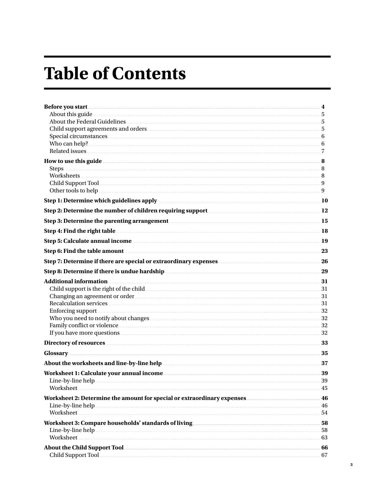# **Table of Contents**

| Step 1: Determine which guidelines apply manufactured and contact the control of the step 1: Determine which guidelines apply manufactured and the step of the step of the step of the step of the step of the step of the ste |          |
|--------------------------------------------------------------------------------------------------------------------------------------------------------------------------------------------------------------------------------|----------|
| Step 2: Determine the number of children requiring support manufactured and 12                                                                                                                                                 |          |
| Step 3: Determine the parenting arrangement 15 and 15 and 15 and 15 and 15 and 15 and 15 and 15 and 15 and 15 and 15 and 15 and 15 and 15 and 15 and 15 and 16 and 16 and 16 and 16 and 16 and 16 and 16 and 16 and 16 and 16  |          |
| Step 4: Find the right table <b>Manufacture 18</b> 18                                                                                                                                                                          |          |
| Step 5: Calculate annual income manumental and all the step 5: Calculate annual income manumental and 19                                                                                                                       |          |
| Step 6: Find the table amount <b>Exercise 2.2</b> Step 6: Find the table amount                                                                                                                                                | 23       |
|                                                                                                                                                                                                                                | 26       |
|                                                                                                                                                                                                                                | 29       |
| <b>Additional information</b>                                                                                                                                                                                                  | 31       |
|                                                                                                                                                                                                                                | 31       |
|                                                                                                                                                                                                                                | 31       |
|                                                                                                                                                                                                                                | 31<br>32 |
|                                                                                                                                                                                                                                | 32       |
|                                                                                                                                                                                                                                | 32       |
|                                                                                                                                                                                                                                |          |
| Directory of resources <b>Material Contract Contract Contract Contract Contract Contract Contract Contract Control</b>                                                                                                         |          |
| Glossary 25                                                                                                                                                                                                                    |          |
|                                                                                                                                                                                                                                | 37       |
|                                                                                                                                                                                                                                | 39       |
|                                                                                                                                                                                                                                | 39       |
| Worksheet                                                                                                                                                                                                                      |          |
|                                                                                                                                                                                                                                |          |
|                                                                                                                                                                                                                                | 46       |
|                                                                                                                                                                                                                                | 54       |
|                                                                                                                                                                                                                                |          |
|                                                                                                                                                                                                                                | 58<br>63 |
|                                                                                                                                                                                                                                | 66       |
|                                                                                                                                                                                                                                | 67       |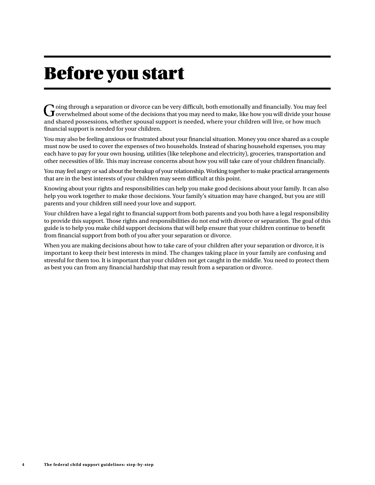## <span id="page-3-0"></span>Before you start

Going through a separation or divorce can be very difficult, both emotionally and financially. You may feel<br>Soverwhelmed about some of the decisions that you may need to make, like how you will divide your house and shared possessions, whether spousal support is needed, where your children will live, or how much financial support is needed for your children.

You may also be feeling anxious or frustrated about your financial situation. Money you once shared as a couple must now be used to cover the expenses of two households. Instead of sharing household expenses, you may each have to pay for your own housing, utilities (like telephone and electricity), groceries, transportation and other necessities of life. This may increase concerns about how you will take care of your children financially.

You may feel angry or sad about the breakup of your relationship. Working together to make practical arrangements that are in the best interests of your children may seem difficult at this point.

Knowing about your rights and responsibilities can help you make good decisions about your family. It can also help you work together to make those decisions. Your family's situation may have changed, but you are still parents and your children still need your love and support.

Your children have a legal right to financial support from both parents and you both have a legal responsibility to provide this support. Those rights and responsibilities do not end with divorce or separation. The goal of this guide is to help you make child support decisions that will help ensure that your children continue to benefit from financial support from both of you after your separation or divorce.

When you are making decisions about how to take care of your children after your separation or divorce, it is important to keep their best interests in mind. The changes taking place in your family are confusing and stressful for them too. It is important that your children not get caught in the middle. You need to protect them as best you can from any financial hardship that may result from a separation or divorce.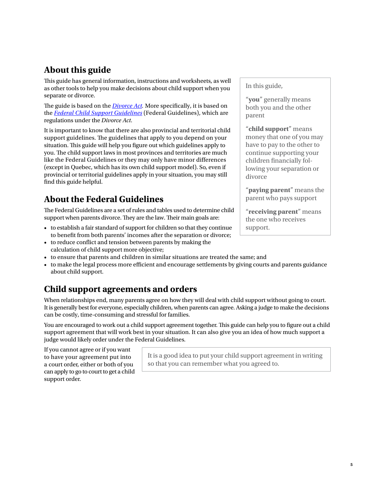## <span id="page-4-0"></span>**About this guide**

This guide has general information, instructions and worksheets, as well as other tools to help you make decisions about child support when you separate or divorce.

The guide is based on the *[Divorce Act](http://laws-lois.justice.gc.ca/eng/acts/D-3.4/index.html).* More specifically, it is based on the *[Federal Child Support Guidelines](http://laws-lois.justice.gc.ca/eng/regulations/SOR-97-175/index.html)* (Federal Guidelines), which are regulations under the *Divorce Act*.

It is important to know that there are also provincial and territorial child support guidelines. The guidelines that apply to you depend on your situation. This guide will help you figure out which guidelines apply to you. The child support laws in most provinces and territories are much like the Federal Guidelines or they may only have minor differences (except in Quebec, which has its own child support model). So, even if provincial or territorial guidelines apply in your situation, you may still find this guide helpful.

## **About the Federal Guidelines**

The Federal Guidelines are a set of rules and tables used to determine child support when parents divorce. They are the law. Their main goals are:

- to establish a fair standard of support for children so that they continue to benefit from both parents' incomes after the separation or divorce;
- to reduce conflict and tension between parents by making the calculation of child support more objective;
- to ensure that parents and children in similar situations are treated the same; and
- • to make the legal process more efficient and encourage settlements by giving courts and parents guidance about child support.

## **Child support agreements and orders**

When relationships end, many parents agree on how they will deal with child support without going to court. It is generally best for everyone, especially children, when parents can agree. Asking a judge to make the decisions can be costly, time-consuming and stressful for families.

You are encouraged to work out a child support agreement together. This guide can help you to figure out a child support agreement that will work best in your situation. It can also give you an idea of how much support a judge would likely order under the Federal Guidelines.

If you cannot agree or if you want to have your agreement put into a court order, either or both of you can apply to go to court to get a child support order.

It is a good idea to put your child support agreement in writing so that you can remember what you agreed to.

In this guide,

"**you**" generally means both you and the other parent

"**child support**" means money that one of you may have to pay to the other to continue supporting your children financially following your separation or divorce

"**paying parent**" means the parent who pays support

"**receiving parent**" means the one who receives support.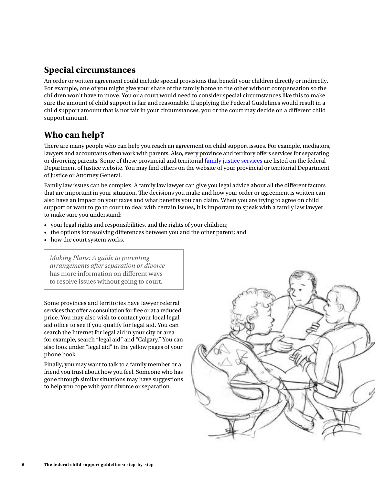## <span id="page-5-0"></span>**Special circumstances**

An order or written agreement could include special provisions that benefit your children directly or indirectly. For example, one of you might give your share of the family home to the other without compensation so the children won't have to move. You or a court would need to consider special circumstances like this to make sure the amount of child support is fair and reasonable. If applying the Federal Guidelines would result in a child support amount that is not fair in your circumstances, you or the court may decide on a different child support amount.

## **Who can help?**

There are many people who can help you reach an agreement on child support issues. For example, mediators, lawyers and accountants often work with parents. Also, every province and territory offers services for separating or divorcing parents. Some of these provincial and territorial family justice [services](http://www.justice.gc.ca/eng/fl-df/fjs-sjf/index.html) are listed on the federal Department of Justice website. You may find others on the website of your provincial or territorial Department of Justice or Attorney General.

Family law issues can be complex. A family law lawyer can give you legal advice about all the different factors that are important in your situation. The decisions you make and how your order or agreement is written can also have an impact on your taxes and what benefits you can claim. When you are trying to agree on child support or want to go to court to deal with certain issues, it is important to speak with a family law lawyer to make sure you understand:

- • your legal rights and responsibilities, and the rights of your children;
- the options for resolving differences between you and the other parent; and
- how the court system works.

*Making Plans: A guide to parenting arrangements after separation or divorce*  has more information on different ways to resolve issues without going to court.

Some provinces and territories have lawyer referral services that offer a consultation for free or at a reduced price. You may also wish to contact your local legal aid office to see if you qualify for legal aid. You can search the Internet for legal aid in your city or area for example, search "legal aid" and "Calgary." You can also look under "legal aid" in the yellow pages of your phone book.

Finally, you may want to talk to a family member or a friend you trust about how you feel. Someone who has gone through similar situations may have suggestions to help you cope with your divorce or separation.

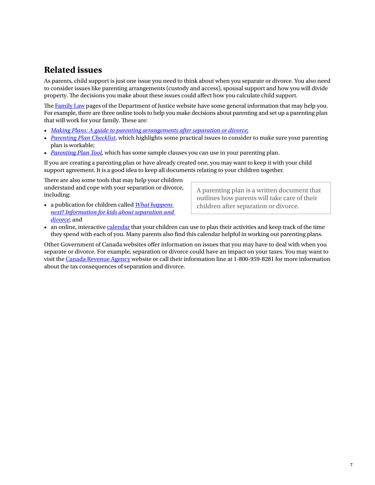## <span id="page-6-0"></span>**Related issues**

As parents, child support is just one issue you need to think about when you separate or divorce. You also need to consider issues like parenting arrangements (custody and access), spousal support and how you will divide property. The decisions you make about these issues could affect how you calculate child support.

The [Family](http://www.justice.gc.ca/eng/fl-df/index.html) Law pages of the Department of Justice website have some general information that may help you. For example, there are three online tools to help you make decisions about parenting and set up a parenting plan that will work for your family. These are:

- • *Making Plans: A guide to parenting [arrangements after separation or divorce](http://www.justice.gc.ca/eng/fl-df/parent/mp-fdp/En-Parenting_Guide.pdf)*;
- *[Parenting Plan Checklist](http://www.justice.gc.ca/eng/fl-df/parent/ppc-lvppp/index.html)*, which highlights some practical issues to consider to make sure your parenting plan is workable;
- *[Parenting Plan Tool](http://www.justice.gc.ca/eng/fl-df/parent/ppt-ecppp/Parenting_Plan_Tool.pdf)*, which has some sample clauses you can use in your parenting plan.

If you are creating a parenting plan or have already created one, you may want to keep it with your child support agreement. It is a good idea to keep all documents relating to your children together.

There are also some tools that may help your children understand and cope with your separation or divorce, including:

• a publication for children called *[What happens](http://www.justice.gc.ca/eng/rp-pr/fl-lf/famil/book-livre/pdf/book-livre.pdf)  [next? Information for kids about separation and](http://www.justice.gc.ca/eng/rp-pr/fl-lf/famil/book-livre/pdf/book-livre.pdf)  [divorce](http://www.justice.gc.ca/eng/rp-pr/fl-lf/famil/book-livre/pdf/book-livre.pdf)*; and

A parenting plan is a written document that outlines how parents will take care of their children after separation or divorce.

• an online, interactive [calendar](http://www.justice.gc.ca/eng/rp-pr/fl-lf/famil/cal/2015/2015.pdf) that your children can use to plan their activities and keep track of the time they spend with each of you. Many parents also find this calendar helpful in working out parenting plans.

Other Government of Canada websites offer information on issues that you may have to deal with when you separate or divorce. For example, separation or divorce could have an impact on your taxes. You may want to visit the Canada [Revenue](http://www.cra-arc.gc.ca/menu-eng.html) Agency website or call their information line at 1-800-959-8281 for more information about the tax consequences of separation and divorce.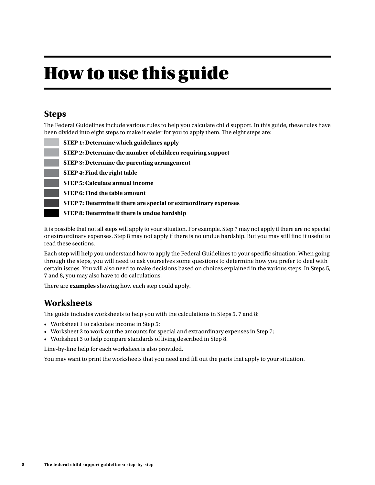# <span id="page-7-0"></span>How to use this guide

## **Steps**

The Federal Guidelines include various rules to help you calculate child support. In this guide, these rules have been divided into eight steps to make it easier for you to apply them. The eight steps are:

**STEP 1: Determine which guidelines apply**

**STEP 2: Determine the number of children requiring support**

**STEP 3: Determine the parenting arrangement** 

**STEP 4: Find the right table**

**STEP 5: Calculate annual income**

**STEP 6: Find the table amount**

**STEP 7: Determine if there are special or extraordinary expenses**

**STEP 8: Determine if there is undue hardship**

It is possible that not all steps will apply to your situation. For example, Step 7 may not apply if there are no special or extraordinary expenses. Step 8 may not apply if there is no undue hardship. But you may still find it useful to read these sections.

Each step will help you understand how to apply the Federal Guidelines to your specific situation. When going through the steps, you will need to ask yourselves some questions to determine how you prefer to deal with certain issues. You will also need to make decisions based on choices explained in the various steps. In Steps 5, 7 and 8, you may also have to do calculations.

There are **examples** showing how each step could apply.

## **Worksheets**

The guide includes worksheets to help you with the calculations in Steps 5, 7 and 8:

- Worksheet 1 to calculate income in Step 5;
- Worksheet 2 to work out the amounts for special and extraordinary expenses in Step 7;
- • Worksheet 3 to help compare standards of living described in Step 8.

Line-by-line help for each worksheet is also provided.

You may want to print the worksheets that you need and fill out the parts that apply to your situation.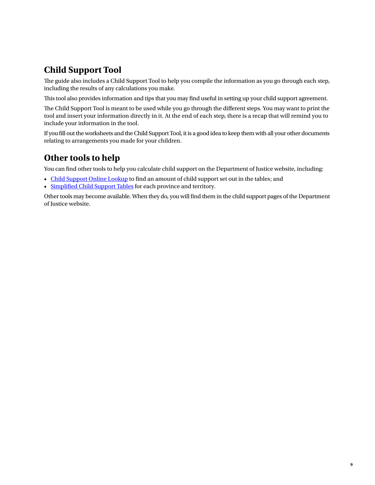## <span id="page-8-0"></span>**Child Support Tool**

The guide also includes a Child Support Tool to help you compile the information as you go through each step, including the results of any calculations you make.

This tool also provides information and tips that you may find useful in setting up your child support agreement.

The Child Support Tool is meant to be used while you go through the different steps. You may want to print the tool and insert your information directly in it. At the end of each step, there is a recap that will remind you to include your information in the tool.

If you fill out the worksheets and theChild Support Tool, it is a good idea to keep them with all your other documents relating to arrangements you made for your children.

## **Other tools to help**

You can find other tools to help you calculate child support on the Department of Justice website, including:

- • Child [Support](http://www.justice.gc.ca/eng/fl-df/child-enfant/look-rech.asp) Online Lookup to find an amount of child support set out in the tables; and
- [Simplified](http://www.justice.gc.ca/eng/fl-df/child-enfant/fcsg-lfpae/2011/index.html) Child Support Tables for each province and territory.

Other tools may become available. When they do, you will find them in the child support pages of the Department of Justice website.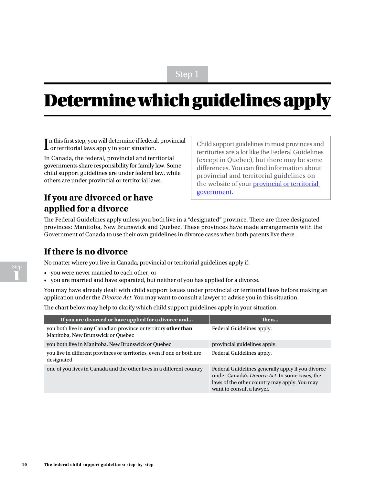### Step 1

## <span id="page-9-0"></span>Determine which guidelines apply

 $\prod$ n this first step, you will determine if federal or territorial laws apply in your situation. n this first step, you will determine if federal, provincial

In Canada, the federal, provincial and territorial governments share responsibility for family law. Some child support guidelines are under federal law, while others are under provincial or territorial laws.

Child support guidelines in most provinces and territories are a lot like the Federal Guidelines (except in Quebec), but there may be some differences. You can find information about provincial and territorial guidelines on the website of your **[provincial](http://www.justice.gc.ca/eng/contact/link-lien.html) or territorial** [government](http://www.justice.gc.ca/eng/contact/link-lien.html).

## **If you are divorced or have applied for a divorce**

The Federal Guidelines apply unless you both live in a "designated" province. There are three designated provinces: Manitoba, New Brunswick and Quebec. These provinces have made arrangements with the Government of Canada to use their own guidelines in divorce cases when both parents live there.

### **If there is no divorce**

No matter where you live in Canada, provincial or territorial guidelines apply if:

- • you were never married to each other; or
- • you are married and have separated, but neither of you has applied for a divorce.

You may have already dealt with child support issues under provincial or territorial laws before making an application under the *Divorce Act*. You may want to consult a lawyer to advise you in this situation.

The chart below may help to clarify which child support guidelines apply in your situation.

| If you are divorced or have applied for a divorce and                                               | Then                                                                                                                                                                             |
|-----------------------------------------------------------------------------------------------------|----------------------------------------------------------------------------------------------------------------------------------------------------------------------------------|
| you both live in any Canadian province or territory other than<br>Manitoba, New Brunswick or Quebec | Federal Guidelines apply.                                                                                                                                                        |
| you both live in Manitoba, New Brunswick or Quebec                                                  | provincial guidelines apply.                                                                                                                                                     |
| you live in different provinces or territories, even if one or both are<br>designated               | Federal Guidelines apply.                                                                                                                                                        |
| one of you lives in Canada and the other lives in a different country                               | Federal Guidelines generally apply if you divorce<br>under Canada's Divorce Act. In some cases, the<br>laws of the other country may apply. You may<br>want to consult a lawyer. |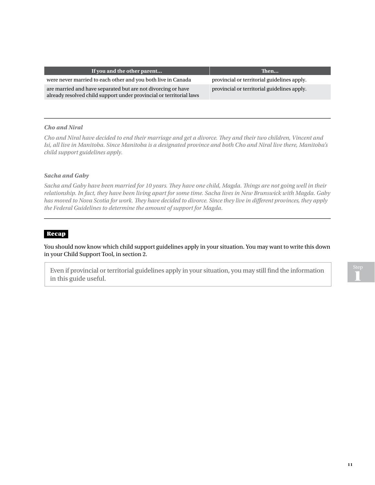| If you and the other parent                                                                                                         | Then                                        |
|-------------------------------------------------------------------------------------------------------------------------------------|---------------------------------------------|
| were never married to each other and you both live in Canada                                                                        | provincial or territorial guidelines apply. |
| are married and have separated but are not divorcing or have<br>already resolved child support under provincial or territorial laws | provincial or territorial guidelines apply. |

#### *Cho and Niral*

*Cho and Niral have decided to end their marriage and get a divorce. They and their two children, Vincent and Isi, all live in Manitoba. Since Manitoba is a designated province and both Cho and Niral live there, Manitoba's child support guidelines apply.*

#### *Sacha and Gaby*

*Sacha and Gaby have been married for 10 years. They have one child, Magda. Things are not going well in their relationship. In fact, they have been living apart for some time. Sacha lives in New Brunswick with Magda. Gaby has moved to Nova Scotia for work. They have decided to divorce. Since they live in different provinces, they apply the Federal Guidelines to determine the amount of support for Magda.*

#### Recap

You should now know which child support guidelines apply in your situation. You may want to write this down in your Child Support Tool, in section 2.

Even if provincial or territorial guidelines apply in your situation, you may still find the information in this guide useful.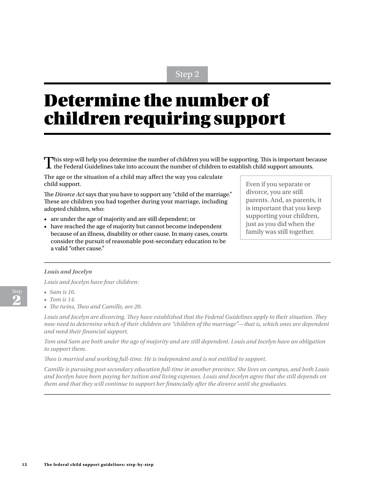## Step 2

## <span id="page-11-0"></span>Determine the number of children requiring support

This step will help you determine the number of children you will be supporting. This is important because the Federal Guidelines take into account the number of children to establish child support amounts.

The age or the situation of a child may affect the way you calculate child support.

The *Divorce Act* says that you have to support any "child of the marriage." These are children you had together during your marriage, including adopted children, who:

- • are under the age of majority and are still dependent; or
- have reached the age of majority but cannot become independent because of an illness, disability or other cause. In many cases, courts consider the pursuit of reasonable post-secondary education to be a valid "other cause."

Even if you separate or divorce, you are still parents. And, as parents, it is important that you keep supporting your children, just as you did when the family was still together.

#### *Louis and Jocelyn*

*Louis and Jocelyn have four children:* 

- • *Sam is 16.*
- • *Tom is 14.*
- • *The twins, Theo and Camille, are 20.*

*Louis and Jocelyn are divorcing. They have established that the Federal Guidelines apply to their situation. They now need to determine which of their children are "children of the marriage"*—*that is, which ones are dependent and need their financial support.* 

*Tom and Sam are both under the age of majority and are still dependent. Louis and Jocelyn have an obligation to support them.*

*Theo is married and working full-time. He is independent and is not entitled to support.*

*Camille is pursuing post-secondary education full-time in another province. She lives on campus, and both Louis and Jocelyn have been paying her tuition and living expenses. Louis and Jocelyn agree that she still depends on them and that they will continue to support her financially after the divorce until she graduates.*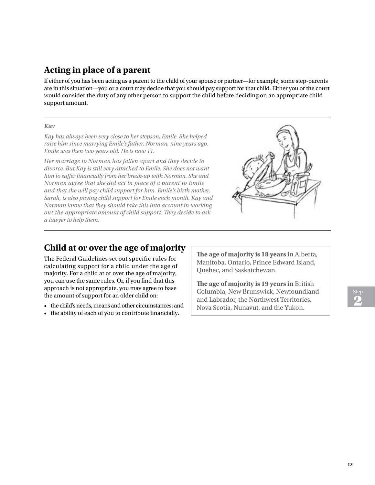## **Acting in place of a parent**

If either of you has been acting as a parent to the child of your spouse or partner—for example, some step-parents are in this situation—you or a court may decide that you should pay support forthat child. Either you orthe court would consider the duty of any other person to support the child before deciding on an appropriate child support amount.

#### *Kay*

*Kay has always been very close to her stepson, Emile. She helped raise him since marrying Emile's father, Norman, nine years ago. Emile was then two years old. He is now 11.*

*Her marriage to Norman has fallen apart and they decide to divorce. But Kay is still very attached to Emile. She does not want him to suffer financially from her break-up with Norman. She and Norman agree that she did act in place of a parent to Emile and that she will pay child support for him. Emile's birth mother, Sarah, is also paying child support for Emile each month. Kay and Norman know that they should take this into account in working out the appropriate amount of child support. They decide to ask a lawyer to help them.*



## **Child at or over the age of majority**

The Federal Guidelines set out specific rules for calculating support for a child under the age of majority. For a child at or over the age of majority, you can use the same rules. Or, if you find that this approach is not appropriate, you may agree to base the amount of support for an older child on:

- the child's needs, means and other circumstances; and
- • the ability of each of you to contribute financially.

**The age of majority is 18 years in** Alberta, Manitoba, Ontario, Prince Edward Island, Quebec, and Saskatchewan.

**The age of majority is 19 years in** British Columbia, New Brunswick, Newfoundland and Labrador, the Northwest Territories, Nova Scotia, Nunavut, and the Yukon.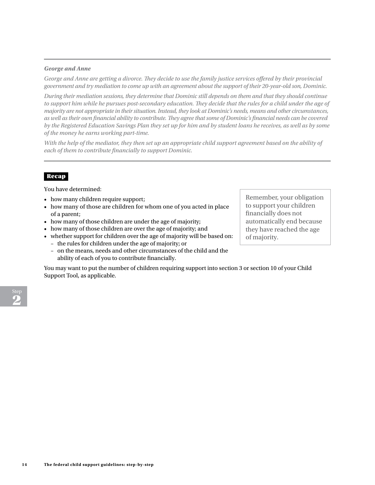#### *George and Anne*

*George and Anne are getting a divorce. They decide to use the family justice services offered by their provincial government and try mediation to come up with an agreement about the support of their 20-year-old son, Dominic.* 

*During their mediation sessions, they determine that Dominic still depends on them and that they should continue to support him while he pursues post-secondary education. They decide that the rules for a child under the age of majority are not appropriate in their situation. Instead, they look at Dominic's needs, means and other circumstances, as well as their own financial ability to contribute. They agree that some of Dominic's financial needs can be covered by the Registered Education Savings Plan they set up for him and by student loans he receives, as well as by some of the money he earns working part-time.* 

*With the help of the mediator, they then set up an appropriate child support agreement based on the ability of each of them to contribute financially to support Dominic.* 

#### Recap

You have determined:

- how many children require support;
- how many of those are children for whom one of you acted in place of a parent;
- how many of those children are under the age of majority;
- how many of those children are over the age of majority; and
- whether support for children over the age of majority will be based on:
	- the rules for children under the age of majority; or
	- on the means, needs and other circumstances of the child and the ability of each of you to contribute financially.

You may want to put the number of children requiring support into section 3 or section 10 of your Child Support Tool, as applicable.

Remember, your obligation to support your children financially does not automatically end because they have reached the age of majority.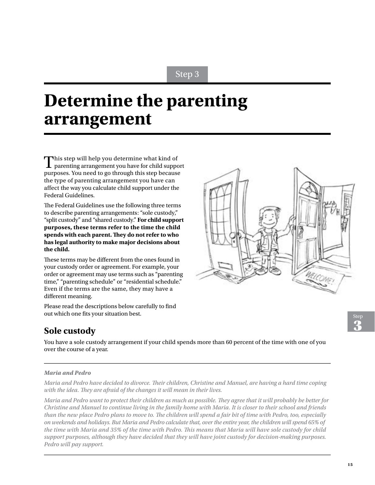### Step 3

## <span id="page-14-0"></span>**Determine the parenting arrangement**

This step will help you determine what kind of parenting arrangement you have for child support purposes. You need to go through this step because the type of parenting arrangement you have can affect the way you calculate child support under the Federal Guidelines.

The Federal Guidelines use the following three terms to describe parenting arrangements: "sole custody," "split custody" and "shared custody." **For child support purposes, these terms refer to the time the child spends with each parent. They do not refer to who has legal authority to make major decisions about the child.**

These terms may be different from the ones found in your custody order or agreement. For example, your order or agreement may use terms such as "parenting time," "parenting schedule" or "residential schedule." Even if the terms are the same, they may have a different meaning.

Please read the descriptions below carefully to find out which one fits your situation best.

## **Sole custody**

You have a sole custody arrangement if your child spends more than 60 percent of the time with one of you over the course of a year.

#### *Maria and Pedro*

*Maria and Pedro have decided to divorce. Their children, Christine and Manuel, are having a hard time coping with the idea. They are afraid of the changes it will mean in their lives.* 

*Maria and Pedro want to protect their children as much as possible. They agree that it will probably be better for Christine and Manuel to continue living in the family home with Maria. It is closer to their school and friends than the new place Pedro plans to move to. The children will spend a fair bit of time with Pedro, too, especially on weekends and holidays. But Maria and Pedro calculate that, over the entire year, the children will spend 65% of the time with Maria and 35% of the time with Pedro. This means that Maria will have sole custody for child support purposes, although they have decided that they will have joint custody for decision-making purposes. Pedro will pay support.*

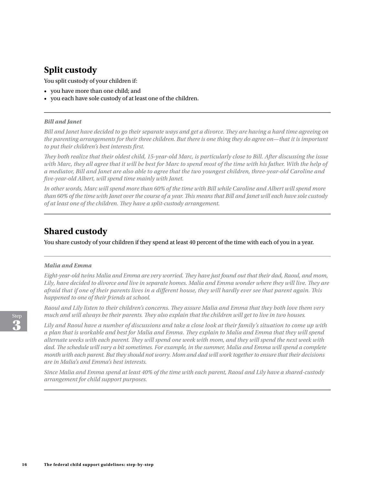## **Split custody**

You split custody of your children if:

- • you have more than one child; and
- you each have sole custody of at least one of the children.

#### *Bill and Janet*

*Bill and Janet have decided to go their separate ways and get a divorce. They are having a hard time agreeing on the parenting arrangements for their three children. But there is one thing they do agree on*—*that it is important to put their children's best interests first.* 

*They both realize that their oldest child, 15-year-old Marc, is particularly close to Bill. After discussing the issue with Marc, they all agree that it will be best for Marc to spend most of the time with his father. With the help of a mediator, Bill and Janet are also able to agree that the two youngest children, three-year-old Caroline and five-year-old Albert, will spend time mainly with Janet.* 

*In other words, Marc will spend more than 60% of the time with Bill while Caroline and Albert will spend more than 60% of the time with Janet over the course of a year. This means that Bill and Janet will each have sole custody of at least one of the children. They have a split-custody arrangement.* 

### **Shared custody**

You share custody of your children if they spend at least 40 percent of the time with each of you in a year.

#### *Malia and Emma*

*Eight-year-old twins Malia and Emma are very worried. They have just found out that their dad, Raoul, and mom, Lily, have decided to divorce and live in separate homes. Malia and Emma wonder where they will live. They are afraid that if one of their parents lives in a different house, they will hardly ever see that parent again. This happened to one of their friends at school.* 

*Raoul and Lily listen to their children's concerns. They assure Malia and Emma that they both love them very much and will always be their parents. They also explain that the children will get to live in two houses.*

*Lily and Raoul have a number of discussions and take a close look at their family's situation to come up with a plan that is workable and best for Malia and Emma. They explain to Malia and Emma that they will spend alternate weeks with each parent. They will spend one week with mom, and they will spend the next week with dad. The schedule will vary a bit sometimes. For example, in the summer, Malia and Emma will spend a complete month with each parent. But they should not worry. Mom and dad will work together to ensure that their decisions are in Malia's and Emma's best interests.* 

*Since Malia and Emma spend at least 40% of the time with each parent, Raoul and Lily have a shared-custody arrangement for child support purposes.*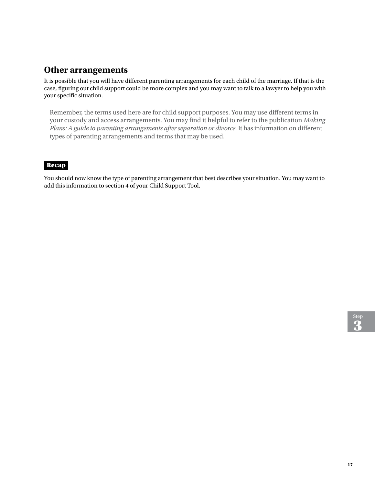## **Other arrangements**

It is possible that you will have different parenting arrangements for each child of the marriage. If that is the case, figuring out child support could be more complex and you may want to talk to a lawyer to help you with your specific situation.

Remember, the terms used here are for child support purposes. You may use different terms in your custody and access arrangements. You may find it helpful to refer to the publication *Making Plans: A guide to parenting arrangements after separation or divorce*. It has information on different types of parenting arrangements and terms that may be used.

#### Recap

You should now know the type of parenting arrangement that best describes your situation. You may want to add this information to section 4 of your Child Support Tool.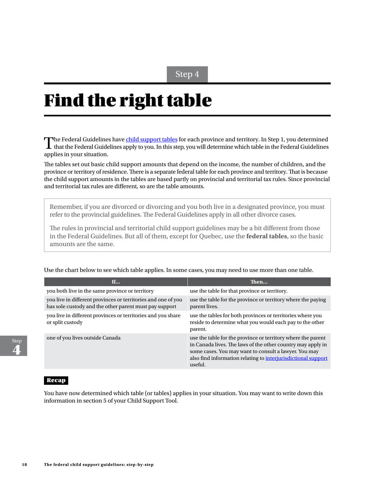### Step 4

## <span id="page-17-0"></span>Find the right table

The Federal Guidelines have [child support tables](http://www.justice.gc.ca/eng/fl-df/child-enfant/ft-tf.html) for each province and territory. In Step 1, you determined that the Federal Guidelines apply to you. In this step, you will determine which table in the Federal Guidelines applies in your situation.

The tables set out basic child support amounts that depend on the income, the number of children, and the province or territory of residence. There is a separate federal table for each province and territory. That is because the child support amounts in the tables are based partly on provincial and territorial tax rules. Since provincial and territorial tax rules are different, so are the table amounts.

Remember, if you are divorced or divorcing and you both live in a designated province, you must refer to the provincial guidelines. The Federal Guidelines apply in all other divorce cases.

The rules in provincial and territorial child support guidelines may be a bit different from those in the Federal Guidelines. But all of them, except for Quebec, use the **federal tables**, so the basic amounts are the same.

Use the chart below to see which table applies*.* In some cases, you may need to use more than one table.

| If                                                                                                                      | Then                                                                                                                                                                                                                                                             |
|-------------------------------------------------------------------------------------------------------------------------|------------------------------------------------------------------------------------------------------------------------------------------------------------------------------------------------------------------------------------------------------------------|
| you both live in the same province or territory                                                                         | use the table for that province or territory.                                                                                                                                                                                                                    |
| you live in different provinces or territories and one of you<br>has sole custody and the other parent must pay support | use the table for the province or territory where the paying<br>parent lives.                                                                                                                                                                                    |
| you live in different provinces or territories and you share<br>or split custody                                        | use the tables for both provinces or territories where you<br>reside to determine what you would each pay to the other<br>parent.                                                                                                                                |
| one of you lives outside Canada                                                                                         | use the table for the province or territory where the parent<br>in Canada lives. The laws of the other country may apply in<br>some cases. You may want to consult a lawyer. You may<br>also find information relating to interjurisdictional support<br>useful. |

#### Recap

You have now determined which table (or tables) applies in your situation. You may want to write down this information in section 5 of your Child Support Tool.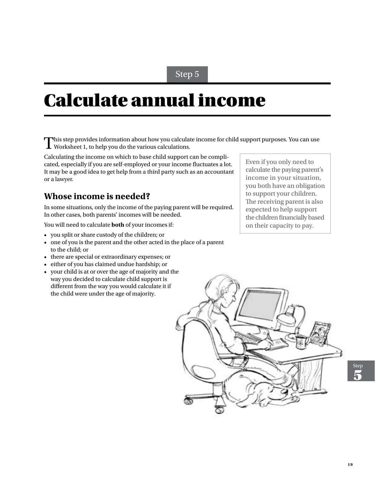## Step 5

## <span id="page-18-0"></span>Calculate annual income

This step provides information about how you calculate income for child support purposes. You can use Worksheet 1, to help you do the various calculations.

Calculating the income on which to base child support can be complicated, especially if you are self-employed or your income fluctuates a lot. It may be a good idea to get help from a third party such as an accountant or a lawyer.

## **Whose income is needed?**

In some situations, only the income of the paying parent will be required. In other cases, both parents' incomes will be needed.

You will need to calculate **both** of your incomes if:

- • you split or share custody of the children; or
- • one of you is the parent and the other acted in the place of a parent to the child; or
- there are special or extraordinary expenses; or
- • either of you has claimed undue hardship; or
- • your child is at or over the age of majority and the way you decided to calculate child support is different from the way you would calculate it if the child were under the age of majority.

Even if you only need to calculate the paying parent's income in your situation, you both have an obligation to support your children. The receiving parent is also expected to help support the children financially based on their capacity to pay.

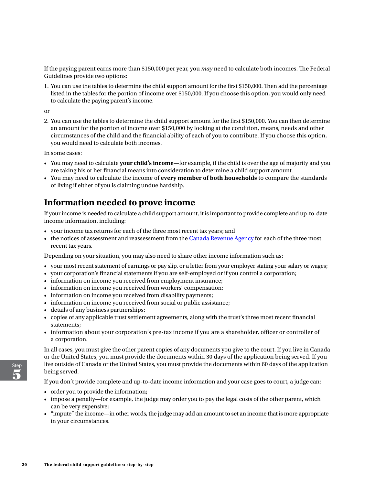If the paying parent earns more than \$150,000 per year, you *may* need to calculate both incomes. The Federal Guidelines provide two options:

1. You can use the tables to determine the child support amount for the first \$150,000. Then add the percentage listed in the tables for the portion of income over \$150,000. If you choose this option, you would only need to calculate the paying parent's income.

or

2. You can use the tables to determine the child support amount for the first \$150,000. You can then determine an amount for the portion of income over \$150,000 by looking at the condition, means, needs and other circumstances of the child and the financial ability of each of you to contribute. If you choose this option, you would need to calculate both incomes.

In some cases:

- • You may need to calculate **your child's income**—for example, if the child is over the age of majority and you are taking his or her financial means into consideration to determine a child support amount.
- • You may need to calculate the income of **every member of both households** to compare the standards of living if either of you is claiming undue hardship.

## **Information needed to prove income**

If yourincome is needed to calculate a child support amount, it is important to provide complete and up‑to‑date income information, including:

- vour income tax returns for each of the three most recent tax years; and
- the notices of assessment and reassessment from the Canada [Revenue](http://www.cra-arc.gc.ca/menu-eng.html) Agency for each of the three most recent tax years.

Depending on your situation, you may also need to share other income information such as:

- your most recent statement of earnings or pay slip, or a letter from your employer stating your salary or wages;
- • your corporation's financial statements if you are self-employed or if you control a corporation;
- information on income you received from employment insurance;
- information on income you received from workers' compensation;
- information on income you received from disability payments;
- information on income you received from social or public assistance;
- • details of any business partnerships;
- • copies of any applicable trust settlement agreements, along with the trust's three most recent financial statements;
- • information about your corporation's pre-tax income if you are a shareholder, officer or controller of a corporation.

In all cases, you must give the other parent copies of any documents you give to the court. If you live in Canada or the United States, you must provide the documents within 30 days of the application being served. If you live outside of Canada or the United States, you must provide the documents within 60 days of the application being served.

If you don't provide complete and up-to-date income information and your case goes to court, a judge can:

- • order you to provide the information;
- impose a penalty—for example, the judge may order you to pay the legal costs of the other parent, which can be very expensive;
- • "impute" the income—in other words, the judge may add an amount to set an income that is more appropriate in your circumstances.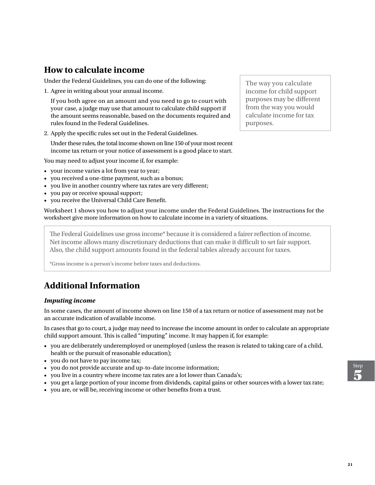## **How to calculate income**

Under the Federal Guidelines, you can do one of the following:

1. Agree in writing about your annual income.

If you both agree on an amount and you need to go to court with your case, a judge may use that amount to calculate child support if the amount seems reasonable, based on the documents required and rules found in the Federal Guidelines.

2. Apply the specific rules set out in the Federal Guidelines.

Under these rules, the total income shown on line 150 of your most recent income tax return or your notice of assessment is a good place to start.

You may need to adjust your income if, for example:

- • your income varies a lot from year to year;
- • you received a one-time payment, such as a bonus;
- you live in another country where tax rates are very different;
- you pay or receive spousal support;
- • you receive the Universal Child Care Benefit.

Worksheet 1 shows you how to adjust your income under the Federal Guidelines. The instructions for the worksheet give more information on how to calculate income in a variety of situations.

The Federal Guidelines use gross income<sup>\*</sup> because it is considered a fairer reflection of income. Net income allows many discretionary deductions that can make it difficult to set fair support. Also, the child support amounts found in the federal tables already account for taxes.

\*Gross income is a person's income before taxes and deductions.

## **Additional Information**

#### *Imputing income*

In some cases, the amount of income shown on line 150 of a tax return or notice of assessment may not be an accurate indication of available income.

In cases that go to court, a judge may need to increase the income amount in order to calculate an appropriate child support amount. This is called "imputing" income. It may happen if, for example:

- • you are deliberately underemployed or unemployed (unless the reason is related to taking care of a child, health or the pursuit of reasonable education);
- you do not have to pay income tax;
- • you do not provide accurate and up-to-date income information;
- • you live in a country where income tax rates are a lot lower than Canada's;
- • you get a large portion of your income from dividends, capital gains or other sources with a lower tax rate;
- • you are, or will be, receiving income or other benefits from a trust.

The way you calculate income for child support purposes may be different from the way you would calculate income for tax purposes.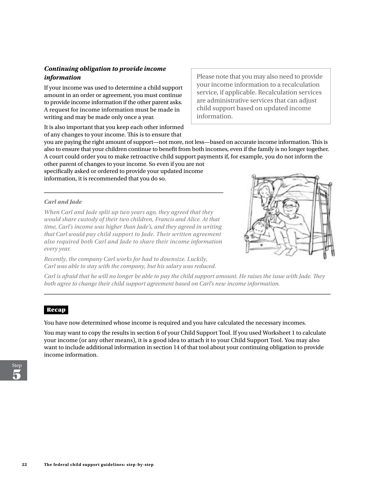#### *Continuing obligation to provide income information*

If your income was used to determine a child support amount in an order or agreement, you must continue to provide income information if the other parent asks. A request for income information must be made in writing and may be made only once a year.

It is also important that you keep each other informed of any changes to your income. This is to ensure that

Please note that you may also need to provide your income information to a recalculation service, if applicable. Recalculation services are administrative services that can adjust child support based on updated income information.

you are paying the right amount of support—not more, not less—based on accurate income information. This is also to ensure that your children continue to benefit from both incomes, even if the family is no longer together. A court could order you to make retroactive child support payments if, for example, you do not inform the other parent of changes to your income. So even if you are not

specifically asked or ordered to provide your updated income information, it is recommended that you do so.

#### *Carl and Jade*

*When Carl and Jade split up two years ago, they agreed that they would share custody of their two children, Francis and Alice. At that time, Carl's income was higher than Jade's, and they agreed in writing that Carl would pay child support to Jade. Their written agreement also required both Carl and Jade to share their income information every year.*

*Recently, the company Carl works for had to downsize. Luckily, Carl was able to stay with the company, but his salary was reduced.*



*Carl is afraid that he will no longer be able to pay the child support amount. He raises the issue with Jade. They both agree to change their child support agreement based on Carl's new income information.* 

#### Recap

You have now determined whose income is required and you have calculated the necessary incomes.

You may want to copy the results in section 6 of your Child Support Tool. If you used Worksheet 1 to calculate your income (or any other means), it is a good idea to attach it to your Child Support Tool. You may also want to include additional information in section 14 of that tool about your continuing obligation to provide income information.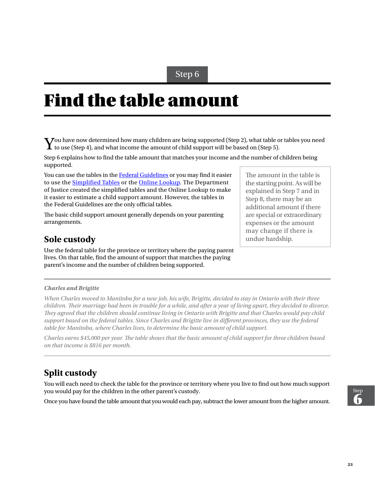### Step 6

## <span id="page-22-0"></span>Find the table amount

You have now determined how many children are being supported (Step 2), what table or tables you need to use (Step 4), and what income the amount of child support will be based on (Step 5).

Step 6 explains how to find the table amount that matches your income and the number of children being supported.

You can use the tables in the Federal [Guidelines](http://laws-lois.justice.gc.ca/eng/regulations/SOR-97-175/index.html) or you may find it easier to use the [Simplified](http://www.justice.gc.ca/eng/fl-df/child-enfant/fcsg-lfpae/2011/index.html) Tables or the [Online Lookup](http://www.justice.gc.ca/eng/fl-df/child-enfant/look-rech.asp). The Department of Justice created the simplified tables and the Online Lookup to make it easier to estimate a child support amount. However, the tables in the Federal Guidelines are the only official tables.

The basic child support amount generally depends on your parenting arrangements.

## **Sole custody**

Use the federal table for the province or territory where the paying parent lives. On that table, find the amount of support that matches the paying parent's income and the number of children being supported.

#### *Charles and Brigitte*

*When Charles moved to Manitoba for a new job, his wife, Brigitte, decided to stay in Ontario with their three children. Their marriage had been in trouble for a while, and after a year of living apart, they decided to divorce. They agreed that the children should continue living in Ontario with Brigitte and that Charles would pay child support based on the federal tables. Since Charles and Brigitte live in different provinces, they use the federal table for Manitoba, where Charles lives, to determine the basic amount of child support.*

*Charles earns \$45,000 per year. The table shows that the basic amount of child support for three children based on that income is \$816 per month.*

## **Split custody**

You will each need to check the table for the province or territory where you live to find out how much support you would pay for the children in the other parent's custody.

Once you have found the table amount that you would each pay, subtract the lower amount from the higher amount.

The amount in the table is the starting point. As will be explained in Step 7 and in Step 8, there may be an additional amount if there are special or extraordinary expenses or the amount may change if there is undue hardship.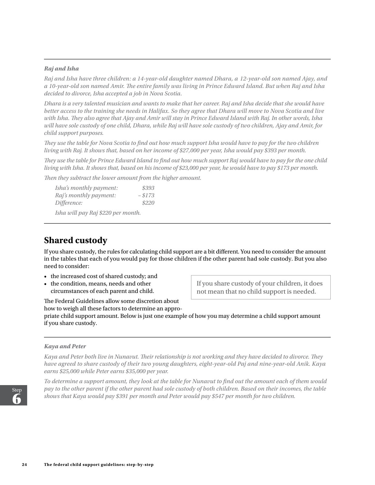#### *Raj and Isha*

*Raj and Isha have three children: a 14-year-old daughter named Dhara, a 12-year-old son named Ajay, and a 10-year-old son named Amir. The entire family was living in Prince Edward Island. But when Raj and Isha decided to divorce, Isha accepted a job in Nova Scotia.* 

*Dhara is a very talented musician and wants to make that her career. Raj and Isha decide that she would have better access to the training she needs in Halifax. So they agree that Dhara will move to Nova Scotia and live with Isha. They also agree that Ajay and Amir will stay in Prince Edward Island with Raj. In other words, Isha will have sole custody of one child, Dhara, while Raj will have sole custody of two children, Ajay and Amir, for child support purposes.* 

*They use the table for Nova Scotia to find out how much support Isha would have to pay for the two children living with Raj. It shows that, based on her income of \$27,000 per year, Isha would pay \$393 per month.* 

*They use the table for Prince Edward Island to find out how much support Raj would have to pay for the one child living with Isha. It shows that, based on his income of \$23,000 per year, he would have to pay \$173 per month.* 

*Then they subtract the lower amount from the higher amount.* 

| Isha's monthly payment: | \$393    |
|-------------------------|----------|
| Raj's monthly payment:  | $- $173$ |
| Difference:             | \$220    |

*Isha will pay Raj \$220 per month.*

## **Shared custody**

If you share custody, the rules for calculating child support are a bit different. You need to consider the amount in the tables that each of you would pay for those children if the other parent had sole custody. But you also need to consider:

- • the increased cost of shared custody; and
- the condition, means, needs and other circumstances of each parent and child.

If you share custody of your children, it does not mean that no child support is needed.

The Federal Guidelines allow some discretion about how to weigh all these factors to determine an appro-

priate child support amount. Below is just one example of how you may determine a child support amount if you share custody.

#### *Kaya and Peter*

*Kaya and Peter both live in Nunavut. Their relationship is not working and they have decided to divorce. They have agreed to share custody of their two young daughters, eight-year-old Paj and nine-year-old Anik. Kaya earns \$25,000 while Peter earns \$35,000 per year.*

*To determine a support amount, they look at the table for Nunavut to find out the amount each of them would pay to the other parent if the other parent had sole custody of both children. Based on their incomes, the table shows that Kaya would pay \$391 per month and Peter would pay \$547 per month for two children.*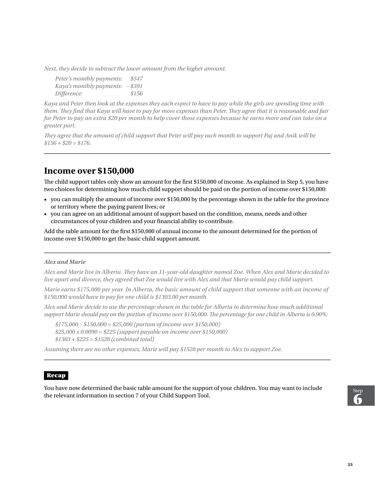*Next, they decide to subtract the lower amount from the higher amount.* 

*Peter's monthly payments: \$547 Kaya's monthly payments: – \$391 Difference: \$156*

*Kaya and Peter then look at the expenses they each expect to have to pay while the girls are spending time with them. They find that Kaya will have to pay for more expenses than Peter. They agree that it is reasonable and fair for Peter to pay an extra \$20 per month to help cover those expenses because he earns more and can take on a greater part.* 

*They agree that the amount of child support that Peter will pay each month to support Paj and Anik will be \$156 + \$20 = \$176.*

### **Income over \$150,000**

The child support tables only show an amount for the first \$150,000 of income. As explained in Step 5, you have two choices for determining how much child support should be paid on the portion of income over \$150,000:

- • you can multiply the amount of income over \$150,000 by the percentage shown in the table for the province or territory where the paying parent lives; or
- • you can agree on an additional amount of support based on the condition, means, needs and other circumstances of your children and your financial ability to contribute.

Add the table amount for the first \$150,000 of annual income to the amount determined for the portion of income over \$150,000 to get the basic child support amount.

#### *Alex and Marie*

*Alex and Marie live in Alberta. They have an 11-year-old daughter named Zoe. When Alex and Marie decided to live apart and divorce, they agreed that Zoe would live with Alex and that Marie would pay child support.* 

*Marie earns \$175,000 per year. In Alberta, the basic amount of child support that someone with an income of \$150,000 would have to pay for one child is \$1303.00 per month.* 

*Alex and Marie decide to use the percentage shown in the table for Alberta to determine how much additional support Marie should pay on the portion of income over \$150,000. The percentage for one child in Alberta is 0.90%:*

*\$175,000 – \$150,000 = \$25,000 (portion of income over \$150,000) \$25,000 x 0.0090 = \$225 (support payable on income over \$150,000) \$1303 + \$225 = \$1528 (combined total)*

*Assuming there are no other expenses, Marie will pay \$1528 per month to Alex to support Zoe.*

#### Recap

You have now determined the basic table amount for the support of your children. You may want to include<br>the relevant information in section 7 of your Child Support Tool.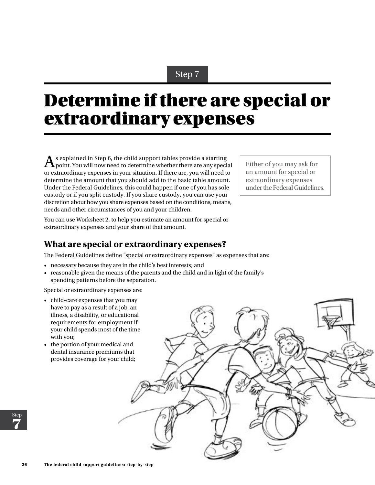## Step 7

## <span id="page-25-0"></span>Determine if there are special or extraordinary expenses

 $\mathbf{A}$ s explained in Step 6, the child support tables provide a starting<br>point. You will now need to determine whether there are any special or extraordinary expenses in your situation. If there are, you will need to determine the amount that you should add to the basic table amount. Under the Federal Guidelines, this could happen if one of you has sole custody or if you split custody. If you share custody, you can use your discretion about how you share expenses based on the conditions, means, needs and other circumstances of you and your children.

Either of you may ask for an amount for special or extraordinary expenses under the Federal Guidelines.

You can use Worksheet 2, to help you estimate an amount for special or extraordinary expenses and your share of that amount.

### **What are special or extraordinary expenses?**

The Federal Guidelines define "special or extraordinary expenses" as expenses that are:

- necessary because they are in the child's best interests; and
- • reasonable given the means of the parents and the child and in light of the family's spending patterns before the separation.

Special or extraordinary expenses are:

- • child-care expenses that you may have to pay as a result of a job, an illness, a disability, or educational requirements for employment if your child spends most of the time with you;
- the portion of your medical and dental insurance premiums that provides coverage for your child;

Step 7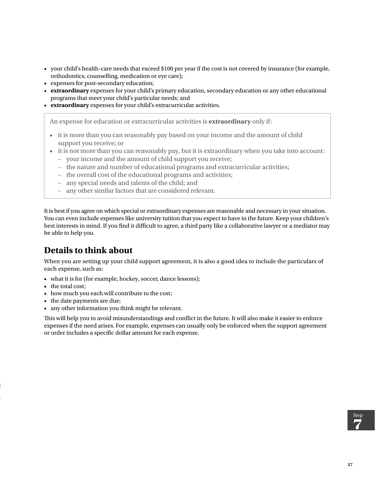- • your child's health-care needs that exceed \$100 per year if the cost is not covered by insurance (for example, orthodontics, counselling, medication or eye care);
- expenses for post-secondary education;
- • **extraordinary** expenses for your child's primary education, secondary education or any other educational programs that meet your child's particular needs; and
- • **extraordinary** expenses for your child's extracurricular activities.

An expense for education or extracurricular activities is **extraordinary** only if:

- it is more than you can reasonably pay based on your income and the amount of child support you receive; or
- it is not more than you can reasonably pay, but it is extraordinary when you take into account: – your income and the amount of child support you receive;
	- the nature and number of educational programs and extracurricular activities;
	- the overall cost of the educational programs and activities;
	- any special needs and talents of the child; and
	- any other similar factors that are considered relevant.

It is best if you agree on which special or extraordinary expenses are reasonable and necessary in your situation. You can even include expenses like university tuition that you expect to have in the future. Keep your children's best interests in mind. If you find it difficult to agree, a third party like a collaborative lawyer or a mediator may be able to help you.

## **Details to think about**

When you are setting up your child support agreement, it is also a good idea to include the particulars of each expense, such as:

- what it is for (for example, hockey, soccer, dance lessons);
- the total cost:
- how much you each will contribute to the cost;
- the date payments are due;
- any other information you think might be relevant.

This will help you to avoid misunderstandings and conflict in the future. It will also make it easier to enforce expenses if the need arises. For example, expenses can usually only be enforced when the support agreement or order includes a specific dollar amount for each expense.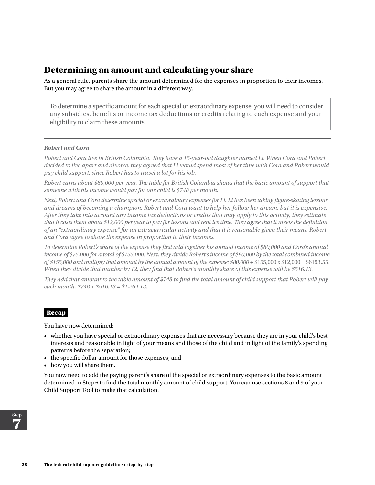## **Determining an amount and calculating your share**

As a general rule, parents share the amount determined for the expenses in proportion to their incomes. But you may agree to share the amount in a different way.

To determine a specific amount for each special or extraordinary expense, you will need to consider any subsidies, benefits or income tax deductions or credits relating to each expense and your eligibility to claim these amounts.

#### *Robert and Cora*

*Robert and Cora live in British Columbia. They have a 15-year-old daughter named Li. When Cora and Robert decided to live apart and divorce, they agreed that Li would spend most of her time with Cora and Robert would pay child support, since Robert has to travel a lot for his job.* 

*Robert earns about \$80,000 per year. The table for British Columbia shows that the basic amount of support that someone with his income would pay for one child is \$748 per month.* 

*Next, Robert and Cora determine special or extraordinary expenses for Li. Li has been taking figure-skating lessons and dreams of becoming a champion. Robert and Cora want to help her follow her dream, but it is expensive. After they take into account any income tax deductions or credits that may apply to this activity, they estimate that it costs them about \$12,000 per year to pay for lessons and rent ice time. They agree that it meets the definition of an "extraordinary expense" for an extracurricular activity and that it is reasonable given their means. Robert and Cora agree to share the expense in proportion to their incomes.*

*To determine Robert's share of the expense they first add together his annual income of \$80,000 and Cora's annual income of \$75,000 for a total of \$155,000. Next, they divide Robert's income of \$80,000 by the total combined income of* \$155,000 and multiply that amount by the annual amount of the expense: \$80,000  $\div$  \$155,000 x \$12,000 = \$6193.55. *When they divide that number by 12, they find that Robert's monthly share of this expense will be \$516.13.* 

*They add that amount to the table amount of \$748 to find the total amount of child support that Robert will pay each month: \$748 + \$516.13 = \$1,264.13.*

#### Recap

You have now determined:

- • whether you have special or extraordinary expenses that are necessary because they are in your child's best interests and reasonable in light of your means and those of the child and in light of the family's spending patterns before the separation;
- the specific dollar amount for those expenses; and
- how you will share them.

You now need to add the paying parent's share of the special or extraordinary expenses to the basic amount determined in Step 6 to find the total monthly amount of child support. You can use sections 8 and 9 of your Child Support Tool to make that calculation.

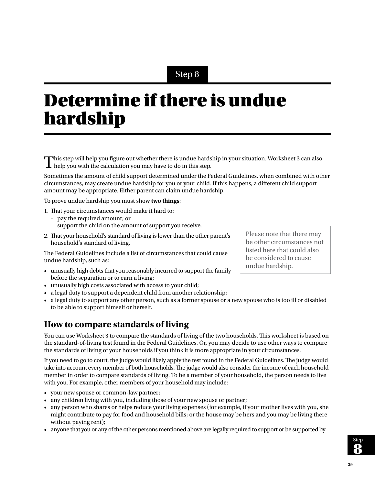## <span id="page-28-0"></span>Determine if there is undue hardship

This step will help you figure out whether there is undue hardship in your situation. Worksheet 3 can also help you with the calculation you may have to do in this step.

Sometimes the amount of child support determined under the Federal Guidelines, when combined with other circumstances, may create undue hardship for you or your child. If this happens, a different child support amount may be appropriate. Either parent can claim undue hardship.

To prove undue hardship you must show **two things**:

1. That your circumstances would make it hard to:

- pay the required amount; or
- support the child on the amount of support you receive.
- 2. That your household's standard of living is lower than the other parent's household's standard of living.

The Federal Guidelines include a list of circumstances that could cause undue hardship, such as:

- unusually high debts that you reasonably incurred to support the family before the separation or to earn a living;
- unusually high costs associated with access to your child;
- a legal duty to support a dependent child from another relationship;
- • a legal duty to support any other person, such as a former spouse or a new spouse who is too ill or disabled to be able to support himself or herself.

### **How to compare standards of living**

You can use Worksheet 3 to compare the standards of living of the two households. This worksheet is based on the standard-of-living test found in the Federal Guidelines. Or, you may decide to use other ways to compare the standards of living of your households if you think it is more appropriate in your circumstances.

If you need to go to court, the judge would likely apply the test found in the Federal Guidelines. The judge would take into account every member of both households.The judge would also considerthe income of each household member in order to compare standards of living. To be a member of your household, the person needs to live with you. For example, other members of your household may include:

- your new spouse or common-law partner;
- any children living with you, including those of your new spouse or partner;
- • any person who shares or helps reduce your living expenses (for example, if your mother lives with you, she might contribute to pay for food and household bills; or the house may be hers and you may be living there without paying rent);
- • anyone that you or any of the other persons mentioned above are legally required to support or be supported by.

Please note that there may be other circumstances not listed here that could also be considered to cause undue hardship.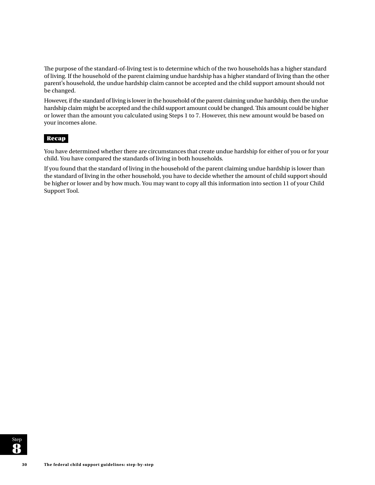The purpose of the standard-of-living test is to determine which of the two households has a higher standard of living. If the household of the parent claiming undue hardship has a higher standard of living than the other parent's household, the undue hardship claim cannot be accepted and the child support amount should not be changed.

However, if the standard of living is lowerin the household of the parent claiming undue hardship, then the undue hardship claim might be accepted and the child support amount could be changed. This amount could be higher or lower than the amount you calculated using Steps 1 to 7. However, this new amount would be based on your incomes alone.

#### Recap

You have determined whether there are circumstances that create undue hardship for either of you or for your child. You have compared the standards of living in both households.

If you found that the standard of living in the household of the parent claiming undue hardship is lower than the standard of living in the other household, you have to decide whether the amount of child support should be higher or lower and by how much. You may want to copy all this information into section 11 of your Child Support Tool.

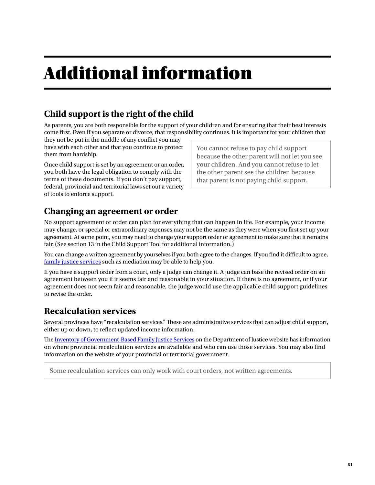# <span id="page-30-0"></span>Additional information

## **Child support is the right of the child**

As parents, you are both responsible for the support of your children and for ensuring that their best interests come first. Even if you separate or divorce, that responsibility continues. It is important for your children that

they not be put in the middle of any conflict you may have with each other and that you continue to protect them from hardship.

Once child support is set by an agreement or an order, you both have the legal obligation to comply with the terms of these documents. If you don't pay support, federal, provincial and territorial laws set out a variety of tools to enforce support.

You cannot refuse to pay child support because the other parent will not let you see your children. And you cannot refuse to let the other parent see the children because that parent is not paying child support.

## **Changing an agreement or order**

No support agreement or order can plan for everything that can happen in life. For example, your income may change, or special or extraordinary expenses may not be the same as they were when you first set up your agreement. At some point, you may need to change your support order or agreement to make sure that itremains fair. (See section 13 in the Child Support Tool for additional information.)

You can change a written agreement by yourselves if you both agree to the changes. If you find it difficult to agree, family justice [services](http://www.justice.gc.ca/eng/fl-df/fjs-sjf/index.html) such as mediation may be able to help you.

If you have a support order from a court, only a judge can change it. A judge can base the revised order on an agreement between you if it seems fair and reasonable in your situation. If there is no agreement, or if your agreement does not seem fair and reasonable, the judge would use the applicable child support guidelines to revise the order.

## **Recalculation services**

Several provinces have "recalculation services." These are administrative services that can adjust child support, either up or down, to reflect updated income information.

The Inventory of [Government-Based](http://www.justice.gc.ca/eng/fl-df/fjs-sjf/sch-rch.asp) Family Justice Services on the Department of Justice website has information on where provincial recalculation services are available and who can use those services. You may also find information on the website of your provincial or territorial government.

Some recalculation services can only work with court orders, not written agreements.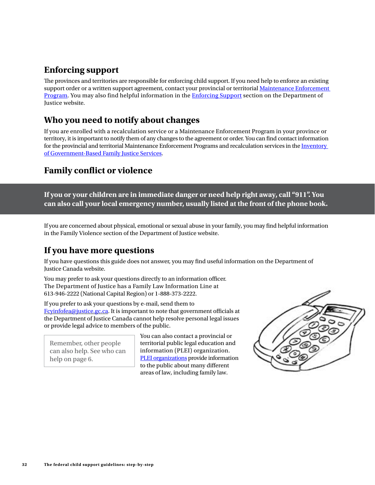## <span id="page-31-0"></span>**Enforcing support**

The provinces and territories are responsible for enforcing child support. If you need help to enforce an existing support order or a written support agreement, contact your provincial or territorial [Maintenance](http://www.justice.gc.ca/eng/fl-df/enforce-execution/provpro.html) Enforcement [Program](http://www.justice.gc.ca/eng/fl-df/enforce-execution/provpro.html). You may also find helpful information in the **[Enforcing](http://www.justice.gc.ca/eng/fl-df/enforce-execution/index.html) Support section** on the Department of Justice website.

## **Who you need to notify about changes**

If you are enrolled with a recalculation service or a Maintenance Enforcement Program in your province or territory, it is important to notify them of any changes to the agreement or order. You can find contact information forthe provincial and territorial Maintenance Enforcement Programs and recalculation services in the [Inventory](http://www.justice.gc.ca/eng/fl-df/fjs-sjf/sch-rch.asp) of [Government-Based](http://www.justice.gc.ca/eng/fl-df/fjs-sjf/sch-rch.asp) Family Justice Services.

## **Family conflict or violence**

**If you or your children are in immediate danger or need help right away, call "911". You can also call your local emergency number, usually listed at the front of the phone book.**

If you are concerned about physical, emotional or sexual abuse in your family, you may find helpful information in the Family Violence section of the Department of Justice website.

## **If you have more questions**

If you have questions this guide does not answer, you may find useful information on the Department of Justice Canada website.

You may prefer to ask your questions directly to an information officer. The Department of Justice has a Family Law Information Line at 613-946‑2222 (National Capital Region) or 1-888-373-2222.

If you prefer to ask your questions by e-mail, send them to [Fcyinfofea@justice.gc.ca](mailto:Fcyinfofea%40justice.gc.ca?subject=). It is important to note that government officials at the Department of Justice Canada cannot help resolve personal legal issues or provide legal advice to members of the public.

Remember, other people can also help. See who can help on page 6.

You can also contact a provincial or territorial public legal education and information (PLEI) organization. PLEI [organizations](http://www.justice.gc.ca/eng/contact/link-lien.html) provide information to the public about many different areas of law, including family law.

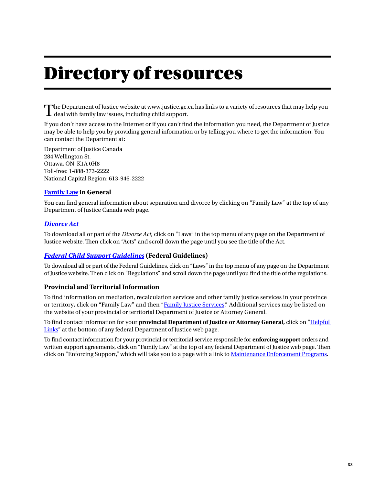# <span id="page-32-0"></span>Directory of resources

The Department of Justice website at www.justice.gc.ca has links to a variety of resources that may help you  $\blacksquare$  deal with family law issues, including child support.

If you don't have access to the Internet or if you can't find the information you need, the Department of Justice may be able to help you by providing general information or by telling you where to get the information. You can contact the Department at:

Department of Justice Canada 284 Wellington St. Ottawa, ON K1A 0H8 Toll-free: 1-888-373-2222 National Capital Region: 613-946-2222

#### **[Family Law](http://www.justice.gc.ca/eng/fl-df/index.html) in General**

You can find general information about separation and divorce by clicking on "Family Law" at the top of any Department of Justice Canada web page.

#### *[Divorce Act](http://laws-lois.justice.gc.ca/eng/acts/D-3.4/index.html)*

To download all or part of the *Divorce Act,* click on "Laws" in the top menu of any page on the Department of Justice website. Then click on "Acts" and scroll down the page until you see the title of the Act.

#### *[Federal Child Support Guidelines](http://laws-lois.justice.gc.ca/eng/regulations/SOR-97-175/index.html)* **(Federal Guidelines)**

To download all or part of the Federal Guidelines, click on "Laws" in the top menu of any page on the Department of Justice website. Then click on "Regulations" and scroll down the page until you find the title of the regulations.

#### **Provincial and Territorial Information**

To find information on mediation, recalculation services and other family justice services in your province or territory, click on "Family Law" and then "Family Justice [Services](http://www.justice.gc.ca/eng/fl-df/fjs-sjf/index.html)." Additional services may be listed on the website of your provincial or territorial Department of Justice or Attorney General.

To find contact information for your **provincial Department of Justice or Attorney General,** click on "[Helpful](http://www.justice.gc.ca/eng/contact/link-lien.html)  [Links](http://www.justice.gc.ca/eng/contact/link-lien.html)" at the bottom of any federal Department of Justice web page.

To find contact information for your provincial or territorial service responsible for **enforcing support** orders and written support agreements, click on "Family Law" at the top of any federal Department of Justice web page. Then click on "Enforcing Support," which will take you to a page with a link to [Maintenance](http://www.justice.gc.ca/eng/fl-df/enforce-execution/provpro.html) Enforcement Programs.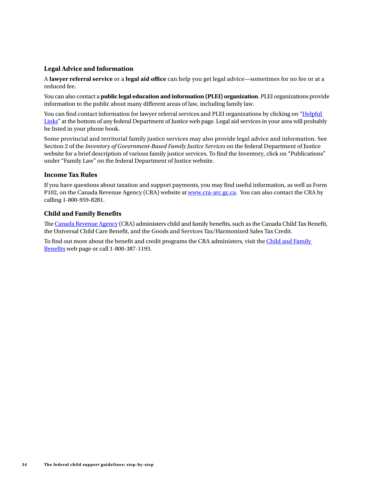#### **Legal Advice and Information**

A **lawyer referral service** or a **legal aid office** can help you get legal advice—sometimes for no fee or at a reduced fee.

You can also contact a **public legal education and information (PLEI) organization**. PLEI organizations provide information to the public about many different areas of law, including family law.

You can find contact information for lawyer referral services and PLEI organizations by clicking on "Helpful [Links](http://www.justice.gc.ca/eng/contact/link-lien.html)" at the bottom of any federal Department of Justice web page. Legal aid services in your area will probably be listed in your phone book.

Some provincial and territorial family justice services may also provide legal advice and information. See Section 2 of the *Inventory of Government-Based Family Justice Services* on the federal Department of Justice website for a brief description of various family justice services. To find the Inventory, click on "Publications" under "Family Law" on the federal Department of Justice website.

#### **Income Tax Rules**

If you have questions about taxation and support payments, you may find useful information, as well as Form P102, on the Canada Revenue Agency (CRA) website at [www.cra-arc.gc.ca](http://www.cra-arc.gc.ca/menu-eng.html). You can also contact the CRA by calling 1-800-959-8281.

#### **Child and Family Benefits**

The Canada [Revenue](http://www.cra-arc.gc.ca/menu-eng.html) Agency (CRA) administers child and family benefits, such as the Canada Child Tax Benefit, the Universal Child Care Benefit, and the Goods and Services Tax/Harmonized Sales Tax Credit.

To find out more about the benefit and credit programs the CRA administers, visit the Child and [Family](http://www.cra-arc.gc.ca/benefits/) [Benefits](http://www.cra-arc.gc.ca/benefits/) web page or call 1-800-387-1193.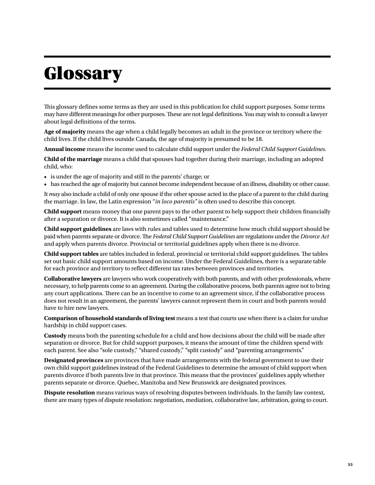## <span id="page-34-0"></span>**Glossary**

This glossary defines some terms as they are used in this publication for child support purposes. Some terms may have different meanings for other purposes.These are not legal definitions. You may wish to consult a lawyer about legal definitions of the terms.

**Age of majority** means the age when a child legally becomes an adult in the province or territory where the child lives. If the child lives outside Canada, the age of majority is presumed to be 18.

**Annual income** means the income used to calculate child support under the *Federal Child Support Guidelines*.

**Child of the marriage** means a child that spouses had together during their marriage, including an adopted child, who:

- is under the age of majority and still in the parents' charge; or
- • has reached the age of majority but cannot become independent because of an illness, disability or other cause.

It *may* also include a child of only one spouse if the other spouse acted in the place of a parent to the child during the marriage. In law, the Latin expression "*in loco parentis"* is often used to describe this concept.

**Child support** means money that one parent pays to the other parent to help support their children financially after a separation or divorce. It is also sometimes called "maintenance."

**Child support guidelines** are laws with rules and tables used to determine how much child support should be paid when parents separate or divorce.The *Federal Child Support Guidelines* are regulations under the *Divorce Act*  and apply when parents divorce. Provincial or territorial guidelines apply when there is no divorce.

**Child support tables** are tables included in federal, provincial or territorial child support guidelines. The tables set out basic child support amounts based on income. Under the Federal Guidelines, there is a separate table for each province and territory to reflect different tax rates between provinces and territories.

**Collaborative lawyers** are lawyers who work cooperatively with both parents, and with other professionals, where necessary, to help parents come to an agreement. During the collaborative process, both parents agree not to bring any court applications. There can be an incentive to come to an agreement since, if the collaborative process does not result in an agreement, the parents' lawyers cannot represent them in court and both parents would have to hire new lawyers.

**Comparison of household standards of living test** means a test that courts use when there is a claim for undue hardship in child support cases.

**Custody** means both the parenting schedule for a child and how decisions about the child will be made after separation or divorce. But for child support purposes, it means the amount of time the children spend with each parent. See also "sole custody," "shared custody," "split custody" and "parenting arrangements."

**Designated provinces** are provinces that have made arrangements with the federal government to use their own child support guidelines instead of the Federal Guidelines to determine the amount of child support when parents divorce if both parents live in that province. This means that the provinces' guidelines apply whether parents separate or divorce. Quebec, Manitoba and New Brunswick are designated provinces.

**Dispute resolution** means various ways of resolving disputes between individuals. In the family law context, there are many types of dispute resolution: negotiation, mediation, collaborative law, arbitration, going to court.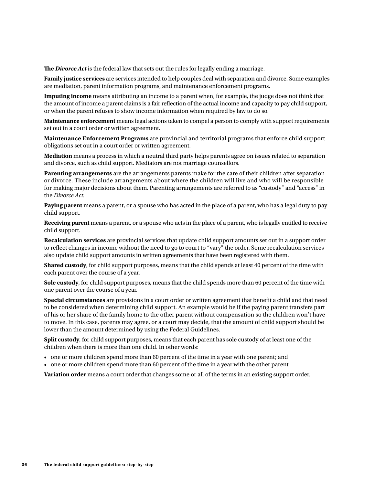**The** *Divorce Act* is the federal law that sets out the rules for legally ending a marriage.

**Family justice services** are services intended to help couples deal with separation and divorce. Some examples are mediation, parent information programs, and maintenance enforcement programs.

**Imputing income** means attributing an income to a parent when, for example, the judge does not think that the amount of income a parent claims is a fair reflection of the actual income and capacity to pay child support, or when the parent refuses to show income information when required by law to do so.

**Maintenance enforcement** means legal actions taken to compel a person to comply with support requirements set out in a court order or written agreement.

**Maintenance Enforcement Programs** are provincial and territorial programs that enforce child support obligations set out in a court order or written agreement.

**Mediation** means a process in which a neutral third party helps parents agree on issues related to separation and divorce, such as child support. Mediators are not marriage counsellors.

**Parenting arrangements** are the arrangements parents make for the care of their children after separation or divorce. These include arrangements about where the children will live and who will be responsible for making major decisions about them. Parenting arrangements are referred to as "custody" and "access" in the *Divorce Act.* 

**Paying parent** means a parent, or a spouse who has acted in the place of a parent, who has a legal duty to pay child support.

**Receiving parent** means a parent, or a spouse who acts in the place of a parent, who is legally entitled to receive child support.

**Recalculation services** are provincial services that update child support amounts set out in a support order to reflect changes in income without the need to go to court to "vary" the order. Some recalculation services also update child support amounts in written agreements that have been registered with them.

**Shared custody**, for child support purposes, means that the child spends at least 40 percent of the time with each parent over the course of a year.

**Sole custody**, for child support purposes, means that the child spends more than 60 percent of the time with one parent over the course of a year.

**Special circumstances** are provisions in a court order or written agreement that benefit a child and that need to be considered when determining child support. An example would be if the paying parent transfers part of his or her share of the family home to the other parent without compensation so the children won't have to move. In this case, parents may agree, or a court may decide, that the amount of child support should be lower than the amount determined by using the Federal Guidelines.

**Split custody**, for child support purposes, means that each parent has sole custody of at least one of the children when there is more than one child. In other words:

- • one or more children spend more than 60 percent of the time in a year with one parent; and
- • one or more children spend more than 60 percent of the time in a year with the other parent.

**Variation order** means a court order that changes some or all of the terms in an existing support order.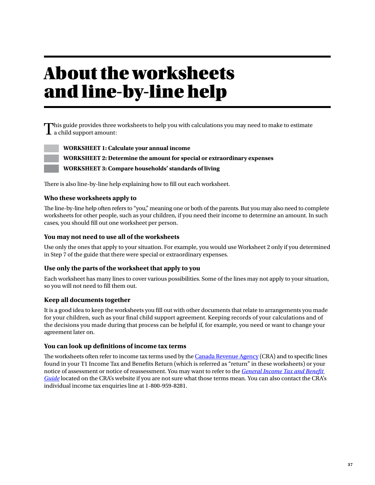# About the worksheets and line-by-line help

This guide provides three worksheets to help you with calculations you may need to make to estimate **L** a child support amount:

**WORKSHEET 1: Calculate your annual income WORKSHEET 2: Determine the amount for special or extraordinary expenses WORKSHEET 3: Compare households' standards of living** 

There is also line-by-line help explaining how to fill out each worksheet.

## **Who these worksheets apply to**

The line-by-line help often refers to "you," meaning one or both of the parents. But you may also need to complete worksheets for other people, such as your children, if you need their income to determine an amount. In such cases, you should fill out one worksheet per person.

## **You may not need to use all of the worksheets**

Use only the ones that apply to your situation. For example, you would use Worksheet 2 only if you determined in Step 7 of the guide that there were special or extraordinary expenses.

## **Use only the parts of the worksheet that apply to you**

Each worksheet has many lines to cover various possibilities. Some of the lines may not apply to your situation, so you will not need to fill them out.

## **Keep all documents together**

It is a good idea to keep the worksheets you fill out with other documents that relate to arrangements you made for your children, such as your final child support agreement. Keeping records of your calculations and of the decisions you made during that process can be helpful if, for example, you need or want to change your agreement later on.

## **You can look up definitions of income tax terms**

The worksheets often refer to income tax terms used by the Canada [Revenue](http://www.cra-arc.gc.ca/menu-eng.html) Agency (CRA) and to specific lines found in your T1 Income Tax and Benefits Return (which is referred as "return" in these worksheets) or your notice of assessment or notice of reassessment. You may want to refer to the *[General Income Tax and Benefit](http://www.cra-arc.gc.ca/formspubs/menu-eng.html)  [Guide](http://www.cra-arc.gc.ca/formspubs/menu-eng.html)* located on the CRA's website if you are not sure what those terms mean. You can also contact the CRA's individual income tax enquiries line at 1-800-959-8281.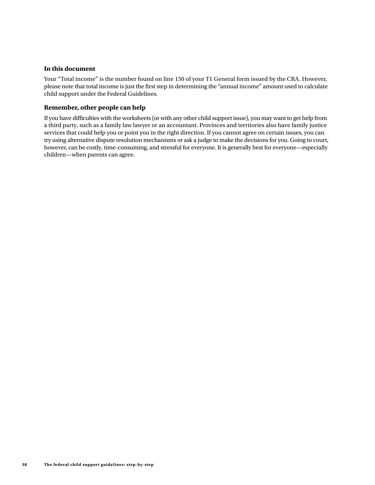## **In this document**

Your "Total income" is the number found on line 150 of your T1 General form issued by the CRA. However, please note that total income is just the first step in determining the "annual income" amount used to calculate child support under the Federal Guidelines.

## **Remember, other people can help**

If you have difficulties with the worksheets (or with any other child support issue), you may want to get help from a third party, such as a family law lawyer or an accountant. Provinces and territories also have family justice services that could help you or point you in the right direction. If you cannot agree on certain issues, you can try using alternative dispute resolution mechanisms or ask a judge to make the decisions for you. Going to court, however, can be costly, time-consuming, and stressful for everyone. It is generally best for everyone—especially children—when parents can agree.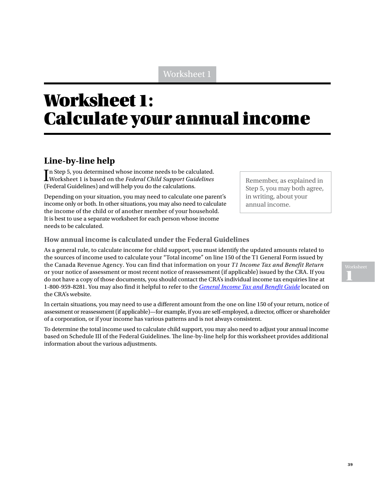# Worksheet 1: Calculate your annual income

# **Line-by-line help**

In Step 5, you determined whose income needs to be calculated.<br>Worksheet 1 is based on the *Federal Child Support Guidelines* Worksheet 1 is based on the *Federal Child Support Guidelines* (Federal Guidelines) and will help you do the calculations.

Depending on your situation, you may need to calculate one parent's income only or both. In other situations, you may also need to calculate the income of the child or of another member of your household. It is best to use a separate worksheet for each person whose income needs to be calculated.

## **How annual income is calculated under the Federal Guidelines**

As a general rule, to calculate income for child support, you must identify the updated amounts related to the sources of income used to calculate your "Total income" on line 150 of the T1 General Form issued by the Canada Revenue Agency. You can find that information on your *T1 Income Tax and Benefit Return* or your notice of assessment or most recent notice of reassessment (if applicable) issued by the CRA. If you do not have a copy of those documents, you should contact the CRA's individual income tax enquiries line at 1-800-959-8281. You may also find it helpful to refer to the *[General Income Tax and Benefit Guide](http://www.cra-arc.gc.ca/E/pub/tg/5000-g/README.html)* located on the CRA's website.

In certain situations, you may need to use a different amount from the one on line 150 of your return, notice of assessment or reassessment (if applicable)—for example, if you are self-employed, a director, officer or shareholder of a corporation, or if your income has various patterns and is not always consistent.

To determine the total income used to calculate child support, you may also need to adjust your annual income based on Schedule III of the Federal Guidelines. The line-by-line help for this worksheet provides additional information about the various adjustments.

Remember, as explained in Step 5, you may both agree, in writing, about your annual income.

1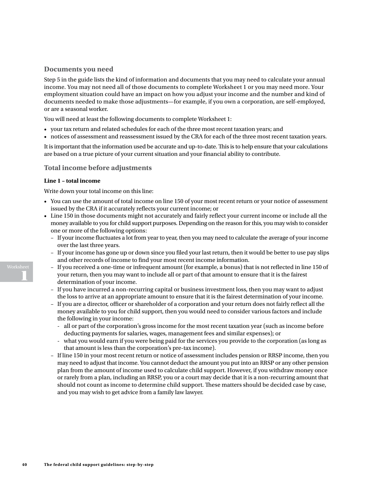## **Documents you need**

Step 5 in the guide lists the kind of information and documents that you may need to calculate your annual income. You may not need all of those documents to complete Worksheet 1 or you may need more. Your employment situation could have an impact on how you adjust your income and the number and kind of documents needed to make those adjustments—for example, if you own a corporation, are self-employed, or are a seasonal worker.

You will need at least the following documents to complete Worksheet 1:

- • your tax return and related schedules for each of the three most recent taxation years; and
- • notices of assessment and reassessment issued by the CRA for each of the three most recent taxation years.

It is important that the information used be accurate and up-to-date. This is to help ensure that your calculations are based on a true picture of your current situation and your financial ability to contribute.

## **Total income before adjustments**

## **Line 1 – total income**

Write down your total income on this line:

- • You can use the amount of total income on line 150 of your most recent return or your notice of assessment issued by the CRA if it accurately reflects your current income; or
- • Line 150 in those documents might not accurately and fairly reflect your current income or include all the money available to you for child support purposes. Depending on the reason forthis, you may wish to consider one or more of the following options:
	- – If your income fluctuates a lot from year to year, then you may need to calculate the average of your income over the last three years.
	- If your income has gone up or down since you filed your last return, then it would be better to use pay slips and other records of income to find your most recent income information.
	- – If you received a one-time or infrequent amount (for example, a bonus) that is not reflected in line 150 of your return, then you may want to include all or part of that amount to ensure that it is the fairest determination of your income.
	- If you have incurred a non-recurring capital or business investment loss, then you may want to adjust the loss to arrive at an appropriate amount to ensure that it is the fairest determination of your income.
	- – If you are a director, officer or shareholder of a corporation and your return does not fairly reflect all the money available to you for child support, then you would need to consider various factors and include the following in your income:
		- all or part of the corporation's gross income for the most recent taxation year (such as income before deducting payments for salaries, wages, management fees and similar expenses); or
		- what you would earn if you were being paid for the services you provide to the corporation (as long as that amount is less than the corporation's pre-tax income).
	- – If line 150 in your most recent return or notice of assessment includes pension or RRSP income, then you may need to adjust that income. You cannot deduct the amount you put into an RRSP or any other pension plan from the amount of income used to calculate child support. However, if you withdraw money once or rarely from a plan, including an RRSP, you or a court may decide that it is a non-recurring amount that should not count as income to determine child support. These matters should be decided case by case, and you may wish to get advice from a family law lawyer.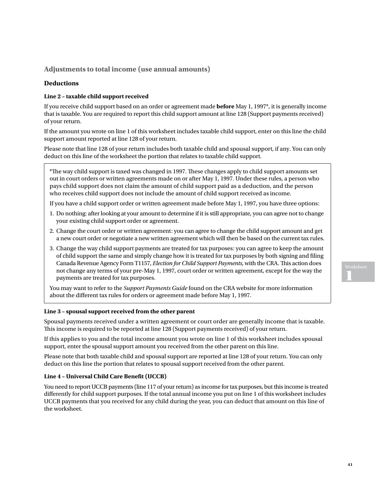## **Adjustments to total income (use annual amounts)**

## **Deductions**

## **Line 2 – taxable child support received**

If you receive child support based on an order or agreement made **before** May 1, 1997\*, it is generally income that is taxable. You are required to report this child support amount at line 128 (Support payments received) of your return.

If the amount you wrote on line 1 of this worksheet includes taxable child support, enter on this line the child support amount reported at line 128 of your return.

Please note that line 128 of your return includes both taxable child and spousal support, if any. You can only deduct on this line of the worksheet the portion that relates to taxable child support.

\*The way child support is taxed was changed in 1997. These changes apply to child support amounts set out in court orders or written agreements made on or after May 1, 1997. Under these rules, a person who pays child support does not claim the amount of child support paid as a deduction, and the person who receives child support does not include the amount of child support received as income.

If you have a child support order or written agreement made before May 1, 1997, you have three options:

- 1. Do nothing: after looking at your amount to determine if it is still appropriate, you can agree not to change your existing child support order or agreement.
- 2. Change the court order or written agreement: you can agree to change the child support amount and get a new court order or negotiate a new written agreement which will then be based on the current tax rules.
- 3. Change the way child support payments are treated for tax purposes: you can agree to keep the amount of child support the same and simply change how it is treated for tax purposes by both signing and filing Canada Revenue Agency Form T1157, *Election for Child Support Payments*, with the CRA.This action does not change any terms of your pre-May 1, 1997, court order or written agreement, except for the way the payments are treated for tax purposes.

You may want to refer to the *Support Payments Guide* found on the CRA website for more information about the different tax rules for orders or agreement made before May 1, 1997.

## **Line 3 – spousal support received from the other parent**

Spousal payments received under a written agreement or court order are generally income that is taxable. This income is required to be reported at line 128 (Support payments received) of your return.

If this applies to you and the total income amount you wrote on line 1 of this worksheet includes spousal support, enter the spousal support amount you received from the other parent on this line.

Please note that both taxable child and spousal support are reported at line 128 of your return. You can only deduct on this line the portion that relates to spousal support received from the other parent.

## **Line 4 – Universal Child Care Benefit (UCCB)**

You need to report UCCB payments (line 117 of your return) as income for tax purposes, but this income is treated differently for child support purposes. If the total annual income you put on line 1 of this worksheet includes UCCB payments that you received for any child during the year, you can deduct that amount on this line of the worksheet.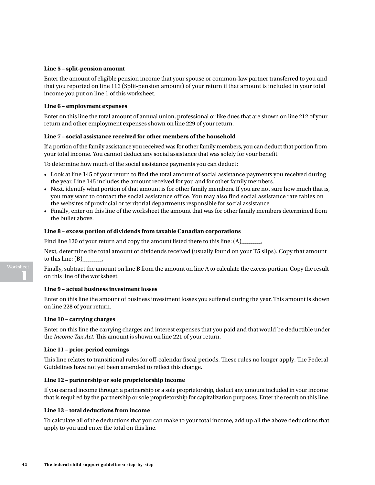## **Line 5 – split-pension amount**

Enter the amount of eligible pension income that your spouse or common-law partner transferred to you and that you reported on line 116 (Split-pension amount) of your return if that amount is included in your total income you put on line 1 of this worksheet.

## **Line 6 – employment expenses**

Enter on this line the total amount of annual union, professional or like dues that are shown on line 212 of your return and other employment expenses shown on line 229 of your return.

## **Line 7 – social assistance received for other members of the household**

If a portion of the family assistance you received was for other family members, you can deduct that portion from your total income. You cannot deduct any social assistance that was solely for your benefit.

To determine how much of the social assistance payments you can deduct:

- • Look at line 145 of your return to find the total amount of social assistance payments you received during the year. Line 145 includes the amount received for you and for other family members.
- • Next, identify what portion of that amount is for other family members. If you are not sure how much that is, you may want to contact the social assistance office. You may also find social assistance rate tables on the websites of provincial or territorial departments responsible for social assistance.
- • Finally, enter on this line of the worksheet the amount that was for other family members determined from the bullet above.

## **Line 8 – excess portion of dividends from taxable Canadian corporations**

Find line 120 of your return and copy the amount listed there to this line: (A)\_\_\_\_\_\_\_\_.

Next, determine the total amount of dividends received (usually found on your T5 slips). Copy that amount to this line:  $(B)$ \_\_\_\_\_\_\_.

Finally, subtract the amount on line B from the amount on line A to calculate the excess portion. Copy the result on this line of the worksheet.

## **Line 9 – actual business investment losses**

Enter on this line the amount of business investment losses you suffered during the year. This amount is shown on line 228 of your return.

## **Line 10 – carrying charges**

1

Enter on this line the carrying charges and interest expenses that you paid and that would be deductible under the *Income Tax Act*. This amount is shown on line 221 of your return.

#### **Line 11 – prior-period earnings**

This line relates to transitional rules for off-calendar fiscal periods. These rules no longer apply. The Federal Guidelines have not yet been amended to reflect this change.

#### **Line 12 – partnership or sole proprietorship income**

If you earned income through a partnership or a sole proprietorship, deduct any amount included in your income that is required by the partnership or sole proprietorship for capitalization purposes. Enter the result on this line.

#### **Line 13 – total deductions from income**

To calculate all of the deductions that you can make to your total income, add up all the above deductions that apply to you and enter the total on this line.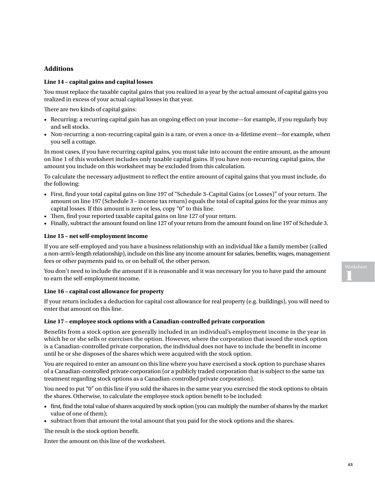1

## **Additions**

## **Line 14 – capital gains and capital losses**

You must replace the taxable capital gains that you realized in a year by the actual amount of capital gains you realized in excess of your actual capital losses in that year.

There are two kinds of capital gains:

- • Recurring: a recurring capital gain has an ongoing effect on your income—for example, if you regularly buy and sell stocks.
- • Non-recurring: a non-recurring capital gain is a rare, or even a once-in-a-lifetime event—for example, when you sell a cottage.

In most cases, if you have recurring capital gains, you must take into account the entire amount, as the amount on line 1 of this worksheet includes only taxable capital gains. If you have non-recurring capital gains, the amount you include on this worksheet may be excluded from this calculation.

To calculate the necessary adjustment to reflect the entire amount of capital gains that you must include, do the following:

- • First, find your total capital gains on line 197 of "Schedule 3–Capital Gains (or Losses)" of your return. The amount on line 197 (Schedule 3 – income tax return) equals the total of capital gains for the year minus any capital losses. If this amount is zero or less, copy "0" to this line.
- Then, find your reported taxable capital gains on line 127 of your return.
- • Finally, subtract the amount found on line 127 of yourreturn from the amount found on line 197 of Schedule 3.

## **Line 15 – net self-employment income**

If you are self-employed and you have a business relationship with an individual like a family member (called a non-arm's-length relationship), include on this line any income amount for salaries, benefits, wages, management fees or other payments paid to, or on behalf of, the other person.

You don't need to include the amount if it is reasonable and it was necessary for you to have paid the amount to earn the self-employment income.

## **Line 16 – capital cost allowance for property**

If your return includes a deduction for capital cost allowance for real property (e.g. buildings), you will need to enter that amount on this line.

## **Line 17 – employee stock options with a Canadian-controlled private corporation**

Benefits from a stock option are generally included in an individual's employment income in the year in which he or she sells or exercises the option. However, where the corporation that issued the stock option is a Canadian-controlled private corporation, the individual does not have to include the benefit in income until he or she disposes of the shares which were acquired with the stock option.

You are required to enter an amount on this line where you have exercised a stock option to purchase shares of a Canadian-controlled private corporation (or a publicly traded corporation that is subject to the same tax treatment regarding stock options as a Canadian-controlled private corporation).

You need to put "0" on this line if you sold the shares in the same year you exercised the stock options to obtain the shares. Otherwise, to calculate the employee stock option benefit to be included:

- • first, find the total value of shares acquired by stock option (you can multiply the number of shares by the market value of one of them);
- • subtract from that amount the total amount that you paid for the stock options and the shares.

The result is the stock option benefit.

Enter the amount on this line of the worksheet.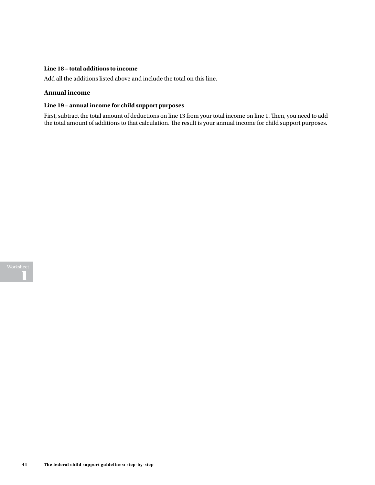## **Line 18 – total additions to income**

Add all the additions listed above and include the total on this line.

## **Annual income**

1

## **Line 19 – annual income for child support purposes**

First, subtract the total amount of deductions on line 13 from your total income on line 1. Then, you need to add the total amount of additions to that calculation. The result is your annual income for child support purposes.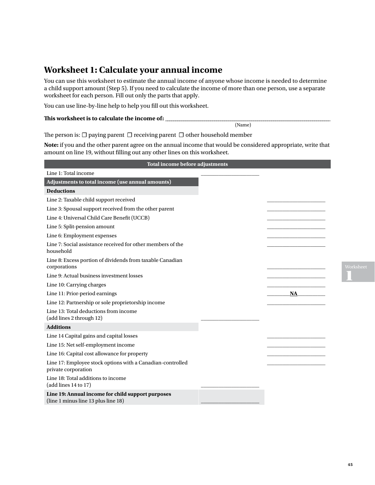# **Worksheet 1: Calculate your annual income**

You can use this worksheet to estimate the annual income of anyone whose income is needed to determine a child support amount (Step 5). If you need to calculate the income of more than one person, use a separate worksheet for each person. Fill out only the parts that apply.

You can use line-by-line help to help you fill out this worksheet.

## This worksheet is to calculate the income of:

(Name)

The person is:  $\Box$  paying parent  $\Box$  receiving parent  $\Box$  other household member

**Note:** if you and the other parent agree on the annual income that would be considered appropriate, write that amount on line 19, without filling out any other lines on this worksheet.

| Total income before adjustments                                                          |  |           |       |  |
|------------------------------------------------------------------------------------------|--|-----------|-------|--|
| Line 1: Total income                                                                     |  |           |       |  |
| Adjustments to total income (use annual amounts)                                         |  |           |       |  |
| <b>Deductions</b>                                                                        |  |           |       |  |
| Line 2: Taxable child support received                                                   |  |           |       |  |
| Line 3: Spousal support received from the other parent                                   |  |           |       |  |
| Line 4: Universal Child Care Benefit (UCCB)                                              |  |           |       |  |
| Line 5: Split-pension amount                                                             |  |           |       |  |
| Line 6: Employment expenses                                                              |  |           |       |  |
| Line 7: Social assistance received for other members of the<br>household                 |  |           |       |  |
| Line 8: Excess portion of dividends from taxable Canadian<br>corporations                |  |           | Works |  |
| Line 9: Actual business investment losses                                                |  |           |       |  |
| Line 10: Carrying charges                                                                |  |           |       |  |
| Line 11: Prior-period earnings                                                           |  | <b>NA</b> |       |  |
| Line 12: Partnership or sole proprietorship income                                       |  |           |       |  |
| Line 13: Total deductions from income<br>(add lines 2 through 12)                        |  |           |       |  |
| <b>Additions</b>                                                                         |  |           |       |  |
| Line 14 Capital gains and capital losses                                                 |  |           |       |  |
| Line 15: Net self-employment income                                                      |  |           |       |  |
| Line 16: Capital cost allowance for property                                             |  |           |       |  |
| Line 17: Employee stock options with a Canadian-controlled<br>private corporation        |  |           |       |  |
| Line 18: Total additions to income<br>(add lines 14 to 17)                               |  |           |       |  |
| Line 19: Annual income for child support purposes<br>(line 1 minus line 13 plus line 18) |  |           |       |  |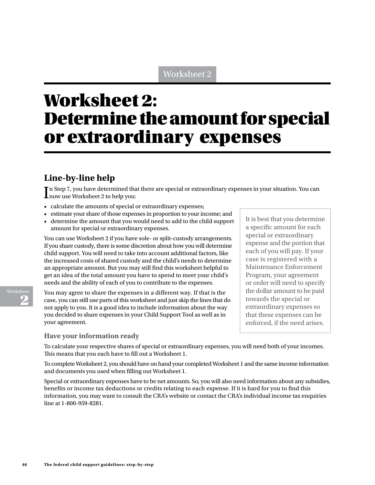## Worksheet 2

# Worksheet 2: Determine the amount for special or extraordinary expenses

# **Line-by-line help**

In Step 7, you have determined that there are special or extraordinary expenses in your situation. You can now use Worksheet 2 to help you: now use Worksheet 2 to help you:

- calculate the amounts of special or extraordinary expenses;
- estimate your share of those expenses in proportion to your income; and
- determine the amount that you would need to add to the child support amount for special or extraordinary expenses.

You can use Worksheet 2 if you have sole- or split-custody arrangements. If you share custody, there is some discretion about how you will determine child support. You will need to take into account additional factors, like the increased costs of shared custody and the child's needs to determine an appropriate amount. But you may still find this worksheet helpful to get an idea of the total amount you have to spend to meet your child's needs and the ability of each of you to contribute to the expenses.

You may agree to share the expenses in a different way. If that is the case, you can still use parts of this worksheet and just skip the lines that do not apply to you. It is a good idea to include information about the way you decided to share expenses in your Child Support Tool as well as in your agreement.

It is best that you determine a specific amount for each special or extraordinary expense and the portion that each of you will pay. If your case is registered with a Maintenance Enforcement Program, your agreement or order will need to specify the dollar amount to be paid towards the special or extraordinary expenses so that these expenses can be enforced, if the need arises.

## **Have your information ready**

To calculate your respective shares of special or extraordinary expenses, you will need both of your incomes. This means that you each have to fill out a Worksheet 1.

To complete Worksheet 2, you should have on hand your completed Worksheet 1 and the same income information and documents you used when filling out Worksheet 1.

Special or extraordinary expenses have to be net amounts. So, you will also need information about any subsidies, benefits or income tax deductions or credits relating to each expense. If it is hard for you to find this information, you may want to consult the CRA's website or contact the CRA's individual income tax enquiries line at 1-800-959-8281.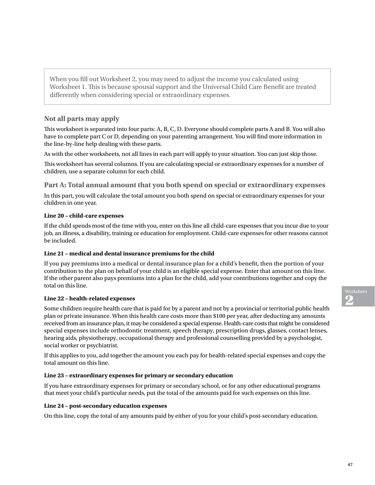When you fill out Worksheet 2, you may need to adjust the income you calculated using Worksheet 1. This is because spousal support and the Universal Child Care Benefit are treated differently when considering special or extraordinary expenses.

## **N ot all parts may apply**

This worksheet is separated into four parts: A, B, C, D. Everyone should complete parts A and B. You will also have to complete part C or D, depending on your parenting arrangement. You will find more information in the line-by-line help dealing with these parts.

As with the other worksheets, not all lines in each part will apply to your situation. You can just skip those.

This worksheet has several columns. If you are calculating special or extraordinary expenses for a number of children, use a separate column for each child.

## **Part A: Total annual amount that you both spend on special or extraordinary expenses**

In this part, you will calculate the total amount you both spend on special or extraordinary expenses for your children in one year.

## **Line 20 – child-care expenses**

If the child spends most of the time with you, enter on this line all child-care expenses that you incur due to your job, an illness, a disability, training or education for employment. Child-care expenses for other reasons cannot be included.

## **Line 21 – medical and dental insurance premiums for the child**

If you pay premiums into a medical or dental insurance plan for a child's benefit, then the portion of your contribution to the plan on behalf of your child is an eligible special expense. Enter that amount on this line. If the other parent also pays premiums into a plan for the child, add your contributions together and copy the total on this line.

## **Line 22 – health-related expenses**

Some children require health care that is paid for by a parent and not by a provincial or territorial public health plan or private insurance. When this health care costs more than \$100 per year, after deducting any amounts received from an insurance plan, it may be considered a special expense. Health-care costs that might be considered special expenses include orthodontic treatment, speech therapy, prescription drugs, glasses, contact lenses, hearing aids, physiotherapy, occupational therapy and professional counselling provided by a psychologist, social worker or psychiatrist.

If this applies to you, add together the amount you each pay for health-related special expenses and copy the total amount on this line.

## **Line 23 – extraordinary expenses for primary or secondary education**

If you have extraordinary expenses for primary or secondary school, or for any other educational programs that meet your child's particular needs, put the total of the amounts paid for such expenses on this line.

## **Line 24 – post-secondary education expenses**

On this line, copy the total of any amounts paid by either of you for your child's post-secondary education.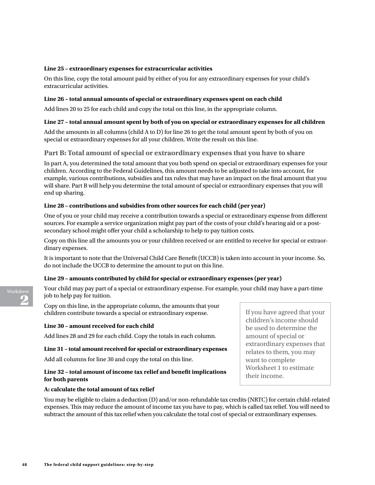## **Line 25 – extraordinary expenses for extracurricular activities**

On this line, copy the total amount paid by either of you for any extraordinary expenses for your child's extracurricular activities.

## **Line 26 – total annual amounts of special or extraordinary expenses spent on each child**

Add lines 20 to 25 for each child and copy the total on this line, in the appropriate column.

## **Line 27 – total annual amount spent by both of you on special or extraordinary expenses for all children**

Add the amounts in all columns (child A to D) for line 26 to get the total amount spent by both of you on special or extraordinary expenses for all your children. Write the result on this line.

## **Part B: Total amount of special or extraordinary expenses that you have to share**

In part A, you determined the total amount that you both spend on special or extraordinary expenses for your children. According to the Federal Guidelines, this amount needs to be adjusted to take into account, for example, various contributions, subsidies and tax rules that may have an impact on the final amount that you will share. Part B will help you determine the total amount of special or extraordinary expenses that you will end up sharing.

## **Line 28 – contributions and subsidies from other sources for each child (per year)**

One of you or your child may receive a contribution towards a special or extraordinary expense from different sources. For example a service organization might pay part of the costs of your child's hearing aid or a postsecondary school might offer your child a scholarship to help to pay tuition costs.

Copy on this line all the amounts you or your children received or are entitled to receive for special or extraordinary expenses.

It is important to note that the Universal Child Care Benefit (UCCB) is taken into account in your income. So, do not include the UCCB to determine the amount to put on this line.

## **Line 29 – amounts contributed by child for special or extraordinary expenses (per year)**

Your child may pay part of a special or extraordinary expense. For example, your child may have a part-time job to help pay for tuition.

Copy on this line, in the appropriate column, the amounts that your children contribute towards a special or extraordinary expense.

## **Line 30 – amount received for each child**

Add lines 28 and 29 for each child. Copy the totals in each column.

## **Line 31 – total amount received for special or extraordinary expenses**

Add all columns for line 30 and copy the total on this line.

## **Line 32 – total amount of income tax relief and benefit implications for both parents**

## **A: calculate the total amount of tax relief**

You may be eligible to claim a deduction (D) and/or non-refundable tax credits (NRTC) for certain child-related expenses. This may reduce the amount of income tax you have to pay, which is called tax relief. You will need to subtract the amount of this tax relief when you calculate the total cost of special or extraordinary expenses.

If you have agreed that your children's income should be used to determine the amount of special or extraordinary expenses that relates to them, you may want to complete Worksheet 1 to estimate their income.

Worksheet 2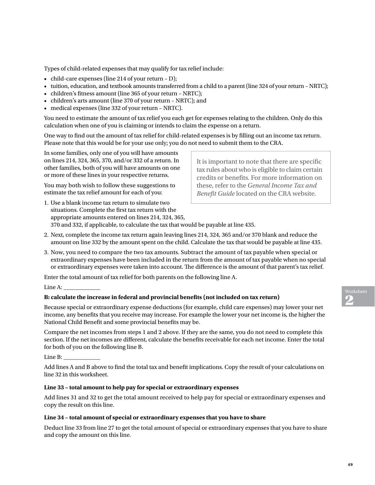Types of child-related expenses that may qualify for tax relief include:

- child-care expenses (line 214 of your return D);
- tuition, education, and textbook amounts transferred from a child to a parent (line 324 of your return NRTC);
- children's fitness amount (line 365 of your return NRTC);
- • children's arts amount (line 370 of your return NRTC); and
- • medical expenses (line 332 of your return NRTC).

You need to estimate the amount of tax relief you each get for expenses relating to the children. Only do this calculation when one of you is claiming or intends to claim the expense on a return.

One way to find out the amount of tax relief for child-related expenses is by filling out an income tax return. Please note that this would be for your use only; you do not need to submit them to the CRA.

In some families, only one of you will have amounts on lines 214, 324, 365, 370, and/or 332 of a return. In other families, both of you will have amounts on one or more of these lines in your respective returns.

You may both wish to follow these suggestions to estimate the tax relief amount for each of you:

It is important to note that there are specific tax rules about who is eligible to claim certain credits or benefits. For more information on these, refer to the *General Income Tax and Benefit Guide* located on the CRA website.

- 1. Use a blank income tax return to simulate two situations. Complete the first tax return with the appropriate amounts entered on lines 214, 324, 365, 370 and 332, if applicable, to calculate the tax that would be payable at line 435.
- 2. Next, complete the income tax return again leaving lines 214, 324, 365 and/or 370 blank and reduce the amount on line 332 by the amount spent on the child. Calculate the tax that would be payable at line 435.
- 3. Now, you need to compare the two tax amounts. Subtract the amount of tax payable when special or extraordinary expenses have been included in the return from the amount of tax payable when no special or extraordinary expenses were taken into account. The difference is the amount of that parent's tax relief.

Enter the total amount of tax relief for both parents on the following line A.

Line A:

## **B: calculate the increase in federal and provincial benefits (not included on tax return)**

Because special or extraordinary expense deductions (for example, child care expenses) may lower your net income, any benefits that you receive may increase. For example the lower your net income is, the higher the National Child Benefit and some provincial benefits may be.

Compare the net incomes from steps 1 and 2 above. If they are the same, you do not need to complete this section. If the net incomes are different, calculate the benefits receivable for each net income. Enter the total for both of you on the following line B.

Line B:

Add lines A and B above to find the total tax and benefit implications. Copy the result of your calculations on line 32 in this worksheet.

## **Line 33 – total amount to help pay for special or extraordinary expenses**

Add lines 31 and 32 to get the total amount received to help pay for special or extraordinary expenses and copy the result on this line.

## **Line 34 – total amount of special or extraordinary expenses that you have to share**

Deduct line 33 from line 27 to get the total amount of special or extraordinary expenses that you have to share and copy the amount on this line.

2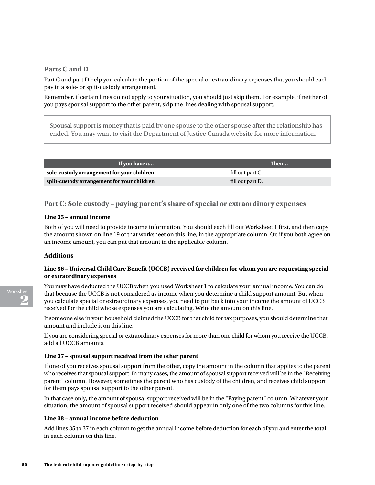## **Parts C and D**

Part C and part D help you calculate the portion of the special or extraordinary expenses that you should each pay in a sole- or split-custody arrangement.

Remember, if certain lines do not apply to your situation, you should just skip them. For example, if neither of you pays spousal support to the other parent, skip the lines dealing with spousal support.

Spousal support is money that is paid by one spouse to the other spouse after the relationship has ended. You may want to visit the Department of Justice Canada website for more information.

| If you have a                               | Then             |
|---------------------------------------------|------------------|
| sole-custody arrangement for your children  | fill out part C. |
| split-custody arrangement for your children | fill out part D. |

## **Part C: Sole custody – paying parent's share of special or extraordinary expenses**

## **Line 35 – annual income**

Both of you will need to provide income information. You should each fill out Worksheet 1 first, and then copy the amount shown on line 19 of that worksheet on this line, in the appropriate column. Or, if you both agree on an income amount, you can put that amount in the applicable column.

## **Additions**

## **Line 36 – Universal Child Care Benefit (UCCB) received for children for whom you are requesting special or extraordinary expenses**

You may have deducted the UCCB when you used Worksheet 1 to calculate your annual income. You can do that because the UCCB is not considered as income when you determine a child support amount. But when you calculate special or extraordinary expenses, you need to put back into your income the amount of UCCB received for the child whose expenses you are calculating. Write the amount on this line.

If someone else in your household claimed the UCCB for that child for tax purposes, you should determine that amount and include it on this line.

If you are considering special or extraordinary expenses for more than one child for whom you receive the UCCB, add all UCCB amounts.

#### **Line 37 – spousal support received from the other parent**

If one of you receives spousal support from the other, copy the amount in the column that applies to the parent who receives that spousal support. In many cases, the amount of spousal support received will be in the "Receiving parent" column. However, sometimes the parent who has custody of the children, and receives child support for them pays spousal support to the other parent.

In that case only, the amount of spousal support received will be in the "Paying parent" column. Whatever your situation, the amount of spousal support received should appear in only one of the two columns for this line.

#### **Line 38 – annual income before deduction**

Add lines 35 to 37 in each column to get the annual income before deduction for each of you and enter the total in each column on this line.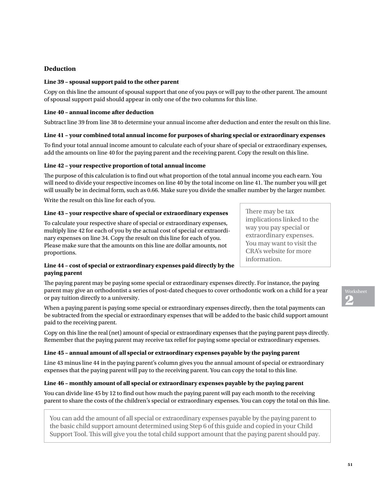## **Line 39 – spousal support paid to the other parent**

Copy on this line the amount of spousal support that one of you pays or will pay to the other parent. The amount of spousal support paid should appear in only one of the two columns for this line.

## **Line 40 – annual income after deduction**

Subtract line 39 from line 38 to determine your annual income after deduction and enter the result on this line.

## **Line 41 – your combined total annual income for purposes of sharing special or extraordinary expenses**

To find your total annual income amount to calculate each of your share of special or extraordinary expenses, add the amounts on line 40 for the paying parent and the receiving parent. Copy the result on this line.

## **Line 42 – your respective proportion of total annual income**

The purpose of this calculation is to find out what proportion of the total annual income you each earn. You will need to divide your respective incomes on line 40 by the total income on line 41. The number you will get will usually be in decimal form, such as 0.66. Make sure you divide the smaller number by the larger number.

Write the result on this line for each of you.

## **Line 43 – your respective share of special or extraordinary expenses**

To calculate your respective share of special or extraordinary expenses, multiply line 42 for each of you by the actual cost of special or extraordinary expenses on line 34. Copy the result on this line for each of you. Please make sure that the amounts on this line are dollar amounts, not proportions.

## **Line 44 – cost of special or extraordinary expenses paid directly by the paying parent**

The paying parent may be paying some special or extraordinary expenses directly. For instance, the paying parent may give an orthodontist a series of post-dated cheques to cover orthodontic work on a child for a year or pay tuition directly to a university.

When a paying parent is paying some special or extraordinary expenses directly, then the total payments can be subtracted from the special or extraordinary expenses that will be added to the basic child support amount paid to the receiving parent.

Copy on this line the real (net) amount of special or extraordinary expenses that the paying parent pays directly. Remember that the paying parent may receive tax relief for paying some special or extraordinary expenses.

## **Line 45 – annual amount of all special or extraordinary expenses payable by the paying parent**

Line 43 minus line 44 in the paying parent's column gives you the annual amount of special or extraordinary expenses that the paying parent will pay to the receiving parent. You can copy the total to this line.

## **Line 46 – monthly amount of all special or extraordinary expenses payable by the paying parent**

You can divide line 45 by 12 to find out how much the paying parent will pay each month to the receiving parent to share the costs of the children's special or extraordinary expenses. You can copy the total on this line.

You can add the amount of all special or extraordinary expenses payable by the paying parent to the basic child support amount determined using Step 6 of this guide and copied in your Child Support Tool. This will give you the total child support amount that the paying parent should pay.

There may be tax implications linked to the way you pay special or extraordinary expenses. You may want to visit the CRA's website for more information.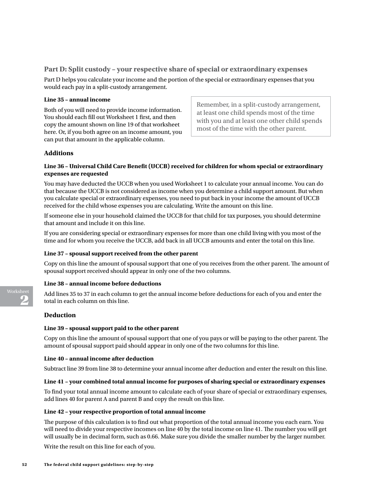## **Part D: Split custody – your respective share of special or extraordinary expenses**

Part D helps you calculate your income and the portion of the special or extraordinary expenses that you would each pay in a split-custody arrangement.

## **Line 35 – annual income**

Both of you will need to provide income information. You should each fill out Worksheet 1 first, and then copy the amount shown on line 19 of that worksheet here. Or, if you both agree on an income amount, you can put that amount in the applicable column.

Remember, in a split-custody arrangement, at least one child spends most of the time with you and at least one other child spends most of the time with the other parent.

## **Additions**

## **Line 36 – Universal Child Care Benefit (UCCB) received for children for whom special or extraordinary expenses are requested**

You may have deducted the UCCB when you used Worksheet 1 to calculate your annual income. You can do that because the UCCB is not considered as income when you determine a child support amount. But when you calculate special or extraordinary expenses, you need to put back in your income the amount of UCCB received for the child whose expenses you are calculating. Write the amount on this line.

If someone else in your household claimed the UCCB for that child for tax purposes, you should determine that amount and include it on this line.

If you are considering special or extraordinary expenses for more than one child living with you most of the time and for whom you receive the UCCB, add back in all UCCB amounts and enter the total on this line.

## **Line 37 – spousal support received from the other parent**

Copy on this line the amount of spousal support that one of you receives from the other parent. The amount of spousal support received should appear in only one of the two columns.

## **Line 38 – annual income before deductions**

Add lines 35 to 37 in each column to get the annual income before deductions for each of you and enter the total in each column on this line.

## **Deduction**

## **Line 39 – spousal support paid to the other parent**

Copy on this line the amount of spousal support that one of you pays or will be paying to the other parent. The amount of spousal support paid should appear in only one of the two columns for this line.

## **Line 40 – annual income after deduction**

Subtract line 39 from line 38 to determine your annual income after deduction and enter the result on this line.

## **Line 41 – your combined total annual income for purposes of sharing special or extraordinary expenses**

To find your total annual income amount to calculate each of your share of special or extraordinary expenses, add lines 40 for parent A and parent B and copy the result on this line.

## **Line 42 – your respective proportion of total annual income**

The purpose of this calculation is to find out what proportion of the total annual income you each earn. You will need to divide your respective incomes on line 40 by the total income on line 41. The number you will get will usually be in decimal form, such as 0.66. Make sure you divide the smaller number by the larger number.

Write the result on this line for each of you.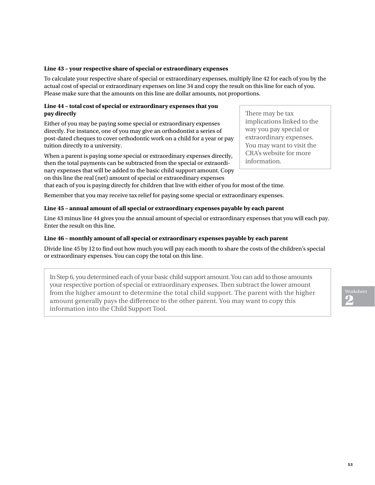## **Line 43 – your respective share of special or extraordinary expenses**

To calculate your respective share of special or extraordinary expenses, multiply line 42 for each of you by the actual cost of special or extraordinary expenses on line 34 and copy the result on this line for each of you. Please make sure that the amounts on this line are dollar amounts, not proportions.

## **Line 44 – total cost of special or extraordinary expenses that you pay directly**

Either of you may be paying some special or extraordinary expenses directly. For instance, one of you may give an orthodontist a series of post-dated cheques to cover orthodontic work on a child for a year or pay tuition directly to a university.

When a parent is paying some special or extraordinary expenses directly, then the total payments can be subtracted from the special or extraordinary expenses that will be added to the basic child support amount. Copy on this line the real (net) amount of special or extraordinary expenses

that each of you is paying directly for children that live with either of you for most of the time.

Remember that you may receive tax relief for paying some special or extraordinary expenses.

## **Line 45 – annual amount of all special or extraordinary expenses payable by each parent**

Line 43 minus line 44 gives you the annual amount of special or extraordinary expenses that you will each pay. Enter the result on this line.

## **Line 46 – monthly amount of all special or extraordinary expenses payable by each parent**

Divide line 45 by 12 to find out how much you will pay each month to share the costs of the children's special or extraordinary expenses. You can copy the total on this line.

In Step 6, you determined each of your basic child support amount. You can add to those amounts your respective portion of special or extraordinary expenses. Then subtract the lower amount from the higher amount to determine the total child support. The parent with the higher amount generally pays the difference to the other parent. You may want to copy this information into the Child Support Tool.

There may be tax implications linked to the way you pay special or extraordinary expenses. You may want to visit the CRA's website for more information.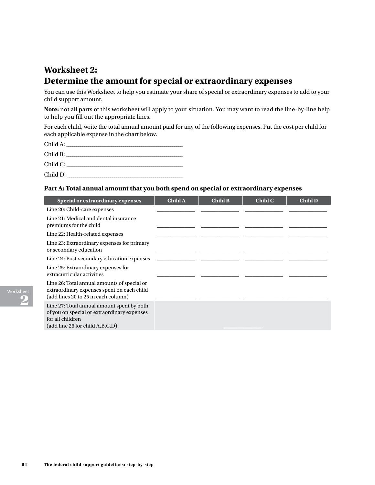# **Worksheet 2: Determine the amount for special or extraordinary expenses**

You can use this Worksheet to help you estimate your share of special or extraordinary expenses to add to your child support amount.

**Note:** not all parts of this worksheet will apply to your situation. You may want to read the line-by-line help to help you fill out the appropriate lines.

For each child, write the total annual amount paid for any of the following expenses. Put the cost per child for each applicable expense in the chart below.

## **Part A: Total annual amount that you both spend on special or extraordinary expenses**

| Special or extraordinary expenses                                                                                                                   | Child A | Child B | Child C | <b>Child D</b> |
|-----------------------------------------------------------------------------------------------------------------------------------------------------|---------|---------|---------|----------------|
| Line 20: Child-care expenses                                                                                                                        |         |         |         |                |
| Line 21: Medical and dental insurance<br>premiums for the child                                                                                     |         |         |         |                |
| Line 22: Health-related expenses                                                                                                                    |         |         |         |                |
| Line 23: Extraordinary expenses for primary<br>or secondary education                                                                               |         |         |         |                |
| Line 24: Post-secondary education expenses                                                                                                          |         |         |         |                |
| Line 25: Extraordinary expenses for<br>extracurricular activities                                                                                   |         |         |         |                |
| Line 26: Total annual amounts of special or<br>extraordinary expenses spent on each child<br>(add lines 20 to 25 in each column)                    |         |         |         |                |
| Line 27: Total annual amount spent by both<br>of you on special or extraordinary expenses<br>for all children<br>(add line 26 for child $A,B,C,D$ ) |         |         |         |                |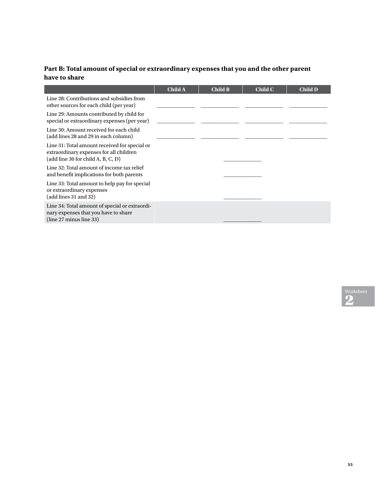## **Part B: Total amount of special or extraordinary expenses that you and the other parent have to share**

|                                                                                                                                                  | <b>Child A</b> | <b>Child B</b> | <b>Child C</b> | Child D |
|--------------------------------------------------------------------------------------------------------------------------------------------------|----------------|----------------|----------------|---------|
| Line 28: Contributions and subsidies from<br>other sources for each child (per year)                                                             |                |                |                |         |
| Line 29: Amounts contributed by child for<br>special or extraordinary expenses (per year)                                                        |                |                |                |         |
| Line 30: Amount received for each child<br>(add lines 28 and 29 in each column)                                                                  |                |                |                |         |
| Line 31: Total amount received for special or<br>extraordinary expenses for all children<br>$(\text{add line } 30 \text{ for child A, B, C, D})$ |                |                |                |         |
| Line 32: Total amount of income tax relief<br>and benefit implications for both parents                                                          |                |                |                |         |
| Line 33: Total amount to help pay for special<br>or extraordinary expenses<br>(add lines 31 and 32)                                              |                |                |                |         |
| Line 34: Total amount of special or extraordi-<br>nary expenses that you have to share<br>(line 27 minus line 33)                                |                |                |                |         |

Worksheet 2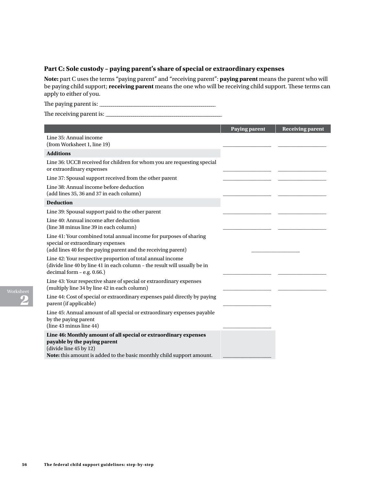## **Part C: Sole custody – paying parent's share of special or extraordinary expenses**

**Note:** part C uses the terms "paying parent" and "receiving parent": **paying parent** means the parent who will be paying child support; **receiving parent** means the one who will be receiving child support. These terms can apply to either of you.

The paying parent is: \_\_\_\_\_\_\_\_\_\_\_\_\_\_\_\_\_\_\_\_\_\_\_\_\_\_\_\_\_\_\_\_\_\_\_\_\_\_\_\_\_\_\_\_\_\_\_\_\_\_\_\_\_\_\_\_\_\_\_

| The receiving parent is: |  |
|--------------------------|--|
|--------------------------|--|

|                                                                                                                                                                                                     | <b>Paying parent</b> | <b>Receiving parent</b> |
|-----------------------------------------------------------------------------------------------------------------------------------------------------------------------------------------------------|----------------------|-------------------------|
| Line 35: Annual income<br>(from Worksheet 1, line 19)                                                                                                                                               |                      |                         |
| <b>Additions</b>                                                                                                                                                                                    |                      |                         |
| Line 36: UCCB received for children for whom you are requesting special<br>or extraordinary expenses                                                                                                |                      |                         |
| Line 37: Spousal support received from the other parent                                                                                                                                             |                      |                         |
| Line 38: Annual income before deduction<br>(add lines 35, 36 and 37 in each column)                                                                                                                 |                      |                         |
| <b>Deduction</b>                                                                                                                                                                                    |                      |                         |
| Line 39: Spousal support paid to the other parent                                                                                                                                                   |                      |                         |
| Line 40: Annual income after deduction<br>(line 38 minus line 39 in each column)                                                                                                                    |                      |                         |
| Line 41: Your combined total annual income for purposes of sharing<br>special or extraordinary expenses<br>(add lines 40 for the paying parent and the receiving parent)                            |                      |                         |
| Line 42: Your respective proportion of total annual income<br>(divide line 40 by line 41 in each column - the result will usually be in<br>decimal form $-$ e.g. 0.66.)                             |                      |                         |
| Line 43: Your respective share of special or extraordinary expenses<br>(multiply line 34 by line 42 in each column)                                                                                 |                      |                         |
| Line 44: Cost of special or extraordinary expenses paid directly by paying<br>parent (if applicable)                                                                                                |                      |                         |
| Line 45: Annual amount of all special or extraordinary expenses payable<br>by the paying parent<br>(line 43 minus line 44)                                                                          |                      |                         |
| Line 46: Monthly amount of all special or extraordinary expenses<br>payable by the paying parent<br>(divide line 45 by 12)<br>Note: this amount is added to the basic monthly child support amount. |                      |                         |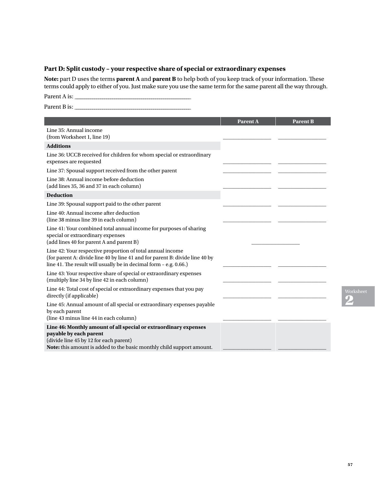## **Part D: Split custody – your respective share of special or extraordinary expenses**

**Note:** part D uses the terms **parent A** and **parent B** to help both of you keep track of your information. These terms could apply to either of you. Just make sure you use the same term for the same parent all the way through.

Parent A is:

Parent B is: \_\_\_\_\_\_\_\_\_\_\_\_\_\_\_\_\_\_\_\_\_\_\_\_\_\_\_\_\_\_\_\_\_\_\_\_\_\_\_\_\_\_\_\_\_\_\_\_\_\_\_\_\_\_\_\_\_\_\_

|                                                                                                                                                                                                                 | <b>Parent A</b> | <b>Parent B</b> |
|-----------------------------------------------------------------------------------------------------------------------------------------------------------------------------------------------------------------|-----------------|-----------------|
| Line 35: Annual income<br>(from Worksheet 1, line 19)                                                                                                                                                           |                 |                 |
| <b>Additions</b>                                                                                                                                                                                                |                 |                 |
| Line 36: UCCB received for children for whom special or extraordinary<br>expenses are requested                                                                                                                 |                 |                 |
| Line 37: Spousal support received from the other parent                                                                                                                                                         |                 |                 |
| Line 38: Annual income before deduction<br>(add lines 35, 36 and 37 in each column)                                                                                                                             |                 |                 |
| <b>Deduction</b>                                                                                                                                                                                                |                 |                 |
| Line 39: Spousal support paid to the other parent                                                                                                                                                               |                 |                 |
| Line 40: Annual income after deduction<br>(line 38 minus line 39 in each column)                                                                                                                                |                 |                 |
| Line 41: Your combined total annual income for purposes of sharing<br>special or extraordinary expenses<br>(add lines 40 for parent A and parent B)                                                             |                 |                 |
| Line 42: Your respective proportion of total annual income<br>(for parent A: divide line 40 by line 41 and for parent B: divide line 40 by<br>line 41. The result will usually be in decimal form - e.g. 0.66.) |                 |                 |
| Line 43: Your respective share of special or extraordinary expenses<br>(multiply line 34 by line 42 in each column)                                                                                             |                 |                 |
| Line 44: Total cost of special or extraordinary expenses that you pay<br>directly (if applicable)                                                                                                               |                 |                 |
| Line 45: Annual amount of all special or extraordinary expenses payable<br>by each parent<br>(line 43 minus line 44 in each column)                                                                             |                 |                 |
| Line 46: Monthly amount of all special or extraordinary expenses<br>payable by each parent<br>(divide line 45 by 12 for each parent)<br>Note: this amount is added to the basic monthly child support amount.   |                 |                 |

Worksheet 2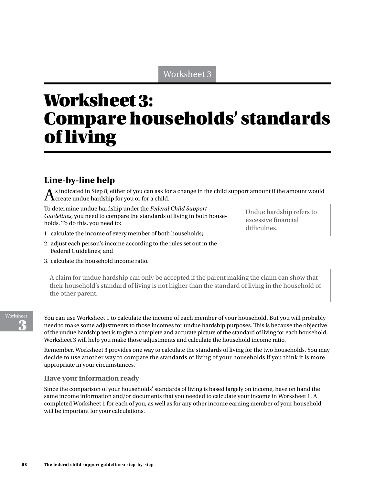## Worksheet 3

# Worksheet 3: Compare households' standards of living

## **Line-by-line help**

s indicated in Step 8, either of you can ask for a change in the child support amount if the amount would  $A<sub>create</sub>$  undue hardship for you or for a child.

To determine undue hardship under the *Federal Child Support Guidelines*, you need to compare the standards of living in both households. To do this, you need to:

- 1. calculate the income of every member of both households;
- 2. adjust each person's income according to the rules set out in the Federal Guidelines; and

Undue hardship refers to excessive financial difficulties.

3. calculate the household income ratio.

A claim for undue hardship can only be accepted if the parent making the claim can show that their household's standard of living is not higher than the standard of living in the household of the other parent.

You can use Worksheet 1 to calculate the income of each member of your household. But you will probably need to make some adjustments to those incomes for undue hardship purposes. This is because the objective of the undue hardship test is to give a complete and accurate picture of the standard of living for each household. Worksheet 3 will help you make those adjustments and calculate the household income ratio.

Remember, Worksheet 3 provides one way to calculate the standards of living for the two households. You may decide to use another way to compare the standards of living of your households if you think it is more appropriate in your circumstances.

## **Have your information ready**

Since the comparison of your households' standards of living is based largely on income, have on hand the same income information and/or documents that you needed to calculate your income in Worksheet 1. A completed Worksheet 1 for each of you, as well as for any other income earning member of your household will be important for your calculations.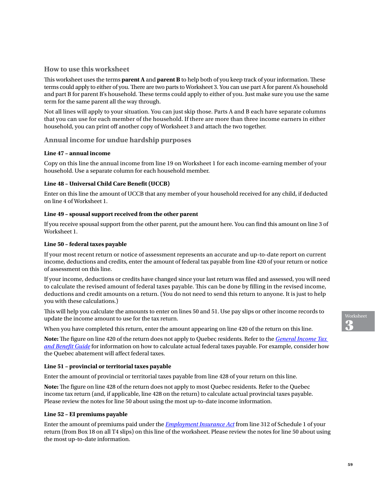**How to use this worksheet**

This worksheet uses the terms **parent A** and **parent B** to help both of you keep track of your information. These terms could apply to either of you.There are two parts to Worksheet 3. You can use part A for parent A's household and part B for parent B's household. These terms could apply to either of you. Just make sure you use the same term for the same parent all the way through.

Not all lines will apply to your situation. You can just skip those. Parts A and B each have separate columns that you can use for each member of the household. If there are more than three income earners in either household, you can print off another copy of Worksheet 3 and attach the two together.

**Annual income for undue hardship purposes**

## **Line 47 – annual income**

Copy on this line the annual income from line 19 on Worksheet 1 for each income-earning member of your household. Use a separate column for each household member.

## **Line 48 – Universal Child Care Benefit (UCCB)**

Enter on this line the amount of UCCB that any member of your household received for any child, if deducted on line 4 of Worksheet 1.

## **Line 49 – spousal support received from the other parent**

If you receive spousal support from the other parent, put the amount here. You can find this amount on line 3 of Worksheet 1.

## **Line 50 – federal taxes payable**

If your most recent return or notice of assessment represents an accurate and up-to-date report on current income, deductions and credits, enter the amount of federal tax payable from line 420 of your return or notice of assessment on this line.

If your income, deductions or credits have changed since your last return was filed and assessed, you will need to calculate the revised amount of federal taxes payable. This can be done by filling in the revised income, deductions and credit amounts on a return. (You do not need to send this return to anyone. It is just to help you with these calculations.)

This will help you calculate the amounts to enter on lines 50 and 51. Use pay slips or other income records to update the income amount to use for the tax return.

When you have completed this return, enter the amount appearing on line 420 of the return on this line.

**Note:** The figure on line 420 of the return does not apply to Quebec residents. Refer to the *[General Income Tax](http://www.cra-arc.gc.ca/formspubs/menu-eng.html)  [and Benefit Guide](http://www.cra-arc.gc.ca/formspubs/menu-eng.html)* for information on how to calculate actual federal taxes payable. For example, consider how the Quebec abatement will affect federal taxes.

## **Line 51 – provincial or territorial taxes payable**

Enter the amount of provincial or territorial taxes payable from line 428 of your return on this line.

**Note:** The figure on line 428 of the return does not apply to most Quebec residents. Refer to the Quebec income tax return (and, if applicable, line 428 on the return) to calculate actual provincial taxes payable. Please review the notes for line 50 about using the most up-to-date income information.

## **Line 52 – EI premiums payable**

Enter the amount of premiums paid under the *[Employment Insurance Act](http://www.cra-arc.gc.ca/tx/hm/menu-eng.html)* from line 312 of Schedule 1 of your return (from Box 18 on all T4 slips) on this line of the worksheet. Please review the notes for line 50 about using the most up-to-date information.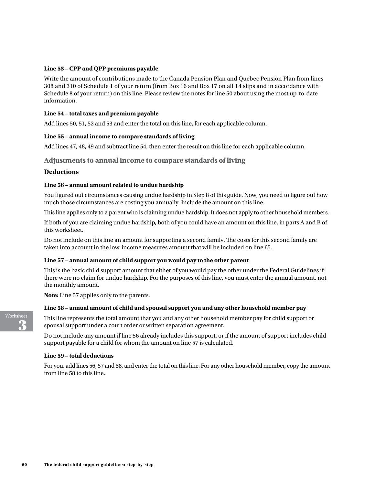## **Line 53 – CPP and QPP premiums payable**

Write the amount of contributions made to the Canada Pension Plan and Quebec Pension Plan from lines 308 and 310 of Schedule 1 of your return (from Box 16 and Box 17 on all T4 slips and in accordance with Schedule 8 of your return) on this line. Please review the notes for line 50 about using the most up-to-date information.

## **Line 54 – total taxes and premium payable**

Add lines 50, 51, 52 and 53 and enter the total on this line, for each applicable column.

## **Line 55 – annual income to compare standards of living**

Add lines 47, 48, 49 and subtract line 54, then enter the result on this line for each applicable column.

**Adjustments to annual income to compare standards of living**

## **Deductions**

## **Line 56 – annual amount related to undue hardship**

You figured out circumstances causing undue hardship in Step 8 of this guide. Now, you need to figure out how much those circumstances are costing you annually. Include the amount on this line.

This line applies only to a parent who is claiming undue hardship. It does not apply to other household members.

If both of you are claiming undue hardship, both of you could have an amount on this line, in parts A and B of this worksheet.

Do not include on this line an amount for supporting a second family. The costs for this second family are taken into account in the low-income measures amount that will be included on line 65.

## **Line 57 – annual amount of child support you would pay to the other parent**

This is the basic child support amount that either of you would pay the other under the Federal Guidelines if there were no claim for undue hardship. For the purposes of this line, you must enter the annual amount, not the monthly amount.

**Note:** Line 57 applies only to the parents.

## **Line 58 – annual amount of child and spousal support you and any other household member pay**

This line represents the total amount that you and any other household member pay for child support or spousal support under a court order or written separation agreement.

Do not include any amount if line 56 already includes this support, or if the amount of support includes child support payable for a child for whom the amount on line 57 is calculated.

## **Line 59 – total deductions**

For you, add lines 56, 57 and 58, and enterthe total on this line. For any other household member, copy the amount from line 58 to this line.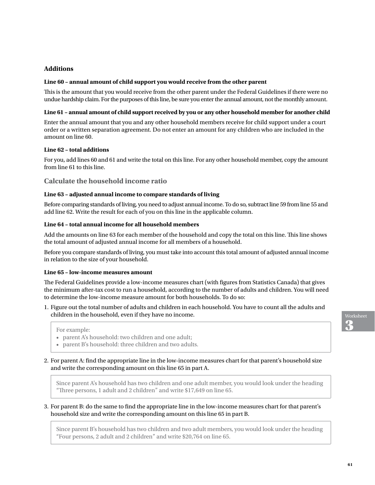## **Additions**

## **Line 60 – annual amount of child support you would receive from the other parent**

This is the amount that you would receive from the other parent under the Federal Guidelines if there were no undue hardship claim. Forthe purposes of this line, be sure you enterthe annual amount, not the monthly amount.

## **Line 61 – annual amount of child support received by you or any other household member for another child**

Enter the annual amount that you and any other household members receive for child support under a court order or a written separation agreement. Do not enter an amount for any children who are included in the amount on line 60.

## **Line 62 – total additions**

For you, add lines 60 and 61 and write the total on this line. For any other household member, copy the amount from line 61 to this line.

**Calculate the household income ratio**

## **Line 63 – adjusted annual income to compare standards of living**

Before comparing standards of living, you need to adjust annual income. To do so, subtract line 59 from line 55 and add line 62. Write the result for each of you on this line in the applicable column.

## **Line 64 – total annual income for all household members**

Add the amounts on line 63 for each member of the household and copy the total on this line. This line shows the total amount of adjusted annual income for all members of a household.

Before you compare standards of living, you must take into account this total amount of adjusted annual income in relation to the size of your household.

## **Line 65 – low-income measures amount**

The Federal Guidelines provide a low-income measures chart (with figures from Statistics Canada) that gives the minimum after-tax cost to run a household, according to the number of adults and children. You will need to determine the low-income measure amount for both households. To do so:

1. Figure out the total number of adults and children in each household. You have to count all the adults and children in the household, even if they have no income.

For example:

- parent A's household: two children and one adult;
- parent B's household: three children and two adults.
- 2. For parent A: find the appropriate line in the low-income measures chart for that parent's household size and write the corresponding amount on this line 65 in part A.

Since parent A's household has two children and one adult member, you would look under the heading "Three persons, 1 adult and 2 children" and write \$17,649 on line 65.

## 3. For parent B: do the same to find the appropriate line in the low-income measures chart for that parent's household size and write the corresponding amount on this line 65 in part B.

Since parent B's household has two children and two adult members, you would look under the heading "Four persons, 2 adult and 2 children" and write \$20,764 on line 65.

Worksheet 3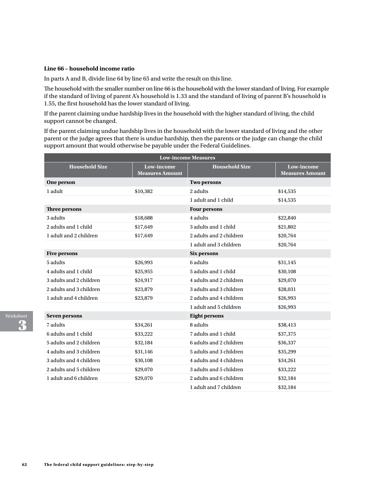## **Line 66 – household income ratio**

In parts A and B, divide line 64 by line 65 and write the result on this line.

The household with the smaller number on line 66 is the household with the lower standard of living. For example if the standard of living of parent A's household is 1.33 and the standard of living of parent B's household is 1.55, the first household has the lower standard of living.

If the parent claiming undue hardship lives in the household with the higher standard of living, the child support cannot be changed.

If the parent claiming undue hardship lives in the household with the lower standard of living and the other parent or the judge agrees that there is undue hardship, then the parents or the judge can change the child support amount that would otherwise be payable under the Federal Guidelines.

| <b>Low-income Measures</b> |                                      |                         |                                      |  |
|----------------------------|--------------------------------------|-------------------------|--------------------------------------|--|
| <b>Household Size</b>      | Low-income<br><b>Measures Amount</b> | <b>Household Size</b>   | Low-income<br><b>Measures Amount</b> |  |
| One person                 |                                      | <b>Two persons</b>      |                                      |  |
| 1 adult                    | \$10,382                             | 2 adults                | \$14,535                             |  |
|                            |                                      | 1 adult and 1 child     | \$14,535                             |  |
| Three persons              |                                      | <b>Four persons</b>     |                                      |  |
| 3 adults                   | \$18,688                             | 4 adults                | \$22,840                             |  |
| 2 adults and 1 child       | \$17,649                             | 3 adults and 1 child    | \$21,802                             |  |
| 1 adult and 2 children     | \$17,649                             | 2 adults and 2 children | \$20,764                             |  |
|                            |                                      | 1 adult and 3 children  | \$20,764                             |  |
| <b>Five persons</b>        |                                      | Six persons             |                                      |  |
| 5 adults                   | \$26,993                             | 6 adults                | \$31,145                             |  |
| 4 adults and 1 child       | \$25,955                             | 5 adults and 1 child    | \$30,108                             |  |
| 3 adults and 2 children    | \$24,917                             | 4 adults and 2 children | \$29,070                             |  |
| 2 adults and 3 children    | \$23,879                             | 3 adults and 3 children | \$28,031                             |  |
| 1 adult and 4 children     | \$23,879                             | 2 adults and 4 children | \$26,993                             |  |
|                            |                                      | 1 adult and 5 children  | \$26,993                             |  |
| <b>Seven persons</b>       |                                      | <b>Eight persons</b>    |                                      |  |
| 7 adults                   | \$34,261                             | 8 adults                | \$38,413                             |  |
| 6 adults and 1 child       | \$33,222                             | 7 adults and 1 child    | \$37,375                             |  |
| 5 adults and 2 children    | \$32,184                             | 6 adults and 2 children | \$36,337                             |  |
| 4 adults and 3 children    | \$31,146                             | 5 adults and 3 children | \$35,299                             |  |
| 3 adults and 4 children    | \$30,108                             | 4 adults and 4 children | \$34,261                             |  |
| 2 adults and 5 children    | \$29,070                             | 3 adults and 5 children | \$33,222                             |  |
| 1 adult and 6 children     | \$29,070                             | 2 adults and 6 children | \$32,184                             |  |
|                            |                                      | 1 adult and 7 children  | \$32,184                             |  |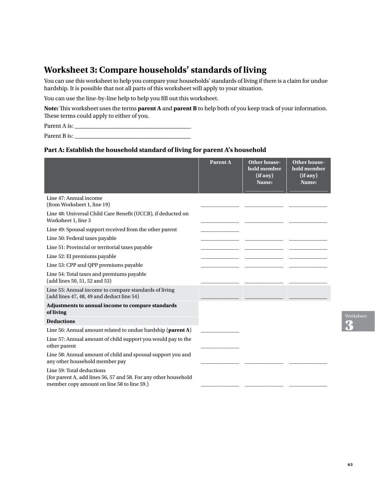# **Worksheet 3: Compare households' standards of living**

You can use this worksheet to help you compare your households' standards of living if there is a claim for undue hardship. It is possible that not all parts of this worksheet will apply to your situation.

You can use the line-by-line help to help you fill out this worksheet.

**Note:** This worksheet uses the terms **parent A** and **parent B** to help both of you keep track of your information. These terms could apply to either of you.

Parent A is: \_\_\_\_\_\_\_\_\_\_\_\_\_\_\_\_\_\_\_\_\_\_\_\_\_\_\_\_\_\_\_\_\_\_\_\_\_\_\_\_\_\_\_\_\_\_\_\_\_\_\_\_\_\_\_\_\_\_\_

Parent B is: \_\_\_\_\_\_\_\_\_\_\_\_\_\_\_\_\_\_\_\_\_\_\_\_\_\_\_\_\_\_\_\_\_\_\_\_\_\_\_\_\_\_\_\_\_\_\_\_\_\_\_\_\_\_\_\_\_\_\_

## **Part A: Establish the household standard of living for parent A's household**

|                                                                                                                                            | Parent A | <b>Other house-</b><br>hold member<br>(if any)<br>Name: | <b>Other house-</b><br>hold member<br>(if any)<br>Name: |
|--------------------------------------------------------------------------------------------------------------------------------------------|----------|---------------------------------------------------------|---------------------------------------------------------|
| Line 47: Annual income<br>(from Worksheet 1, line 19)                                                                                      |          |                                                         |                                                         |
| Line 48: Universal Child Care Benefit (UCCB), if deducted on<br>Worksheet 1. line 3                                                        |          |                                                         |                                                         |
| Line 49: Spousal support received from the other parent                                                                                    |          |                                                         |                                                         |
| Line 50: Federal taxes payable                                                                                                             |          |                                                         |                                                         |
| Line 51: Provincial or territorial taxes payable                                                                                           |          |                                                         |                                                         |
| Line 52: EI premiums payable                                                                                                               |          |                                                         |                                                         |
| Line 53: CPP and QPP premiums payable                                                                                                      |          |                                                         |                                                         |
| Line 54: Total taxes and premiums payable<br>(add lines 50, 51, 52 and 53)                                                                 |          |                                                         |                                                         |
| Line 55: Annual income to compare standards of living<br>(add lines 47, 48, 49 and deduct line 54)                                         |          |                                                         |                                                         |
| Adjustments to annual income to compare standards<br>of living                                                                             |          |                                                         |                                                         |
| <b>Deductions</b>                                                                                                                          |          |                                                         |                                                         |
| Line 56: Annual amount related to undue hardship (parent A)                                                                                |          |                                                         |                                                         |
| Line 57: Annual amount of child support you would pay to the<br>other parent                                                               |          |                                                         |                                                         |
| Line 58: Annual amount of child and spousal support you and<br>any other household member pay                                              |          |                                                         |                                                         |
| Line 59: Total deductions<br>(for parent A, add lines 56, 57 and 58. For any other household<br>member copy amount on line 58 to line 59.) |          |                                                         |                                                         |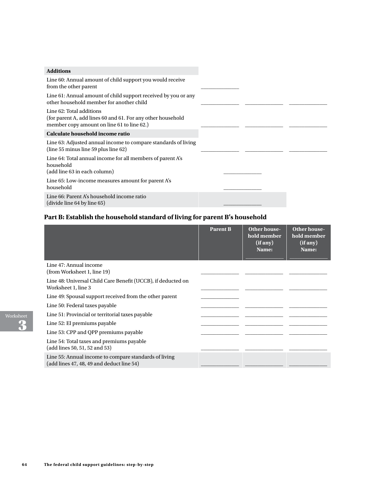## **Additions**

| Line 60: Annual amount of child support you would receive<br>from the other parent                                                    |
|---------------------------------------------------------------------------------------------------------------------------------------|
| Line 61: Annual amount of child support received by you or any<br>other household member for another child                            |
| Line 62: Total additions<br>(for parent A, add lines 60 and 61. For any other household<br>member copy amount on line 61 to line 62.) |
| Calculate household income ratio                                                                                                      |
| Line 63: Adjusted annual income to compare standards of living<br>(line 55 minus line 59 plus line 62)                                |
| Line 64: Total annual income for all members of parent A's<br>household<br>(add line 63 in each column)                               |
| Line 65: Low-income measures amount for parent A's<br>household                                                                       |
| Line 66: Parent A's household income ratio<br>(divide line 64 by line 65)                                                             |

## **Part B: Establish the household standard of living for parent B's household**

|                                                                                                    | <b>Parent B</b> | Other house-<br>hold member<br>(if any)<br>Name: | Other house-<br>hold member<br>(if any)<br>Name: |
|----------------------------------------------------------------------------------------------------|-----------------|--------------------------------------------------|--------------------------------------------------|
| Line 47: Annual income<br>(from Worksheet 1, line 19)                                              |                 |                                                  |                                                  |
| Line 48: Universal Child Care Benefit (UCCB), if deducted on<br>Worksheet 1, line 3                |                 |                                                  |                                                  |
| Line 49: Spousal support received from the other parent                                            |                 |                                                  |                                                  |
| Line 50: Federal taxes payable                                                                     |                 |                                                  |                                                  |
| Line 51: Provincial or territorial taxes payable                                                   |                 |                                                  |                                                  |
| Line 52: EI premiums payable                                                                       |                 |                                                  |                                                  |
| Line 53: CPP and QPP premiums payable                                                              |                 |                                                  |                                                  |
| Line 54: Total taxes and premiums payable<br>(add lines 50, 51, 52 and 53)                         |                 |                                                  |                                                  |
| Line 55: Annual income to compare standards of living<br>(add lines 47, 48, 49 and deduct line 54) |                 |                                                  |                                                  |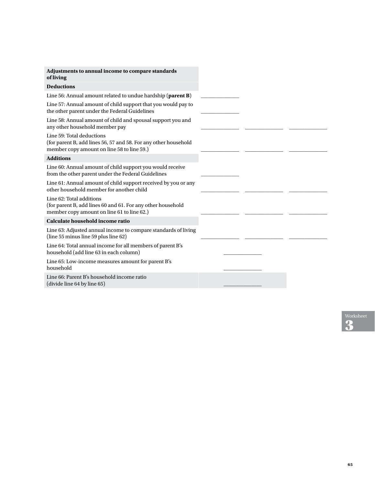| Adjustments to annual income to compare standards<br>of living                                                                             |  |
|--------------------------------------------------------------------------------------------------------------------------------------------|--|
| <b>Deductions</b>                                                                                                                          |  |
| Line 56: Annual amount related to undue hardship (parent B)                                                                                |  |
| Line 57: Annual amount of child support that you would pay to<br>the other parent under the Federal Guidelines                             |  |
| Line 58: Annual amount of child and spousal support you and<br>any other household member pay                                              |  |
| Line 59: Total deductions<br>(for parent B, add lines 56, 57 and 58. For any other household<br>member copy amount on line 58 to line 59.) |  |
| <b>Additions</b>                                                                                                                           |  |
| Line 60: Annual amount of child support you would receive<br>from the other parent under the Federal Guidelines                            |  |
| Line 61: Annual amount of child support received by you or any<br>other household member for another child                                 |  |
| Line 62: Total additions<br>(for parent B, add lines 60 and 61. For any other household<br>member copy amount on line 61 to line 62.)      |  |
| Calculate household income ratio                                                                                                           |  |
| Line 63: Adjusted annual income to compare standards of living<br>(line 55 minus line 59 plus line 62)                                     |  |
| Line 64: Total annual income for all members of parent B's<br>household (add line 63 in each column)                                       |  |
| Line 65: Low-income measures amount for parent B's<br>household                                                                            |  |
| Line 66: Parent B's household income ratio<br>(divide line 64 by line 65)                                                                  |  |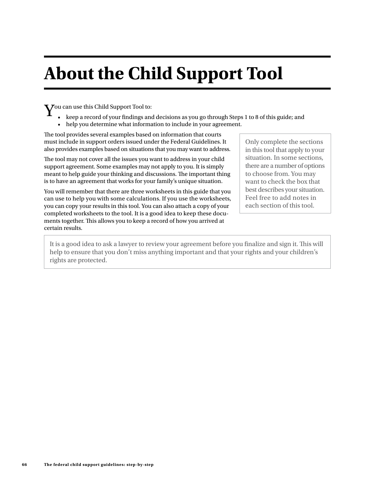# **About the Child Support Tool**

You can use this Child Support Tool to:

- keep a record of your findings and decisions as you go through Steps 1 to 8 of this guide; and
- help you determine what information to include in your agreement.

The tool provides several examples based on information that courts must include in support orders issued under the Federal Guidelines. It also provides examples based on situations that you may want to address.

The tool may not cover all the issues you want to address in your child support agreement. Some examples may not apply to you. It is simply meant to help guide your thinking and discussions. The important thing is to have an agreement that works for your family's unique situation.

You will remember that there are three worksheets in this guide that you can use to help you with some calculations. If you use the worksheets, you can copy your results in this tool. You can also attach a copy of your completed worksheets to the tool. It is a good idea to keep these documents together. This allows you to keep a record of how you arrived at certain results.

Only complete the sections in this tool that apply to your situation. In some sections, there are a number of options to choose from. You may want to check the box that best describes your situation. Feel free to add notes in each section of this tool.

It is a good idea to ask a lawyer to review your agreement before you finalize and sign it. This will help to ensure that you don't miss anything important and that your rights and your children's rights are protected.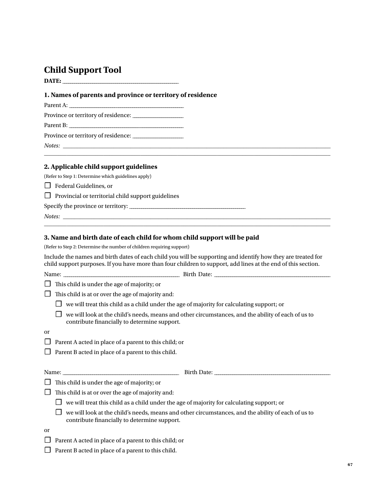# **Child Support Tool**

**DATE:** \_\_\_\_\_\_\_\_\_\_\_\_\_\_\_\_\_\_\_\_\_\_\_\_\_\_\_\_\_\_\_\_\_\_\_\_\_\_\_\_\_\_\_\_\_\_\_\_\_\_\_\_\_\_\_\_\_\_\_

## **1. Names of parents and province or territory of residence**

| Parent $A^T$<br>______ |  |
|------------------------|--|
|------------------------|--|

Province or territory of residence:

Parent B:

Province or territory of residence:

*Notes:* \_\_\_\_\_\_\_\_\_\_\_\_\_\_\_\_\_\_\_\_\_\_\_\_\_\_\_\_\_\_\_\_\_\_\_\_\_\_\_\_\_\_\_\_\_\_\_\_\_\_\_\_\_\_\_\_\_\_\_\_\_\_\_\_\_\_\_\_\_\_\_\_\_\_\_\_\_\_\_\_\_\_\_\_\_\_\_\_\_\_\_\_\_\_\_

## **2. Applicable child support guidelines**

(Refer to Step 1: Determine which guidelines apply)

- □ Federal Guidelines, or
- $\Box$  Provincial or territorial child support guidelines

Specify the province or territory: \_\_\_\_\_\_\_\_\_\_\_\_\_\_\_\_\_\_\_\_\_\_\_\_\_\_\_\_\_\_\_\_\_\_\_\_\_\_\_\_\_\_\_\_\_\_\_\_\_\_\_\_\_\_\_\_\_\_\_

*Notes:* \_\_\_\_\_\_\_\_\_\_\_\_\_\_\_\_\_\_\_\_\_\_\_\_\_\_\_\_\_\_\_\_\_\_\_\_\_\_\_\_\_\_\_\_\_\_\_\_\_\_\_\_\_\_\_\_\_\_\_\_\_\_\_\_\_\_\_\_\_\_\_\_\_\_\_\_\_\_\_\_\_\_\_\_\_\_\_\_\_\_\_\_\_\_\_

## **3. Name and birth date of each child for whom child support will be paid**

(Refer to Step 2: Determine the number of children requiring support)

Include the names and birth dates of each child you will be supporting and identify how they are treated for child support purposes. If you have more than four children to support, add lines at the end of this section.

 $\_$  , and the set of the set of the set of the set of the set of the set of the set of the set of the set of the set of the set of the set of the set of the set of the set of the set of the set of the set of the set of th

\_\_\_\_\_\_\_\_\_\_\_\_\_\_\_\_\_\_\_\_\_\_\_\_\_\_\_\_\_\_\_\_\_\_\_\_\_\_\_\_\_\_\_\_\_\_\_\_\_\_\_\_\_\_\_\_\_\_\_\_\_\_\_\_\_\_\_\_\_\_\_\_\_\_\_\_\_\_\_\_\_\_\_\_\_\_\_\_\_\_\_\_\_\_\_\_\_\_\_\_\_

| Name:                                       | Birth Date: |
|---------------------------------------------|-------------|
| This child is under the age of majority; or |             |

- $\Box$  This child is at or over the age of majority and:
	- $\Box$  we will treat this child as a child under the age of majority for calculating support; or
	- $\Box$  we will look at the child's needs, means and other circumstances, and the ability of each of us to contribute financially to determine support.

- $\Box$  Parent A acted in place of a parent to this child; or
- $\Box$  Parent B acted in place of a parent to this child.

|          | Birth Date:<br>Name: $\frac{1}{\sqrt{1-\frac{1}{2}}}\cdot\frac{1}{\sqrt{1-\frac{1}{2}}}\cdot\frac{1}{\sqrt{1-\frac{1}{2}}}\cdot\frac{1}{\sqrt{1-\frac{1}{2}}}\cdot\frac{1}{\sqrt{1-\frac{1}{2}}}\cdot\frac{1}{\sqrt{1-\frac{1}{2}}}\cdot\frac{1}{\sqrt{1-\frac{1}{2}}}\cdot\frac{1}{\sqrt{1-\frac{1}{2}}}\cdot\frac{1}{\sqrt{1-\frac{1}{2}}}\cdot\frac{1}{\sqrt{1-\frac{1}{2}}}\cdot\frac{1}{\sqrt{1-\frac{1}{2}}}\cdot\frac{1}{\sqrt{1-\frac{1}{2}}$ |
|----------|-------------------------------------------------------------------------------------------------------------------------------------------------------------------------------------------------------------------------------------------------------------------------------------------------------------------------------------------------------------------------------------------------------------------------------------------------------|
| $\Box$   | This child is under the age of majority; or                                                                                                                                                                                                                                                                                                                                                                                                           |
| LΙ       | This child is at or over the age of majority and:                                                                                                                                                                                                                                                                                                                                                                                                     |
|          | we will treat this child as a child under the age of majority for calculating support; or                                                                                                                                                                                                                                                                                                                                                             |
|          | we will look at the child's needs, means and other circumstances, and the ability of each of us to<br>contribute financially to determine support.                                                                                                                                                                                                                                                                                                    |
| $\sim$ r |                                                                                                                                                                                                                                                                                                                                                                                                                                                       |

- or
- $\Box$  Parent A acted in place of a parent to this child; or
- $□$  Parent B acted in place of a parent to this child.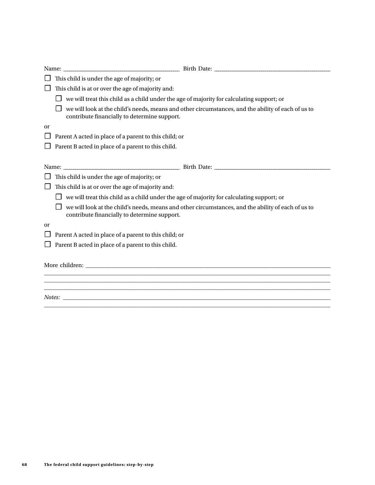|                                                   | Name:                                                                                                                                              |  |
|---------------------------------------------------|----------------------------------------------------------------------------------------------------------------------------------------------------|--|
|                                                   | This child is under the age of majority; or                                                                                                        |  |
| This child is at or over the age of majority and: |                                                                                                                                                    |  |
|                                                   | we will treat this child as a child under the age of majority for calculating support; or                                                          |  |
|                                                   | we will look at the child's needs, means and other circumstances, and the ability of each of us to<br>contribute financially to determine support. |  |
| or                                                |                                                                                                                                                    |  |
|                                                   | Parent A acted in place of a parent to this child; or                                                                                              |  |
|                                                   | Parent B acted in place of a parent to this child.                                                                                                 |  |
|                                                   |                                                                                                                                                    |  |
|                                                   |                                                                                                                                                    |  |
|                                                   | This child is under the age of majority; or                                                                                                        |  |
|                                                   | This child is at or over the age of majority and:                                                                                                  |  |
|                                                   | we will treat this child as a child under the age of majority for calculating support; or                                                          |  |
|                                                   | we will look at the child's needs, means and other circumstances, and the ability of each of us to<br>contribute financially to determine support. |  |
| or                                                |                                                                                                                                                    |  |
|                                                   | Parent A acted in place of a parent to this child; or                                                                                              |  |
|                                                   | Parent B acted in place of a parent to this child.                                                                                                 |  |
|                                                   |                                                                                                                                                    |  |
|                                                   |                                                                                                                                                    |  |
|                                                   | ,我们也不会有什么。""我们的人,我们也不会有什么?""我们的人,我们也不会有什么?""我们的人,我们也不会有什么?""我们的人,我们也不会有什么?""我们的人                                                                   |  |
|                                                   | ,我们也不会有什么。""我们的人,我们也不会有什么?""我们的人,我们也不会有什么?""我们的人,我们也不会有什么?""我们的人,我们也不会有什么?""我们的人                                                                   |  |
|                                                   |                                                                                                                                                    |  |
|                                                   |                                                                                                                                                    |  |

 $\_$  , and the set of the set of the set of the set of the set of the set of the set of the set of the set of the set of the set of the set of the set of the set of the set of the set of the set of the set of the set of th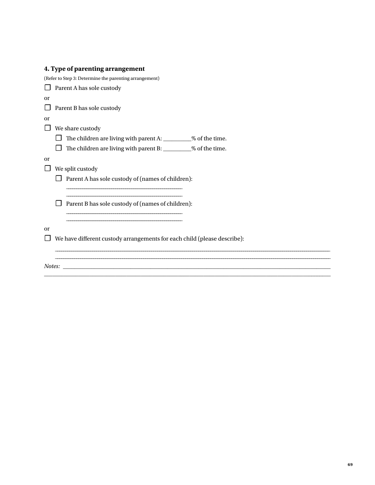## **4. Type of parenting arrangement**

| (Refer to Step 3: Determine the parenting arrangement)                                                                                                                                               |
|------------------------------------------------------------------------------------------------------------------------------------------------------------------------------------------------------|
| Parent A has sole custody                                                                                                                                                                            |
| <sub>or</sub>                                                                                                                                                                                        |
| Parent B has sole custody                                                                                                                                                                            |
| <sub>or</sub>                                                                                                                                                                                        |
| We share custody                                                                                                                                                                                     |
| The children are living with parent A: __________% of the time.<br>$\mathbf{I}$                                                                                                                      |
| The children are living with parent B: __________% of the time.<br>ΙI                                                                                                                                |
| <sub>or</sub>                                                                                                                                                                                        |
| We split custody                                                                                                                                                                                     |
| Parent A has sole custody of (names of children):                                                                                                                                                    |
|                                                                                                                                                                                                      |
| Parent B has sole custody of (names of children):                                                                                                                                                    |
| the control of the control of the control of the control of the control of<br><u> 1989 - Johann Stoff, deutscher Stoffen und der Stoffen und der Stoffen und der Stoffen und der Stoffen und der</u> |
| or                                                                                                                                                                                                   |
| We have different custody arrangements for each child (please describe):                                                                                                                             |
|                                                                                                                                                                                                      |
|                                                                                                                                                                                                      |
|                                                                                                                                                                                                      |
|                                                                                                                                                                                                      |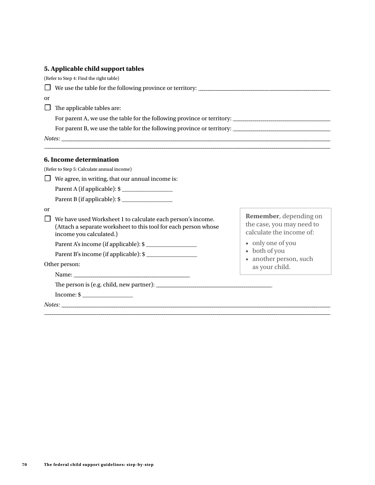| 5. Applicable child support tables |  |  |  |  |  |  |
|------------------------------------|--|--|--|--|--|--|
|------------------------------------|--|--|--|--|--|--|

(Refer to Step 4: Find the right table)

| $\Box$ We use the table for the following province or territory: |  |
|------------------------------------------------------------------|--|
|                                                                  |  |

 $\Box$  The applicable tables are:

For parent A, we use the table for the following province or territory: \_\_\_\_\_\_\_\_\_\_\_\_\_\_\_\_\_\_\_\_\_\_\_\_\_\_\_\_\_\_\_\_\_\_\_\_\_\_\_\_\_\_\_\_\_\_\_\_

| For parent B, we use the table for the following province or territory: |  |
|-------------------------------------------------------------------------|--|
|-------------------------------------------------------------------------|--|

\_\_\_\_\_\_\_\_\_\_\_\_\_\_\_\_\_\_\_\_\_\_\_\_\_\_\_\_\_\_\_\_\_\_\_\_\_\_\_\_\_\_\_\_\_\_\_\_\_\_\_\_\_\_\_\_\_\_\_\_\_\_\_\_\_\_\_\_\_\_\_\_\_\_\_\_\_\_\_\_\_\_\_\_\_\_\_\_\_\_\_\_\_\_\_\_\_\_\_\_\_\_\_\_\_\_\_\_\_\_\_\_\_\_\_\_\_\_\_\_\_\_\_\_\_\_\_\_\_\_\_\_\_\_\_\_\_\_\_\_\_\_\_\_\_

*Notes:* \_\_\_\_\_\_\_\_\_\_\_\_\_\_\_\_\_\_\_\_\_\_\_\_\_\_\_\_\_\_\_\_\_\_\_\_\_\_\_\_\_\_\_\_\_\_\_\_\_\_\_\_\_\_\_\_\_\_\_\_\_\_\_\_\_\_\_\_\_\_\_\_\_\_\_\_\_\_\_\_\_\_\_\_\_\_\_\_\_\_\_\_\_\_\_\_\_\_\_\_\_\_\_\_\_\_\_\_\_\_\_\_\_\_\_\_\_\_\_\_\_\_\_\_\_\_\_\_\_\_\_\_\_\_\_\_\_

or

## **6. Income determination**

(Refer to Step 5: Calculate annual income)

 $\Box$  We agree, in writing, that our annual income is:

Parent A (if applicable): \$

| Parent B (if applicable): \$ |  |
|------------------------------|--|
|------------------------------|--|

| ٠<br>۰.<br>$\sim$ | w |
|-------------------|---|
|                   |   |

| $\Box$ We have used Worksheet 1 to calculate each person's income. |
|--------------------------------------------------------------------|
| (Attach a separate worksheet to this tool for each person whose    |
| income you calculated.)                                            |
|                                                                    |

Parent A's income (if applicable): \$

Parent B's income (if applicable): \$

Other person:

Name: \_\_\_\_\_\_\_\_\_\_\_\_\_\_\_\_\_\_\_\_\_\_\_\_\_\_\_\_\_\_\_\_\_\_\_\_\_\_\_\_\_\_\_\_\_\_\_\_\_\_\_\_\_\_\_\_\_\_\_

The person is (e.g. child, new partner): \_\_\_\_\_\_\_\_\_\_\_\_\_\_\_\_\_\_\_\_\_\_\_\_\_\_\_\_\_\_\_\_\_\_\_\_\_\_\_\_\_\_\_\_\_\_\_\_\_\_\_\_\_\_\_\_\_\_\_

Income: \$ \_\_\_\_\_\_\_\_\_\_\_\_\_\_\_\_\_\_

*Notes:* \_\_\_\_\_\_\_\_\_\_\_\_\_\_\_\_\_\_\_\_\_\_\_\_\_\_\_\_\_\_\_\_\_\_\_\_\_\_\_\_\_\_\_\_\_\_\_\_\_\_\_\_\_\_\_\_\_\_\_\_\_\_\_\_\_\_\_\_\_\_\_\_\_\_\_\_\_\_\_\_\_\_\_\_\_\_\_\_\_\_\_\_\_\_\_\_\_\_\_\_\_\_\_\_\_\_\_\_\_\_\_\_\_\_\_\_\_\_\_\_\_\_\_\_\_\_\_\_\_\_\_\_\_\_\_\_\_

**Remember**, depending on the case, you may need to calculate the income of:

- only one of you
- • both of you
- another person, such as your child.

**70 The federal child support guidelines: step-by-step**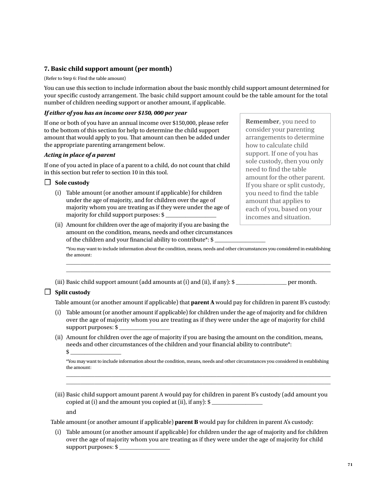## **7. Basic child support amount (per month)**

(Refer to Step 6: Find the table amount)

You can use this section to include information about the basic monthly child support amount determined for your specific custody arrangement. The basic child support amount could be the table amount for the total number of children needing support or another amount, if applicable.

## *If either of you has an income over \$150, 000 per year*

If one or both of you have an annual income over \$150,000, please refer to the bottom of this section for help to determine the child support amount that would apply to you. That amount can then be added under the appropriate parenting arrangement below.

## *Acting in place of a parent*

If one of you acted in place of a parent to a child, do not count that child in this section but refer to section 10 in this tool.

## ☐ **Sole custody**

- (i) Table amount (or another amount if applicable) for children under the age of majority, and for children over the age of majority whom you are treating as if they were under the age of majority for child support purposes: \$
- (ii) Amount for children over the age of majority if you are basing the amount on the condition, means, needs and other circumstances of the children and your financial ability to contribute\*: \$

**Remember**, you need to consider your parenting arrangements to determine how to calculate child support. If one of you has sole custody, then you only need to find the table amount for the other parent. If you share or split custody, you need to find the table amount that applies to each of you, based on your incomes and situation.

\*You may want to include information about the condition, means, needs and other circumstances you considered in establishing the amount:  $\Box$  . The contribution of the contribution of the contribution of the contribution of the contribution of the contribution of the contribution of the contribution of the contribution of the contribution of the contributi

 $\Box$  . The contribution of the contribution of the contribution of the contribution of the contribution of the contribution of the contribution of the contribution of the contribution of the contribution of the contributi

(iii) Basic child support amount (add amounts at (i) and (ii), if any): \$

## ☐ **Split custody**

Table amount (or another amount if applicable) that **parent A** would pay for children in parent B's custody:

- (i) Table amount (or another amount if applicable) for children under the age of majority and for children over the age of majority whom you are treating as if they were under the age of majority for child support purposes: \$ \_\_\_\_\_\_\_\_\_\_\_\_\_\_\_\_\_\_
- (ii) Amount for children over the age of majority if you are basing the amount on the condition, means, needs and other circumstances of the children and your financial ability to contribute\*:  $\frac{3}{2}$

\*You may want to include information about the condition, means, needs and other circumstances you considered in establishing the amount:  $\_$  ,  $\_$  ,  $\_$  ,  $\_$  ,  $\_$  ,  $\_$  ,  $\_$  ,  $\_$  ,  $\_$  ,  $\_$  ,  $\_$  ,  $\_$  ,  $\_$  ,  $\_$  ,  $\_$  ,  $\_$  ,  $\_$  ,  $\_$  ,  $\_$  ,  $\_$  ,  $\_$  ,  $\_$  ,  $\_$  ,  $\_$  ,  $\_$  ,  $\_$  ,  $\_$  ,  $\_$  ,  $\_$  ,  $\_$  ,  $\_$  ,  $\_$  ,  $\_$  ,  $\_$  ,  $\_$  ,  $\_$  ,  $\_$  ,

 $\_$  ,  $\_$  ,  $\_$  ,  $\_$  ,  $\_$  ,  $\_$  ,  $\_$  ,  $\_$  ,  $\_$  ,  $\_$  ,  $\_$  ,  $\_$  ,  $\_$  ,  $\_$  ,  $\_$  ,  $\_$  ,  $\_$  ,  $\_$  ,  $\_$  ,  $\_$  ,  $\_$  ,  $\_$  ,  $\_$  ,  $\_$  ,  $\_$  ,  $\_$  ,  $\_$  ,  $\_$  ,  $\_$  ,  $\_$  ,  $\_$  ,  $\_$  ,  $\_$  ,  $\_$  ,  $\_$  ,  $\_$  ,  $\_$  ,

(iii) Basic child support amount parent A would pay for children in parent B's custody (add amount you copied at  $(i)$  and the amount you copied at  $(ii)$ , if any):  $\$ 

and

Table amount (or another amount if applicable) **parent B** would pay for children in parent A's custody:

(i) Table amount (or another amount if applicable) for children under the age of majority and for children over the age of majority whom you are treating as if they were under the age of majority for child support purposes: \$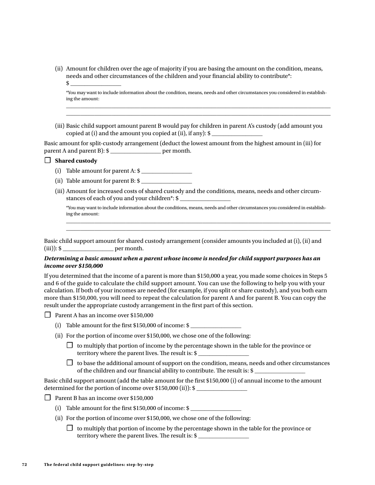(ii) Amount for children over the age of majority if you are basing the amount on the condition, means, needs and other circumstances of the children and your financial ability to contribute\*:  $\frac{\text{S}}{\text{S}}$ 

\*You may want to include information about the condition, means, needs and other circumstances you considered in establishing the amount:

 $\mathcal{L}_\mathcal{L} = \{ \mathcal{L}_\mathcal{L} = \{ \mathcal{L}_\mathcal{L} = \{ \mathcal{L}_\mathcal{L} = \{ \mathcal{L}_\mathcal{L} = \{ \mathcal{L}_\mathcal{L} = \{ \mathcal{L}_\mathcal{L} = \{ \mathcal{L}_\mathcal{L} = \{ \mathcal{L}_\mathcal{L} = \{ \mathcal{L}_\mathcal{L} = \{ \mathcal{L}_\mathcal{L} = \{ \mathcal{L}_\mathcal{L} = \{ \mathcal{L}_\mathcal{L} = \{ \mathcal{L}_\mathcal{L} = \{ \mathcal{L}_\mathcal{$  $\_$  ,  $\_$  ,  $\_$  ,  $\_$  ,  $\_$  ,  $\_$  ,  $\_$  ,  $\_$  ,  $\_$  ,  $\_$  ,  $\_$  ,  $\_$  ,  $\_$  ,  $\_$  ,  $\_$  ,  $\_$  ,  $\_$  ,  $\_$  ,  $\_$  ,  $\_$  ,  $\_$  ,  $\_$  ,  $\_$  ,  $\_$  ,  $\_$  ,  $\_$  ,  $\_$  ,  $\_$  ,  $\_$  ,  $\_$  ,  $\_$  ,  $\_$  ,  $\_$  ,  $\_$  ,  $\_$  ,  $\_$  ,  $\_$  ,

(iii) Basic child support amount parent B would pay for children in parent A's custody (add amount you copied at  $(i)$  and the amount you copied at  $(ii)$ , if any):  $\$ 

Basic amount for split-custody arrangement (deduct the lowest amount from the highest amount in (iii) for parent A and parent B): \$ \_\_\_\_\_\_\_\_\_\_\_\_\_\_\_\_\_\_\_\_ per month.

## ☐ **Shared custody**

- (i) Table amount for parent A:  $\frac{1}{2}$
- (ii) Table amount for parent  $B:$  \$
- (iii) Amount for increased costs of shared custody and the conditions, means, needs and other circumstances of each of you and your children\*: \$

\*You may want to include information about the conditions, means, needs and other circumstances you considered in establishing the amount:  $\Box$  . The contribution of the contribution of the contribution of the contribution of the contribution of the contribution of the contribution of the contribution of the contribution of the contribution of the contributi

 $\Box$  . The contribution of the contribution of the contribution of the contribution of the contribution of the contribution of the contribution of the contribution of the contribution of the contribution of the contributi

Basic child support amount for shared custody arrangement (consider amounts you included at (i), (ii) and  $(iii)$ :  $\quad \text{per month.}$ 

## *Determining a basic amount when a parent whose income is needed for child support purposes has an income over \$150,000*

If you determined that the income of a parent is more than \$150,000 a year, you made some choices in Steps 5 and 6 of the guide to calculate the child support amount. You can use the following to help you with your calculation. If both of your incomes are needed (for example, if you split or share custody), and you both earn more than \$150,000, you will need to repeat the calculation for parent A and for parent B. You can copy the result under the appropriate custody arrangement in the first part of this section.

☐ Parent A has an income over \$150,000

- (i) Table amount for the first  $$150,000$  of income:  $$$
- (ii) For the portion of income over \$150,000, we chose one of the following:
	- $\Box$  to multiply that portion of income by the percentage shown in the table for the province or territory where the parent lives. The result is: \$
	- $\Box$  to base the additional amount of support on the condition, means, needs and other circumstances of the children and our financial ability to contribute. The result is: \$

Basic child support amount (add the table amount for the first \$150,000 (i) of annual income to the amount determined for the portion of income over \$150,000 (ii)): \$

☐ Parent B has an income over \$150,000

- (i) Table amount for the first  $$150,000$  of income:  $$$
- (ii) For the portion of income over \$150,000, we chose one of the following:
	- $\Box$  to multiply that portion of income by the percentage shown in the table for the province or territory where the parent lives. The result is: \$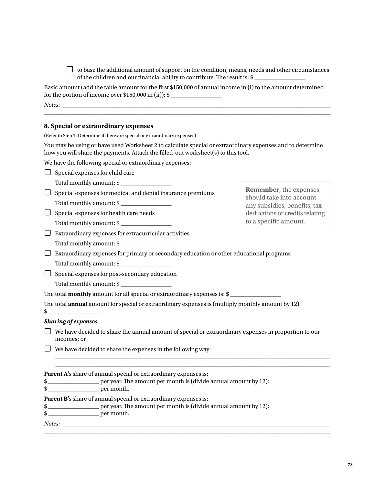$\Box$  to base the additional amount of support on the condition, means, needs and other circumstances of the children and our financial ability to contribute. The result is: \$

Basic amount (add the table amount for the first \$150,000 of annual income in (i) to the amount determined for the portion of income over  $$150,000$  in (ii)):  $$$ 

*Notes*: \_\_\_\_\_\_\_\_\_\_\_\_\_\_\_\_\_\_\_\_\_\_\_\_\_\_\_\_\_\_\_\_\_\_\_\_\_\_\_\_\_\_\_\_\_\_\_\_\_\_\_\_\_\_\_\_\_\_\_\_\_\_\_\_\_\_\_\_\_\_\_\_\_\_\_\_\_\_\_\_\_\_\_\_\_\_\_\_\_\_\_\_\_\_\_

\_\_\_\_\_\_\_\_\_\_\_\_\_\_\_\_\_\_\_\_\_\_\_\_\_\_\_\_\_\_\_\_\_\_\_\_\_\_\_\_\_\_\_\_\_\_\_\_\_\_\_\_\_\_\_\_\_\_\_\_\_\_\_\_\_\_\_\_\_\_\_\_\_\_\_\_\_\_\_\_\_\_\_\_\_\_\_\_\_\_\_\_\_\_\_\_\_\_\_\_\_

#### **8. Special or extraordinary expenses**

(Refer to Step 7: Determine if there are special or extraordinary expenses)

You may be using or have used Worksheet 2 to calculate special or extraordinary expenses and to determine how you will share the payments. Attach the filled-out worksheet(s) to this tool.

We have the following special or extraordinary expenses:

 $\Box$  Special expenses for child care

Total monthly amount: \$

 $\Box$  Special expenses for medical and dental insurance premiums Total monthly amount: \$

 $\Box$  Special expenses for health care needs

Total monthly amount: \$

| $\Box$ Extraordinary expenses for extracurricular activities |
|--------------------------------------------------------------|
| Total monthly amount: \$                                     |

**Remember**, the expenses should take into account any subsidies, benefits, tax deductions or credits relating to a specific amount.

☐ Extraordinary expenses for primary or secondary education or other educational programs Total monthly amount: \$

- $\Box$  Special expenses for post-secondary education
	- Total monthly amount: \$

The total **monthly** amount for all special or extraordinary expenses is: \$

The total **annual** amount for special or extraordinary expenses is (multiply monthly amount by 12):

# $\frac{1}{2}$   $\frac{1}{2}$   $\frac{1}{2}$   $\frac{1}{2}$   $\frac{1}{2}$   $\frac{1}{2}$   $\frac{1}{2}$   $\frac{1}{2}$   $\frac{1}{2}$   $\frac{1}{2}$   $\frac{1}{2}$   $\frac{1}{2}$   $\frac{1}{2}$   $\frac{1}{2}$   $\frac{1}{2}$   $\frac{1}{2}$   $\frac{1}{2}$   $\frac{1}{2}$   $\frac{1}{2}$   $\frac{1}{2}$   $\frac{1}{2}$   $\frac{1}{2}$

### *Sharing of expenses*

☐ We have decided to share the annual amount of special or extraordinary expenses in proportion to our incomes; or

 \_\_\_\_\_\_\_\_\_\_\_\_\_\_\_\_\_\_\_\_\_\_\_\_\_\_\_\_\_\_\_\_\_\_\_\_\_\_\_\_\_\_\_\_\_\_\_\_\_\_\_\_\_\_\_\_\_\_\_\_\_\_\_\_\_\_\_\_\_\_\_\_\_\_\_\_\_\_\_\_\_\_\_\_\_\_\_\_\_\_\_\_\_\_\_\_\_\_\_\_\_\_\_\_\_\_\_\_\_\_\_\_\_\_\_\_\_\_\_\_\_\_\_\_\_\_\_\_\_\_\_\_\_\_\_\_\_\_\_\_ \_\_\_\_\_\_\_\_\_\_\_\_\_\_\_\_\_\_\_\_\_\_\_\_\_\_\_\_\_\_\_\_\_\_\_\_\_\_\_\_\_\_\_\_\_\_\_\_\_\_\_\_\_\_\_\_\_\_\_\_\_\_\_\_\_\_\_\_\_\_\_\_\_\_\_\_\_\_\_\_\_\_\_\_\_\_\_\_\_\_\_\_\_\_\_\_\_\_\_\_\_\_\_\_\_\_\_\_\_\_\_\_\_\_\_\_\_\_\_\_\_\_\_\_\_\_\_\_\_\_\_\_\_\_\_\_\_\_\_\_

\_\_\_\_\_\_\_\_\_\_\_\_\_\_\_\_\_\_\_\_\_\_\_\_\_\_\_\_\_\_\_\_\_\_\_\_\_\_\_\_\_\_\_\_\_\_\_\_\_\_\_\_\_\_\_\_\_\_\_\_\_\_\_\_\_\_\_\_\_\_\_\_\_\_\_\_\_\_\_\_\_\_\_\_\_\_\_\_\_\_\_\_\_\_\_\_\_\_\_\_\_

 $\Box$  We have decided to share the expenses in the following way:

**Parent A**'s share of annual special or extraordinary expenses is:

- \$ \_\_\_\_\_\_\_\_\_\_\_\_\_\_\_\_\_\_ per year. The amount per month is (divide annual amount by 12):
- \$ \_\_\_\_\_\_\_\_\_\_\_\_\_\_\_\_\_\_ per month.

**Parent B**'s share of annual special or extraordinary expenses is:

- \$ \_\_\_\_\_\_\_\_\_\_\_\_\_\_\_\_\_\_ per year. The amount per month is (divide annual amount by 12):
- \$ \_\_\_\_\_\_\_\_\_\_\_\_\_\_\_\_\_\_ per month.

*Notes:* \_\_\_\_\_\_\_\_\_\_\_\_\_\_\_\_\_\_\_\_\_\_\_\_\_\_\_\_\_\_\_\_\_\_\_\_\_\_\_\_\_\_\_\_\_\_\_\_\_\_\_\_\_\_\_\_\_\_\_\_\_\_\_\_\_\_\_\_\_\_\_\_\_\_\_\_\_\_\_\_\_\_\_\_\_\_\_\_\_\_\_\_\_\_\_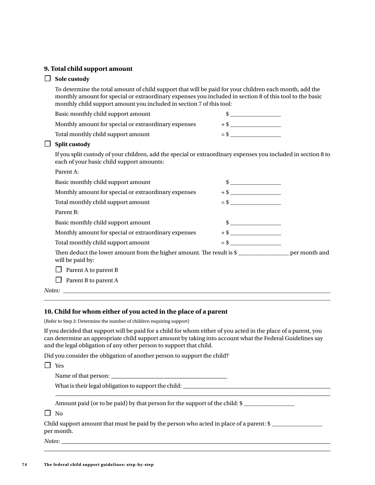### **9. Total child support amount**

#### ☐ **Sole custody**

To determine the total amount of child support that will be paid for your children each month, add the monthly amount for special or extraordinary expenses you included in section 8 of this tool to the basic monthly child support amount you included in section 7 of this tool:

| Basic monthly child support amount                                                                                                                         | $\frac{1}{2}$ |  |
|------------------------------------------------------------------------------------------------------------------------------------------------------------|---------------|--|
| Monthly amount for special or extraordinary expenses                                                                                                       |               |  |
| Total monthly child support amount                                                                                                                         |               |  |
| <b>Split custody</b>                                                                                                                                       |               |  |
| If you split custody of your children, add the special or extraordinary expenses you included in section 8 to<br>each of your basic child support amounts: |               |  |
| Parent A:                                                                                                                                                  |               |  |
| Basic monthly child support amount                                                                                                                         | $\frac{1}{2}$ |  |
| Monthly amount for special or extraordinary expenses                                                                                                       | $+$ \$        |  |
| Total monthly child support amount                                                                                                                         |               |  |
| Parent B:                                                                                                                                                  |               |  |
| Basic monthly child support amount                                                                                                                         | $\frac{1}{2}$ |  |
| Monthly amount for special or extraordinary expenses                                                                                                       |               |  |
| Total monthly child support amount                                                                                                                         |               |  |
| Then deduct the layer emount from the higher emount. The recult is $\mathfrak{C}$ and $\mathfrak{p}$ are month and                                         |               |  |

Then deduct the lower amount from the higher amount. The result is \$ will be paid by:

\_\_\_\_\_\_\_\_\_\_\_\_\_\_\_\_\_\_\_\_\_\_\_\_\_\_\_\_\_\_\_\_\_\_\_\_\_\_\_\_\_\_\_\_\_\_\_\_\_\_\_\_\_\_\_\_\_\_\_\_\_\_\_\_\_\_\_\_\_\_\_\_\_\_\_\_\_\_\_\_\_\_\_\_\_\_\_\_\_\_\_\_\_\_\_\_\_\_\_\_\_

- $\Box$  Parent A to parent B
- $\Box$  Parent B to parent A
- *Notes:* \_\_\_\_\_\_\_\_\_\_\_\_\_\_\_\_\_\_\_\_\_\_\_\_\_\_\_\_\_\_\_\_\_\_\_\_\_\_\_\_\_\_\_\_\_\_\_\_\_\_\_\_\_\_\_\_\_\_\_\_\_\_\_\_\_\_\_\_\_\_\_\_\_\_\_\_\_\_\_\_\_\_\_\_\_\_\_\_\_\_\_\_\_\_\_

#### **10. Child for whom either of you acted in the place of a parent**

(Refer to Step 2: Determine the number of children requiring support)

If you decided that support will be paid for a child for whom either of you acted in the place of a parent, you can determine an appropriate child support amount by taking into account what the Federal Guidelines say and the legal obligation of any other person to support that child.

\_\_\_\_\_\_\_\_\_\_\_\_\_\_\_\_\_\_\_\_\_\_\_\_\_\_\_\_\_\_\_\_\_\_\_\_\_\_\_\_\_\_\_\_\_\_\_\_\_\_\_\_\_\_\_\_\_\_\_\_\_\_\_\_\_\_\_\_\_\_\_\_\_\_\_\_\_\_\_\_\_\_\_\_\_\_\_\_\_\_\_\_\_\_\_\_\_\_\_\_\_\_\_\_\_\_\_\_\_\_\_\_\_\_\_\_\_\_\_\_\_\_\_\_\_\_\_\_\_\_\_\_\_\_\_\_\_\_

Did you consider the obligation of another person to support the child?

| ×<br>۰.<br>.,<br>۰. |
|---------------------|
|---------------------|

Name of that person: \_\_\_\_\_\_\_\_\_\_\_\_\_\_\_\_\_\_\_\_\_\_\_\_\_\_\_\_\_\_\_\_\_\_\_\_\_\_\_\_\_\_\_\_\_\_\_\_\_\_\_\_\_\_\_\_\_\_\_

What is theirlegal obligation to support the child: \_\_\_\_\_\_\_\_\_\_\_\_\_\_\_\_\_\_\_\_\_\_\_\_\_\_\_\_\_\_\_\_\_\_\_\_\_\_\_\_\_\_\_\_\_\_\_\_\_\_\_\_\_\_\_\_\_\_\_\_\_\_\_\_\_\_\_\_\_\_\_\_\_\_\_

Amount paid (or to be paid) by that person for the support of the child: \$

 $\Box$  No

Child support amount that must be paid by the person who acted in place of a parent: \$ per month.

\_\_\_\_\_\_\_\_\_\_\_\_\_\_\_\_\_\_\_\_\_\_\_\_\_\_\_\_\_\_\_\_\_\_\_\_\_\_\_\_\_\_\_\_\_\_\_\_\_\_\_\_\_\_\_\_\_\_\_\_\_\_\_\_\_\_\_\_\_\_\_\_\_\_\_\_\_\_\_\_\_\_\_\_\_\_\_\_\_\_\_\_\_\_\_\_\_\_\_\_\_\_\_\_\_\_\_\_\_\_\_\_\_\_\_\_\_\_\_\_\_\_\_\_\_\_\_\_\_\_\_\_\_\_\_\_\_\_\_\_\_\_\_\_

*Notes:* \_\_\_\_\_\_\_\_\_\_\_\_\_\_\_\_\_\_\_\_\_\_\_\_\_\_\_\_\_\_\_\_\_\_\_\_\_\_\_\_\_\_\_\_\_\_\_\_\_\_\_\_\_\_\_\_\_\_\_\_\_\_\_\_\_\_\_\_\_\_\_\_\_\_\_\_\_\_\_\_\_\_\_\_\_\_\_\_\_\_\_\_\_\_\_\_\_\_\_\_\_\_\_\_\_\_\_\_\_\_\_\_\_\_\_\_\_\_\_\_\_\_\_\_\_\_\_\_\_\_\_\_\_\_\_\_\_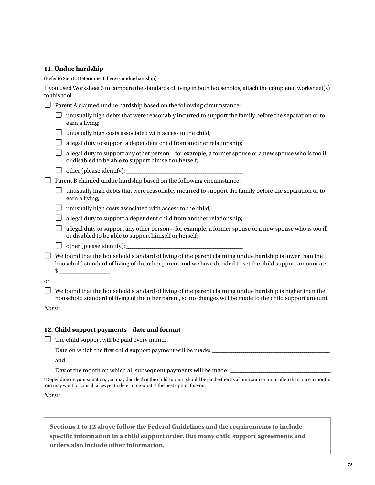### **11. Undue hardship**

(Refer to Step 8: Determine if there is undue hardship)

If you used Worksheet 3 to compare the standards of living in both households, attach the completed worksheet(s) to this tool.

 $\Box$  Parent A claimed undue hardship based on the following circumstance:

- $\Box$  unusually high debts that were reasonably incurred to support the family before the separation or to earn a living;
- $\Box$  unusually high costs associated with access to the child;
- $\Box$  a legal duty to support a dependent child from another relationship;
- $\Box$  a legal duty to support any other person—for example, a former spouse or a new spouse who is too ill or disabled to be able to support himself or herself;
- ☐ other (please identify): \_\_\_\_\_\_\_\_\_\_\_\_\_\_\_\_\_\_\_\_\_\_\_\_\_\_\_\_\_\_\_\_\_\_\_\_\_\_\_\_\_\_\_\_\_\_\_\_\_\_\_\_\_\_\_\_\_\_\_

 $\Box$  Parent B claimed undue hardship based on the following circumstance:

- $\Box$  unusually high debts that were reasonably incurred to support the family before the separation or to earn a living;
- $\Box$  unusually high costs associated with access to the child;
- $\Box$  a legal duty to support a dependent child from another relationship;
- $\Box$  a legal duty to support any other person—for example, a former spouse or a new spouse who is too ill or disabled to be able to support himself or herself;
- ☐ other (please identify): \_\_\_\_\_\_\_\_\_\_\_\_\_\_\_\_\_\_\_\_\_\_\_\_\_\_\_\_\_\_\_\_\_\_\_\_\_\_\_\_\_\_\_\_\_\_\_\_\_\_\_\_\_\_\_\_\_\_\_
- $\Box$  We found that the household standard of living of the parent claiming undue hardship is lower than the household standard of living of the other parent and we have decided to set the child support amount at:  $\frac{1}{2}$
- or
- 
- $\Box$  We found that the household standard of living of the parent claiming undue hardship is higher than the household standard of living of the other parent, so no changes will be made to the child support amount.

\_\_\_\_\_\_\_\_\_\_\_\_\_\_\_\_\_\_\_\_\_\_\_\_\_\_\_\_\_\_\_\_\_\_\_\_\_\_\_\_\_\_\_\_\_\_\_\_\_\_\_\_\_\_\_\_\_\_\_\_\_\_\_\_\_\_\_\_\_\_\_\_\_\_\_\_\_\_\_\_\_\_\_\_\_\_\_\_\_\_\_\_\_\_\_\_\_\_\_\_\_

*Notes:* \_\_\_\_\_\_\_\_\_\_\_\_\_\_\_\_\_\_\_\_\_\_\_\_\_\_\_\_\_\_\_\_\_\_\_\_\_\_\_\_\_\_\_\_\_\_\_\_\_\_\_\_\_\_\_\_\_\_\_\_\_\_\_\_\_\_\_\_\_\_\_\_\_\_\_\_\_\_\_\_\_\_\_\_\_\_\_\_\_\_\_\_\_\_\_

#### **12. Child support payments – date and format**

 $\Box$  The child support will be paid every month.

Date on which the first child support payment will be made: \_\_\_\_\_\_\_\_\_\_\_\_\_\_\_\_\_\_\_\_\_\_\_\_\_\_\_\_\_\_\_\_\_\_\_\_\_\_\_\_\_\_\_\_\_\_\_\_\_\_\_\_\_\_\_\_\_\_\_\_

and

Day of the month on which all subsequent payments will be made: \_\_\_\_\_\_\_\_\_\_\_\_\_\_\_\_\_\_\_\_\_\_\_\_\_\_\_\_\_\_\_\_\_\_\_\_\_\_\_\_\_\_\_\_\_\_\_\_\_\_\_

\*Depending on your situation, you may decide that the child support should be paid either as a lump sum or more often than once a month. You may want to consult a lawyer to determine what is the best option for you.

\_\_\_\_\_\_\_\_\_\_\_\_\_\_\_\_\_\_\_\_\_\_\_\_\_\_\_\_\_\_\_\_\_\_\_\_\_\_\_\_\_\_\_\_\_\_\_\_\_\_\_\_\_\_\_\_\_\_\_\_\_\_\_\_\_\_\_\_\_\_\_\_\_\_\_\_\_\_\_\_\_\_\_\_\_\_\_\_\_\_\_\_\_\_\_\_\_\_\_\_\_

*Notes:* \_\_\_\_\_\_\_\_\_\_\_\_\_\_\_\_\_\_\_\_\_\_\_\_\_\_\_\_\_\_\_\_\_\_\_\_\_\_\_\_\_\_\_\_\_\_\_\_\_\_\_\_\_\_\_\_\_\_\_\_\_\_\_\_\_\_\_\_\_\_\_\_\_\_\_\_\_\_\_\_\_\_\_\_\_\_\_\_\_\_\_\_\_\_\_

**Sections 1 to 12 above follow the Federal Guidelines and the requirements to include specific information in a child support order. But many child support agreements and orders also include other information.**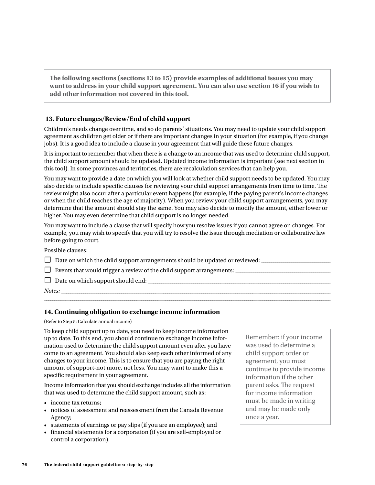**The following sections (sections 13 to 15) provide examples of additional issues you may want to address in your child support agreement. You can also use section 16 if you wish to add other information not covered in this tool.**

### **13. Future changes/Review/End of child support**

Children's needs change over time, and so do parents' situations. You may need to update your child support agreement as children get older or if there are important changes in your situation (for example, if you change jobs). It is a good idea to include a clause in your agreement that will guide these future changes.

It is important to remember that when there is a change to an income that was used to determine child support, the child support amount should be updated. Updated income information is important (see next section in this tool). In some provinces and territories, there are recalculation services that can help you.

You may want to provide a date on which you will look at whether child support needs to be updated. You may also decide to include specific clauses for reviewing your child support arrangements from time to time. The review might also occur after a particular event happens (for example, if the paying parent's income changes or when the child reaches the age of majority). When you review your child support arrangements, you may determine that the amount should stay the same. You may also decide to modify the amount, either lower or higher. You may even determine that child support is no longer needed.

You may want to include a clause that will specify how you resolve issues if you cannot agree on changes. For example, you may wish to specify that you will try to resolve the issue through mediation or collaborative law before going to court.

\_\_\_\_\_\_\_\_\_\_\_\_\_\_\_\_\_\_\_\_\_\_\_\_\_\_\_\_\_\_\_\_\_\_\_\_\_\_\_\_\_\_\_\_\_\_\_\_\_\_\_\_\_\_\_\_\_\_\_\_\_\_\_\_\_\_\_\_\_\_\_\_\_\_\_\_\_\_\_\_\_\_\_\_\_\_\_\_\_\_\_\_\_\_\_\_\_\_\_\_\_\_\_\_\_\_\_\_\_\_\_\_\_\_\_\_\_\_\_\_\_\_\_\_\_\_\_\_\_\_\_\_\_\_\_

Possible clauses:

- $\Box$  Date on which the child support arrangements should be updated or reviewed:
- $\Box$  Events that would trigger a review of the child support arrangements:

 $\Box$  Date on which support should end:

*Notes:* \_\_\_\_\_\_\_\_\_\_\_\_\_\_\_\_\_\_\_\_\_\_\_\_\_\_\_\_\_\_\_\_\_\_\_\_\_\_\_\_\_\_\_\_\_\_\_\_\_\_\_\_\_\_\_\_\_\_\_\_\_\_\_\_\_\_\_\_\_\_\_\_\_\_\_\_\_\_\_\_\_\_\_\_\_\_\_\_\_\_\_\_\_\_\_\_\_\_\_\_\_\_\_\_\_\_\_\_\_\_\_\_\_\_\_\_\_\_\_\_\_\_\_\_\_

## **14. Continuing obligation to exchange income information**

(Refer to Step 5: Calculate annual income)

To keep child support up to date, you need to keep income information up to date. To this end, you should continue to exchange income information used to determine the child support amount even after you have come to an agreement. You should also keep each other informed of any changes to your income. This is to ensure that you are paying the right amount of support-not more, not less. You may want to make this a specific requirement in your agreement.

Income information that you should exchange includes all the information that was used to determine the child support amount, such as:

- income tax returns:
- notices of assessment and reassessment from the Canada Revenue Agency;
- statements of earnings or pay slips (if you are an employee); and
- financial statements for a corporation (if you are self-employed or control a corporation).

Remember: if your income was used to determine a child support order or agreement, you must continue to provide income information if the other parent asks. The request for income information must be made in writing and may be made only once a year.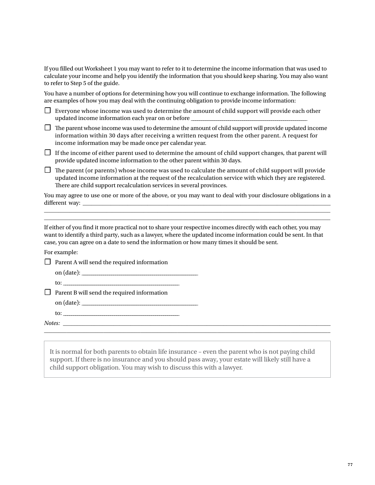If you filled out Worksheet 1 you may want to refer to it to determine the income information that was used to calculate your income and help you identify the information that you should keep sharing. You may also want to refer to Step 5 of the guide.

You have a number of options for determining how you will continue to exchange information. The following are examples of how you may deal with the continuing obligation to provide income information:

- $\Box$  Everyone whose income was used to determine the amount of child support will provide each other updated income information each year on or before \_\_\_\_\_\_\_\_\_\_\_\_\_\_\_\_\_\_\_\_\_\_\_\_\_\_\_\_\_\_\_
- ☐ The parent whose income was used to determine the amount of child support will provide updated income information within 30 days after receiving a written request from the other parent. A request for income information may be made once per calendar year.
- $\Box$  If the income of either parent used to determine the amount of child support changes, that parent will provide updated income information to the other parent within 30 days.
- $\Box$  The parent (or parents) whose income was used to calculate the amount of child support will provide updated income information at the request of the recalculation service with which they are registered. There are child support recalculation services in several provinces.

You may agree to use one or more of the above, or you may want to deal with your disclosure obligations in a different way:  $\_$  , and the set of the set of the set of the set of the set of the set of the set of the set of the set of the set of the set of the set of the set of the set of the set of the set of the set of the set of the set of th

 $\_$  , and the set of the set of the set of the set of the set of the set of the set of the set of the set of the set of the set of the set of the set of the set of the set of the set of the set of the set of the set of th

If either of you find it more practical not to share your respective incomes directly with each other, you may want to identify a third party, such as a lawyer, where the updated income information could be sent. In that case, you can agree on a date to send the information or how many times it should be sent.

For example:

| $\Box$ Parent A will send the required information |  |
|----------------------------------------------------|--|
|----------------------------------------------------|--|

 on (date): \_\_\_\_\_\_\_\_\_\_\_\_\_\_\_\_\_\_\_\_\_\_\_\_\_\_\_\_\_\_\_\_\_\_\_\_\_\_\_\_\_\_\_\_\_\_\_\_\_\_\_\_\_\_\_\_\_\_\_

 $\Box$  Parent B will send the required information

 $\text{to:}\quad$ 

to:  $\frac{1}{2}$  =  $\frac{1}{2}$  =  $\frac{1}{2}$  =  $\frac{1}{2}$  =  $\frac{1}{2}$  =  $\frac{1}{2}$  =  $\frac{1}{2}$  =  $\frac{1}{2}$  =  $\frac{1}{2}$  =  $\frac{1}{2}$  =  $\frac{1}{2}$  =  $\frac{1}{2}$  =  $\frac{1}{2}$  =  $\frac{1}{2}$  =  $\frac{1}{2}$  =  $\frac{1}{2}$  =  $\frac{1}{2}$  =  $\frac{1}{2}$  =

 on (date): \_\_\_\_\_\_\_\_\_\_\_\_\_\_\_\_\_\_\_\_\_\_\_\_\_\_\_\_\_\_\_\_\_\_\_\_\_\_\_\_\_\_\_\_\_\_\_\_\_\_\_\_\_\_\_\_\_\_\_

*Notes:* \_\_\_\_\_\_\_\_\_\_\_\_\_\_\_\_\_\_\_\_\_\_\_\_\_\_\_\_\_\_\_\_\_\_\_\_\_\_\_\_\_\_\_\_\_\_\_\_\_\_\_\_\_\_\_\_\_\_\_\_\_\_\_\_\_\_\_\_\_\_\_\_\_\_\_\_\_\_\_\_\_\_\_\_\_\_\_\_\_\_\_\_\_\_\_

It is normal for both parents to obtain life insurance – even the parent who is not paying child support. If there is no insurance and you should pass away, your estate will likely still have a child support obligation. You may wish to discuss this with a lawyer.

\_\_\_\_\_\_\_\_\_\_\_\_\_\_\_\_\_\_\_\_\_\_\_\_\_\_\_\_\_\_\_\_\_\_\_\_\_\_\_\_\_\_\_\_\_\_\_\_\_\_\_\_\_\_\_\_\_\_\_\_\_\_\_\_\_\_\_\_\_\_\_\_\_\_\_\_\_\_\_\_\_\_\_\_\_\_\_\_\_\_\_\_\_\_\_\_\_\_\_\_\_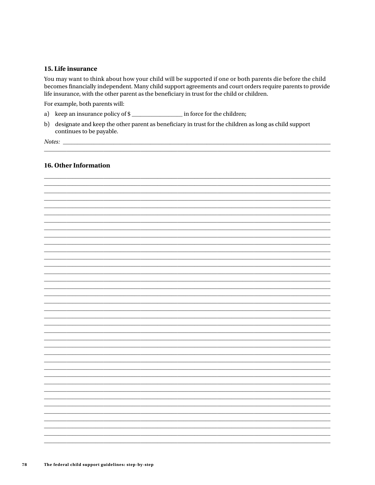#### 15. Life insurance

You may want to think about how your child will be supported if one or both parents die before the child becomes financially independent. Many child support agreements and court orders require parents to provide life insurance, with the other parent as the beneficiary in trust for the child or children.

For example, both parents will:

- 
- b) designate and keep the other parent as beneficiary in trust for the children as long as child support continues to be payable.

 $Notes: \_\_$ 

### 16. Other Information

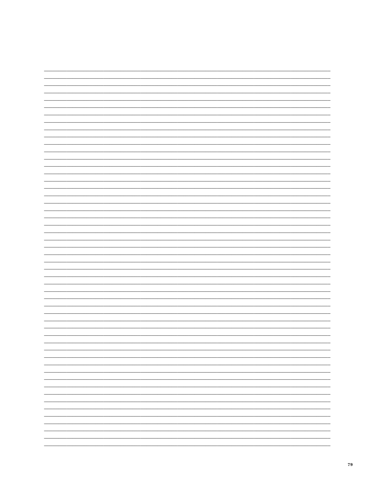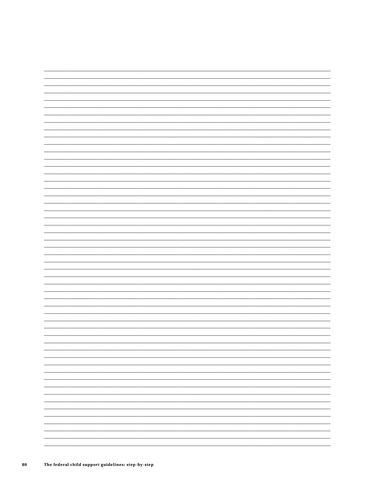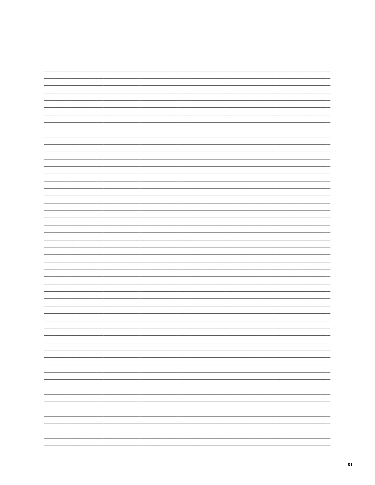